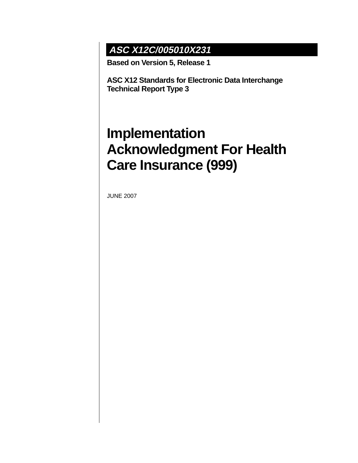## **ASC X12C/005010X231**

**Based on Version 5, Release 1**

**ASC X12 Standards for Electronic Data Interchange Technical Report Type 3**

# **Implementation Acknowledgment For Health Care Insurance (999)**

JUNE 2007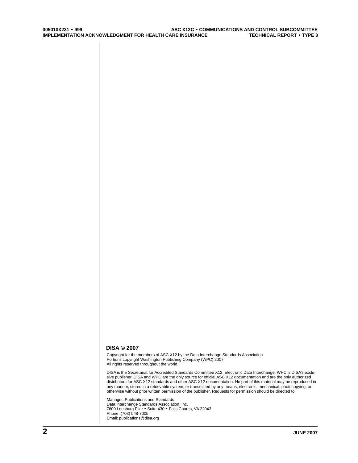#### **DISA © 2007**

Copyright for the members of ASC X12 by the Data Interchange Standards Association Portions copyright Washington Publishing Company (WPC) 2007. All rights reserved throughout the world.

DISA is the Secretariat for Accredited Standards Committee X12, Electronic Data Interchange. WPC is DISA's exclusive publisher. DISA and WPC are the only source for official ASC X12 documentation and are the only authorized distributors for ASC X12 standards and other ASC X12 documentation. No part of this material may be reproduced in any manner, stored in a retrievable system, or transmitted by any means, electronic, mechanical, photocopying, or otherwise without prior written permission of the publisher. Requests for permission should be directed to:

Manager, Publications and Standards Data Interchange Standards Association, Inc. 7600 Leesburg Pike • Suite 430 • Falls Church, VA 22043 Phone: (703) 548-7005 Email: publications@disa.org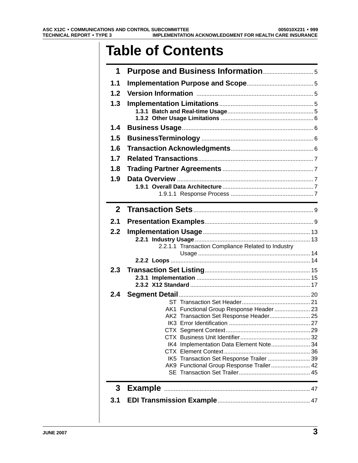# **Table of Contents**

| 1              |                                                                                                                      |  |
|----------------|----------------------------------------------------------------------------------------------------------------------|--|
| 1.1            |                                                                                                                      |  |
| 1.2            |                                                                                                                      |  |
| 1.3            |                                                                                                                      |  |
|                |                                                                                                                      |  |
|                |                                                                                                                      |  |
| 1.4            |                                                                                                                      |  |
| 1.5            |                                                                                                                      |  |
| 1.6            |                                                                                                                      |  |
| 1.7            |                                                                                                                      |  |
| 1.8            |                                                                                                                      |  |
| 1.9            |                                                                                                                      |  |
|                |                                                                                                                      |  |
|                | <u> 1989 - Johann Barn, mars ann an t-Amhain Aonaich an t-Aonaich an t-Aonaich ann an t-Aonaich ann an t-Aonaich</u> |  |
| 2 <sup>1</sup> |                                                                                                                      |  |
| 2.1            |                                                                                                                      |  |
| 2.2            |                                                                                                                      |  |
|                |                                                                                                                      |  |
|                | 2.2.1.1 Transaction Compliance Related to Industry                                                                   |  |
|                |                                                                                                                      |  |
| 2.3            |                                                                                                                      |  |
|                |                                                                                                                      |  |
|                |                                                                                                                      |  |
| 2.4            |                                                                                                                      |  |
|                |                                                                                                                      |  |
|                | AK1 Functional Group Response Header  23                                                                             |  |
|                | AK2 Transaction Set Response Header 25                                                                               |  |
|                |                                                                                                                      |  |
|                |                                                                                                                      |  |
|                | IK4 Implementation Data Element Note 34                                                                              |  |
|                | IK5 Transaction Set Response Trailer  39                                                                             |  |
|                | AK9 Functional Group Response Trailer 42                                                                             |  |
|                |                                                                                                                      |  |
| 3              |                                                                                                                      |  |
| 3.1            |                                                                                                                      |  |
|                |                                                                                                                      |  |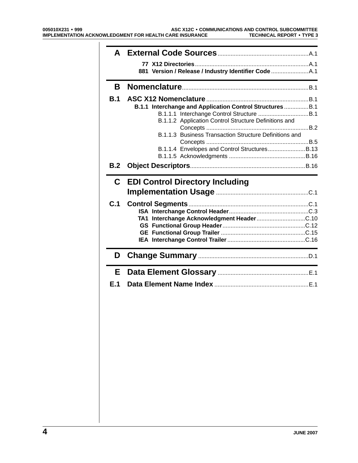| B.         |                                                           |  |
|------------|-----------------------------------------------------------|--|
| <b>B.1</b> |                                                           |  |
|            | B.1.1 Interchange and Application Control Structures  B.1 |  |
|            |                                                           |  |
|            | B.1.1.2 Application Control Structure Definitions and     |  |
|            | B.1.1.3 Business Transaction Structure Definitions and    |  |
|            |                                                           |  |
|            | B.1.1.4 Envelopes and Control StructuresB.13              |  |
|            |                                                           |  |
| B.2        |                                                           |  |
|            |                                                           |  |
|            | <b>C</b> EDI Control Directory Including                  |  |
|            |                                                           |  |
| C.1        |                                                           |  |
|            |                                                           |  |
|            |                                                           |  |
|            |                                                           |  |
|            |                                                           |  |
|            |                                                           |  |
|            |                                                           |  |
| D          |                                                           |  |
| E.         |                                                           |  |
| E.1        |                                                           |  |
|            |                                                           |  |
|            |                                                           |  |
|            |                                                           |  |
|            |                                                           |  |
|            |                                                           |  |
|            |                                                           |  |
|            |                                                           |  |
|            |                                                           |  |
|            |                                                           |  |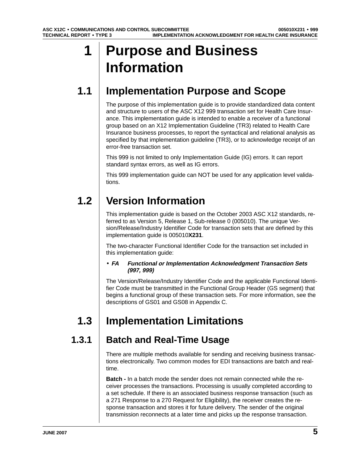# <span id="page-4-0"></span>**1 Purpose and Business Information**

## **1.1 Implementation Purpose and Scope**

The purpose of this implementation guide is to provide standardized data content and structure to users of the ASC X12 999 transaction set for Health Care Insurance. This implementation guide is intended to enable a receiver of a functional group based on an X12 Implementation Guideline (TR3) related to Health Care Insurance business processes, to report the syntactical and relational analysis as specified by that implementation guideline (TR3), or to acknowledge receipt of an error-free transaction set.

This 999 is not limited to only Implementation Guide (IG) errors. It can report standard syntax errors, as well as IG errors.

This 999 implementation guide can NOT be used for any application level validations.

## **1.2 Version Information**

This implementation guide is based on the October 2003 ASC X12 standards, referred to as Version 5, Release 1, Sub-release 0 (005010). The unique Version/Release/Industry Identifier Code for transaction sets that are defined by this implementation guide is 005010**X231**.

The two-character Functional Identifier Code for the transaction set included in this implementation guide:

#### • **FA Functional or Implementation Acknowledgment Transaction Sets (997, 999)**

The Version/Release/Industry Identifier Code and the applicable Functional Identifier Code must be transmitted in the Functional Group Header (GS segment) that begins a functional group of these transaction sets. For more information, see the descriptions of GS01 and GS08 in Appendix C.

## **1.3 Implementation Limitations**

## **1.3.1 Batch and Real-Time Usage**

There are multiple methods available for sending and receiving business transactions electronically. Two common modes for EDI transactions are batch and realtime.

**Batch -** In a batch mode the sender does not remain connected while the receiver processes the transactions. Processing is usually completed according to a set schedule. If there is an associated business response transaction (such as a 271 Response to a 270 Request for Eligibility), the receiver creates the response transaction and stores it for future delivery. The sender of the original transmission reconnects at a later time and picks up the response transaction.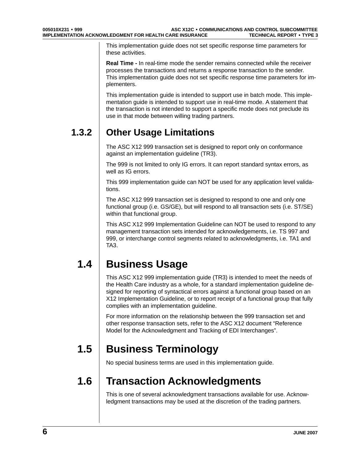<span id="page-5-0"></span>This implementation guide does not set specific response time parameters for these activities.

**Real Time -** In real-time mode the sender remains connected while the receiver processes the transactions and returns a response transaction to the sender. This implementation guide does not set specific response time parameters for implementers.

This implementation guide is intended to support use in batch mode. This implementation guide is intended to support use in real-time mode. A statement that the transaction is not intended to support a specific mode does not preclude its use in that mode between willing trading partners.

## **1.3.2 Other Usage Limitations**

The ASC X12 999 transaction set is designed to report only on conformance against an implementation guideline (TR3).

The 999 is not limited to only IG errors. It can report standard syntax errors, as well as IG errors.

This 999 implementation guide can NOT be used for any application level validations.

The ASC X12 999 transaction set is designed to respond to one and only one functional group (i.e. GS/GE), but will respond to all transaction sets (i.e. ST/SE) within that functional group.

This ASC X12 999 Implementation Guideline can NOT be used to respond to any management transaction sets intended for acknowledgements, i.e. TS 997 and 999, or interchange control segments related to acknowledgments, i.e. TA1 and TA3.

## **1.4 Business Usage**

This ASC X12 999 implementation guide (TR3) is intended to meet the needs of the Health Care industry as a whole, for a standard implementation guideline designed for reporting of syntactical errors against a functional group based on an X12 Implementation Guideline, or to report receipt of a functional group that fully complies with an implementation guideline.

For more information on the relationship between the 999 transaction set and other response transaction sets, refer to the ASC X12 document "Reference Model for the Acknowledgment and Tracking of EDI Interchanges".

## **1.5 Business Terminology**

No special business terms are used in this implementation guide.

## **1.6 Transaction Acknowledgments**

This is one of several acknowledgment transactions available for use. Acknowledgment transactions may be used at the discretion of the trading partners.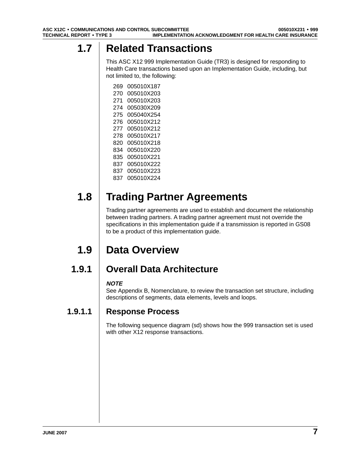## <span id="page-6-0"></span>**1.7 Related Transactions**

This ASC X12 999 Implementation Guide (TR3) is designed for responding to Health Care transactions based upon an Implementation Guide, including, but not limited to, the following:

269 005010X187 270 005010X203 271 005010X203 274 005030X209 275 005040X254 276 005010X212 277 005010X212 278 005010X217 820 005010X218 834 005010X220 835 005010X221 837 005010X222 837 005010X223 837 005010X224

## **1.8 Trading Partner Agreements**

Trading partner agreements are used to establish and document the relationship between trading partners. A trading partner agreement must not override the specifications in this implementation guide if a transmission is reported in GS08 to be a product of this implementation guide.

## **1.9 Data Overview**

## **1.9.1 Overall Data Architecture**

### **NOTE**

See Appendix B, Nomenclature, to review the transaction set structure, including descriptions of segments, data elements, levels and loops.

### **1.9.1.1 Response Process**

The following sequence diagram (sd) shows how the 999 transaction set is used with other X12 response transactions.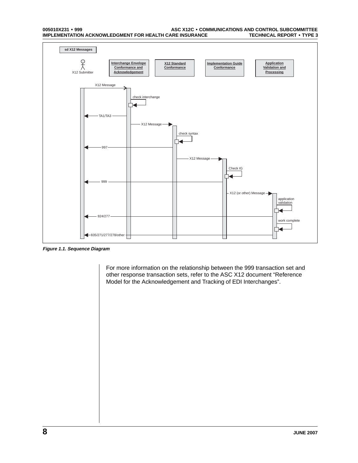#### **005010X231** • **999 ASC X12C** • **COMMUNICATIONS AND CONTROL SUBCOMMITTEE IMPLEMENTATION ACKNOWLEDGMENT FOR HEALTH CARE INSURANCE**



**Figure 1.1. Sequence Diagram**

For more information on the relationship between the 999 transaction set and other response transaction sets, refer to the ASC X12 document "Reference Model for the Acknowledgement and Tracking of EDI Interchanges".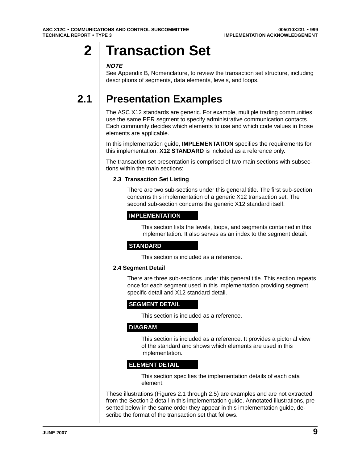# <span id="page-8-0"></span>**2** | Transaction Set

#### **NOTE**

See Appendix B, Nomenclature, to review the transaction set structure, including descriptions of segments, data elements, levels, and loops.

## **2.1 Presentation Examples**

The ASC X12 standards are generic. For example, multiple trading communities use the same PER segment to specify administrative communication contacts. Each community decides which elements to use and which code values in those elements are applicable.

In this implementation guide, **IMPLEMENTATION** specifies the requirements for this implementation. **X12 STANDARD** is included as a reference only.

The transaction set presentation is comprised of two main sections with subsections within the main sections:

#### **2.3 Transaction Set Listing**

There are two sub-sections under this general title. The first sub-section concerns this implementation of a generic X12 transaction set. The second sub-section concerns the generic X12 standard itself.

### **IMPLEMENTATION**

This section lists the levels, loops, and segments contained in this implementation. It also serves as an index to the segment detail.

### **STANDARD**

This section is included as a reference.

#### **2.4 Segment Detail**

There are three sub-sections under this general title. This section repeats once for each segment used in this implementation providing segment specific detail and X12 standard detail.

#### **SEGMENT DETAIL**

This section is included as a reference.

#### **DIAGRAM**

This section is included as a reference. It provides a pictorial view of the standard and shows which elements are used in this implementation.

#### **ELEMENT DETAIL**

This section specifies the implementation details of each data element.

These illustrations (Figures 2.1 through 2.5) are examples and are not extracted from the Section 2 detail in this implementation guide. Annotated illustrations, presented below in the same order they appear in this implementation guide, describe the format of the transaction set that follows.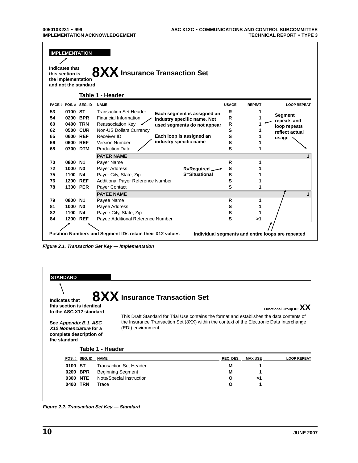Г

| <b>Indicates that</b>                 |          |                       | 8XX Insurance Transaction Set                            |                        |                             |              |               |                                                   |
|---------------------------------------|----------|-----------------------|----------------------------------------------------------|------------------------|-----------------------------|--------------|---------------|---------------------------------------------------|
| this section is<br>the implementation |          | and not the standard  |                                                          |                        |                             |              |               |                                                   |
|                                       |          |                       | Table 1 - Header                                         |                        |                             |              |               |                                                   |
|                                       |          | PAGE # POS. # SEG. ID | <b>NAME</b>                                              |                        |                             | <b>USAGE</b> | <b>REPEAT</b> | <b>LOOP REPEAT</b>                                |
| 53                                    | 0100 ST  |                       | <b>Transaction Set Header</b>                            |                        | Each segment is assigned an | R            |               |                                                   |
| 54                                    | 0200     | <b>BPR</b>            | Financial Information                                    |                        | industry specific name. Not | R            |               | <b>Segment</b><br>repeats and                     |
| 60                                    | 0400 TRN |                       | Reassociation Key                                        |                        | used segments do not appear | R            |               | loop repeats                                      |
| 62                                    | 0500 CUR |                       | Non-US Dollars Currency                                  |                        |                             | S            |               | reflect actual                                    |
| 65                                    | 0600 REF |                       | Receiver ID                                              |                        | Each loop is assigned an    | S            |               | usage                                             |
| 66                                    | 0600 REF |                       | <b>Version Number</b>                                    | industry specific name |                             | S            |               |                                                   |
| 68                                    | 0700 DTM |                       | <b>Production Date</b>                                   |                        |                             | S            | 1             |                                                   |
|                                       |          |                       | <b>PAYER NAME</b>                                        |                        |                             |              |               |                                                   |
| 70                                    | 0800 N1  |                       | Payer Name                                               |                        |                             | R            | 1             |                                                   |
| 72                                    | 1000     | N <sub>3</sub>        | Payer Address                                            |                        | <b>R=Required</b>           | S            |               |                                                   |
| 75                                    | 1100 N4  |                       | Payer City, State, Zip                                   |                        | S=Situational               | s            |               |                                                   |
| 76                                    | 1200 REF |                       | Additional Payer Reference Number                        |                        |                             | S            |               |                                                   |
| 78                                    | 1300 PER |                       | Payer Contact                                            |                        |                             | S            |               |                                                   |
|                                       |          |                       | <b>PAYEE NAME</b>                                        |                        |                             |              |               |                                                   |
| 79                                    | 0800 N1  |                       | Payee Name                                               |                        |                             | R            | 1             |                                                   |
| 81                                    | 1000 N3  |                       | Payee Address                                            |                        |                             | s            |               |                                                   |
| 82                                    | 1100     | <b>N4</b>             | Payee City, State, Zip                                   |                        |                             | s            |               |                                                   |
| 84                                    | 1200 REF |                       | Payee Additional Reference Number                        |                        |                             | S            | >1            |                                                   |
|                                       |          |                       |                                                          |                        |                             |              |               |                                                   |
|                                       |          |                       | Position Numbers and Segment IDs retain their X12 values |                        |                             |              |               | Individual segments and entire loops are repeated |

**Figure 2.1. Transaction Set Key — Implementation**

| <b>STANDARD</b><br>Indicates that                                 |               |                          | 8XX Insurance Transaction Set |           |                         |                    |
|-------------------------------------------------------------------|---------------|--------------------------|-------------------------------|-----------|-------------------------|--------------------|
| this section is identical<br>to the ASC X12 standard              |               |                          |                               |           | Functional Group ID: XX |                    |
|                                                                   |               |                          |                               |           |                         |                    |
| X12 Nomenclature for a<br>complete description of<br>the standard |               | Table 1 - Header         | (EDI) environment.            |           |                         |                    |
|                                                                   | POS.# SEG. ID | <b>NAME</b>              |                               | REQ. DES. | <b>MAX USE</b>          | <b>LOOP REPEAT</b> |
| 0100                                                              | ST            |                          | <b>Transaction Set Header</b> | М         |                         |                    |
| 0200                                                              | <b>BPR</b>    | <b>Beginning Segment</b> |                               | м         |                         |                    |
| 0300                                                              | <b>NTE</b>    |                          | Note/Special Instruction      | O         | >1                      |                    |

**Figure 2.2. Transaction Set Key — Standard**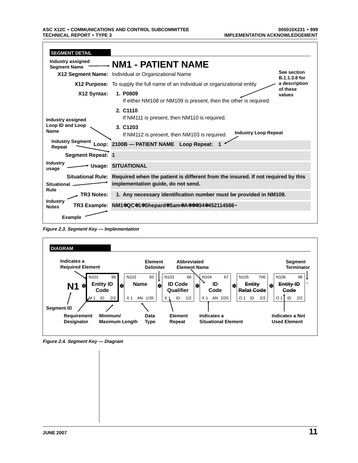| <b>SEGMENT DETAIL</b>                    |                                                                                                                                          |
|------------------------------------------|------------------------------------------------------------------------------------------------------------------------------------------|
| Industry assigned<br><b>Segment Name</b> | - NM1 - PATIENT NAME                                                                                                                     |
|                                          | See section<br>X12 Segment Name: Individual or Organizational Name<br><b>B.1.1.3.8 for</b>                                               |
|                                          | a description<br><b>X12 Purpose:</b> To supply the full name of an individual or organizational entity<br>of these                       |
| X12 Syntax:                              | 1. P0809<br>values<br>If either NM108 or NM109 is present, then the other is required.                                                   |
| Industry assigned                        | 2. C1110<br>If NM111 is present, then NM110 is required.                                                                                 |
| Loop ID and Loop<br><b>Name</b>          | 3. C <sub>1203</sub><br><b>Industry Loop Repeat</b><br>If NM112 is present, then NM103 is required.                                      |
| <b>Industry Segment</b><br>Repeat        | Loop: 2100B - PATIENT NAME Loop Repeat:                                                                                                  |
| <b>Segment Repeat: 1</b>                 |                                                                                                                                          |
| <b>Industry</b><br>usage                 | <b>Usage: SITUATIONAL</b>                                                                                                                |
| <b>Situational</b><br>Rule               | Situational Rule: Required when the patient is different from the insured. If not required by this<br>implementation guide, do not send. |
| TR3 Notes:                               | 1. Any necessary identification number must be provided in NM109.                                                                        |
| <b>Industry</b><br><b>Notes</b>          | TR3 Example: NM1*QC*1*Shepard*Sam*A***34*452114586~                                                                                      |
| <b>Example</b>                           |                                                                                                                                          |

**Figure 2.3. Segment Key — Implementation**



**Figure 2.4. Segment Key — Diagram**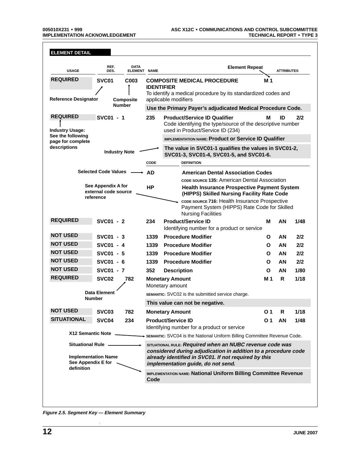| <b>USAGE</b>                              | REF.<br>DES.                                                              | <b>DATA</b><br>ELEMENT NAME |                                                                         | <b>Element Repeat</b>                                                                                                                                                                                                    |     | <b>ATTRIBUTES</b> |      |  |
|-------------------------------------------|---------------------------------------------------------------------------|-----------------------------|-------------------------------------------------------------------------|--------------------------------------------------------------------------------------------------------------------------------------------------------------------------------------------------------------------------|-----|-------------------|------|--|
| <b>REQUIRED</b>                           | SVC01                                                                     | C <sub>003</sub>            | <b>IDENTIFIER</b>                                                       | <b>COMPOSITE MEDICAL PROCEDURE</b><br>To identify a medical procedure by its standardized codes and                                                                                                                      | M 1 |                   |      |  |
| <b>Reference Designator</b>               |                                                                           | <b>Composite</b>            |                                                                         | applicable modifiers                                                                                                                                                                                                     |     |                   |      |  |
|                                           | <b>Number</b>                                                             |                             |                                                                         | Use the Primary Payer's adjudicated Medical Procedure Code.                                                                                                                                                              |     |                   |      |  |
| <b>REQUIRED</b><br><b>Industry Usage:</b> | SVC01 - 1                                                                 |                             | 235                                                                     | <b>Product/Service ID Qualifier</b><br>Code identifying the type/source of the descriptive number<br>used in Product/Service ID (234)                                                                                    | М   | ID                | 2/2  |  |
| See the following                         |                                                                           |                             |                                                                         | <b>IMPLEMENTATION NAME: Product or Service ID Qualifier</b>                                                                                                                                                              |     |                   |      |  |
| page for complete<br>descriptions         | <b>Industry Note</b>                                                      |                             |                                                                         | The value in SVC01-1 qualifies the values in SVC01-2,<br>SVC01-3, SVC01-4, SVC01-5, and SVC01-6.                                                                                                                         |     |                   |      |  |
|                                           |                                                                           |                             | CODE                                                                    | <b>DEFINITION</b>                                                                                                                                                                                                        |     |                   |      |  |
|                                           | <b>Selected Code Values</b>                                               |                             | <b>AD</b>                                                               | <b>American Dental Association Codes</b>                                                                                                                                                                                 |     |                   |      |  |
|                                           |                                                                           |                             |                                                                         | cope source 135: American Dental Association                                                                                                                                                                             |     |                   |      |  |
|                                           | See Appendix A for<br>external code source<br>reference                   |                             | НP                                                                      | <b>Health Insurance Prospective Payment System</b><br>(HIPPS) Skilled Nursing Facility Rate Code                                                                                                                         |     |                   |      |  |
|                                           |                                                                           |                             |                                                                         | CODE SOURCE 716: Health Insurance Prospective<br>Payment System (HIPPS) Rate Code for Skilled<br><b>Nursing Facilities</b>                                                                                               |     |                   |      |  |
| <b>REQUIRED</b>                           | SVC01 - 2                                                                 |                             | 234                                                                     | <b>Product/Service ID</b>                                                                                                                                                                                                | м   | AN                | 1/48 |  |
|                                           |                                                                           |                             |                                                                         | Identifying number for a product or service                                                                                                                                                                              |     |                   |      |  |
| <b>NOT USED</b><br><b>NOT USED</b>        | SVC01 - 3                                                                 |                             | 1339                                                                    | <b>Procedure Modifier</b>                                                                                                                                                                                                | O   | AN                | 2/2  |  |
| <b>NOT USED</b>                           | SVC01 - 4                                                                 |                             | 1339                                                                    | <b>Procedure Modifier</b>                                                                                                                                                                                                | O   | AN                | 2/2  |  |
| <b>NOT USED</b>                           | SVC01 - 5                                                                 |                             | 1339                                                                    | <b>Procedure Modifier</b>                                                                                                                                                                                                | O   | AN                | 2/2  |  |
| <b>NOT USED</b>                           | SVC01 - 6                                                                 |                             | 1339                                                                    | <b>Procedure Modifier</b>                                                                                                                                                                                                | O   | AN                | 2/2  |  |
| <b>REQUIRED</b>                           | SVC01 - 7                                                                 |                             | 352                                                                     | <b>Description</b>                                                                                                                                                                                                       | O   | AN                | 1/80 |  |
|                                           | SVC <sub>02</sub>                                                         | 782                         |                                                                         | <b>Monetary Amount</b><br>Monetary amount                                                                                                                                                                                | M 1 | R                 | 1/18 |  |
|                                           | Data Element                                                              |                             |                                                                         | SEMANTIC: SVC02 is the submitted service charge.                                                                                                                                                                         |     |                   |      |  |
|                                           | <b>Number</b>                                                             |                             |                                                                         | This value can not be negative.                                                                                                                                                                                          |     |                   |      |  |
| <b>NOT USED</b>                           | SVC03                                                                     | 782                         |                                                                         | <b>Monetary Amount</b>                                                                                                                                                                                                   | O 1 | R                 | 1/18 |  |
| <b>SITUATIONAL</b>                        | SVC04                                                                     | 234                         |                                                                         | <b>Product/Service ID</b>                                                                                                                                                                                                | O 1 | AN                | 1/48 |  |
|                                           | X12 Semantic Note                                                         |                             | Identifying number for a product or service                             |                                                                                                                                                                                                                          |     |                   |      |  |
|                                           |                                                                           |                             | SEMANTIC: SVC04 is the National Uniform Billing Committee Revenue Code. |                                                                                                                                                                                                                          |     |                   |      |  |
|                                           | Situational Rule ____<br><b>Implementation Name</b><br>See Appendix E for |                             |                                                                         | SITUATIONAL RULE: Required when an NUBC revenue code was<br>considered during adjudication in addition to a procedure code<br>already identified in SVC01. If not required by this<br>implementation guide, do not send. |     |                   |      |  |
| definition                                |                                                                           |                             | Code                                                                    | IMPLEMENTATION NAME: National Uniform Billing Committee Revenue                                                                                                                                                          |     |                   |      |  |

**Figure 2.5. Segment Key — Element Summary**

 $\hat{\boldsymbol{\beta}}$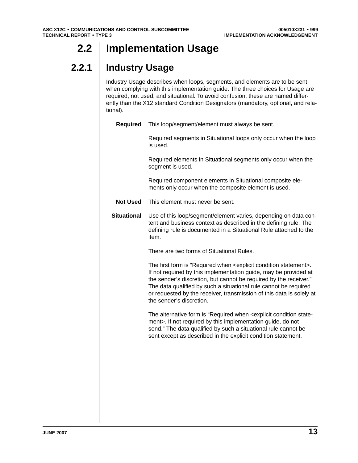## <span id="page-12-0"></span>**2.2 Implementation Usage**

## **2.2.1 Industry Usage**

Industry Usage describes when loops, segments, and elements are to be sent when complying with this implementation guide. The three choices for Usage are required, not used, and situational. To avoid confusion, these are named differently than the X12 standard Condition Designators (mandatory, optional, and relational).

| <b>Required</b>    | This loop/segment/element must always be sent.                                                                                                                                                                                                                                                                                                                                                          |
|--------------------|---------------------------------------------------------------------------------------------------------------------------------------------------------------------------------------------------------------------------------------------------------------------------------------------------------------------------------------------------------------------------------------------------------|
|                    | Required segments in Situational loops only occur when the loop<br>is used.                                                                                                                                                                                                                                                                                                                             |
|                    | Required elements in Situational segments only occur when the<br>segment is used.                                                                                                                                                                                                                                                                                                                       |
|                    | Required component elements in Situational composite ele-<br>ments only occur when the composite element is used.                                                                                                                                                                                                                                                                                       |
| <b>Not Used</b>    | This element must never be sent.                                                                                                                                                                                                                                                                                                                                                                        |
| <b>Situational</b> | Use of this loop/segment/element varies, depending on data con-<br>tent and business context as described in the defining rule. The<br>defining rule is documented in a Situational Rule attached to the<br>item.                                                                                                                                                                                       |
|                    | There are two forms of Situational Rules.                                                                                                                                                                                                                                                                                                                                                               |
|                    | The first form is "Required when <explicit condition="" statement="">.<br/>If not required by this implementation guide, may be provided at<br/>the sender's discretion, but cannot be required by the receiver."<br/>The data qualified by such a situational rule cannot be required<br/>or requested by the receiver, transmission of this data is solely at<br/>the sender's discretion.</explicit> |
|                    | The alternative form is "Required when <explicit condition="" state-<br="">ment&gt;. If not required by this implementation guide, do not<br/>send." The data qualified by such a situational rule cannot be<br/>sent except as described in the explicit condition statement.</explicit>                                                                                                               |
|                    |                                                                                                                                                                                                                                                                                                                                                                                                         |
|                    |                                                                                                                                                                                                                                                                                                                                                                                                         |
|                    |                                                                                                                                                                                                                                                                                                                                                                                                         |
|                    |                                                                                                                                                                                                                                                                                                                                                                                                         |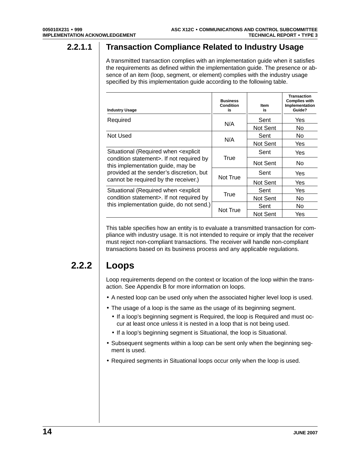### <span id="page-13-0"></span>**2.2.1.1 Transaction Compliance Related to Industry Usage**

A transmitted transaction complies with an implementation guide when it satisfies the requirements as defined within the implementation guide. The presence or absence of an item (loop, segment, or element) complies with the industry usage specified by this implementation guide according to the following table.

| <b>Industry Usage</b>                                                                      | <b>Business</b><br><b>Condition</b><br>is | <b>Item</b><br>is | <b>Transaction</b><br><b>Complies with</b><br>Implementation<br>Guide? |
|--------------------------------------------------------------------------------------------|-------------------------------------------|-------------------|------------------------------------------------------------------------|
| Required                                                                                   |                                           | Sent              | Yes                                                                    |
|                                                                                            | N/A                                       | Not Sent          | No.                                                                    |
| Not Used                                                                                   |                                           | Sent              | No.                                                                    |
|                                                                                            | N/A                                       | Not Sent          | Yes                                                                    |
| Situational (Required when <explicit< td=""><td></td><td>Sent</td><td>Yes</td></explicit<> |                                           | Sent              | Yes                                                                    |
| condition statement>. If not required by<br>this implementation guide, may be              | True                                      | Not Sent          | No.                                                                    |
| provided at the sender's discretion, but                                                   | Not True                                  | Sent              | Yes                                                                    |
| cannot be required by the receiver.)                                                       |                                           | Not Sent          | Yes                                                                    |
| Situational (Required when <explicit< td=""><td></td><td>Sent</td><td>Yes</td></explicit<> |                                           | Sent              | Yes                                                                    |
| condition statement>. If not required by                                                   | True                                      | Not Sent          | No                                                                     |
| this implementation guide, do not send.)                                                   |                                           | Sent              | No.                                                                    |
|                                                                                            | Not True                                  | Not Sent          | Yes                                                                    |

This table specifies how an entity is to evaluate a transmitted transaction for compliance with industry usage. It is not intended to require or imply that the receiver must reject non-compliant transactions. The receiver will handle non-compliant transactions based on its business process and any applicable regulations.

## **2.2.2 Loops**

Loop requirements depend on the context or location of the loop within the transaction. See Appendix B for more information on loops.

- A nested loop can be used only when the associated higher level loop is used.
- The usage of a loop is the same as the usage of its beginning segment.
	- If a loop's beginning segment is Required, the loop is Required and must occur at least once unless it is nested in a loop that is not being used.
	- If a loop's beginning segment is Situational, the loop is Situational.
- Subsequent segments within a loop can be sent only when the beginning segment is used.
- Required segments in Situational loops occur only when the loop is used.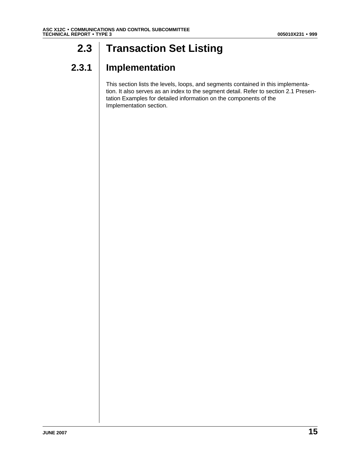## <span id="page-14-0"></span>**2.3 Transaction Set Listing**

## **2.3.1 Implementation**

This section lists the levels, loops, and segments contained in this implementation. It also serves as an index to the segment detail. Refer to section 2.1 Presentation Examples for detailed information on the components of the Implementation section.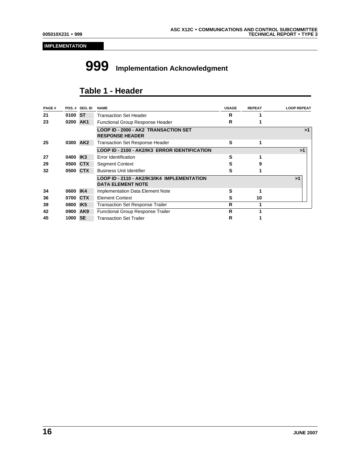#### **IMPLEMENTATION**

# **999 Implementation Acknowledgment**

## **Table 1 - Header**

| PAGE# |          | POS.# SEG. ID   | <b>NAME</b>                                                             | <b>USAGE</b> | <b>REPEAT</b> | <b>LOOP REPEAT</b> |
|-------|----------|-----------------|-------------------------------------------------------------------------|--------------|---------------|--------------------|
| 21    | 0100 ST  |                 | <b>Transaction Set Header</b>                                           | R            |               |                    |
| 23    | 0200     | AK1             | <b>Functional Group Response Header</b>                                 | R            |               |                    |
|       |          |                 | <b>LOOP ID - 2000 - AK2 TRANSACTION SET</b><br><b>RESPONSE HEADER</b>   |              |               | >1                 |
| 25    | 0300 AK2 |                 | <b>Transaction Set Response Header</b>                                  | s            | 1             |                    |
|       |          |                 | LOOP ID - 2100 - AK2/IK3 ERROR IDENTIFICATION                           |              |               | >1                 |
| 27    | 0400 IK3 |                 | Error Identification                                                    | s            |               |                    |
| 29    | 0500     | <b>CTX</b>      | <b>Segment Context</b>                                                  | s            | 9             |                    |
| 32    | 0500     | <b>CTX</b>      | <b>Business Unit Identifier</b>                                         | s            |               |                    |
|       |          |                 | LOOP ID - 2110 - AK2/IK3/IK4 IMPLEMENTATION<br><b>DATA ELEMENT NOTE</b> |              |               | >1                 |
| 34    | 0600 IK4 |                 | <b>Implementation Data Element Note</b>                                 | S            |               |                    |
| 36    | 0700 CTX |                 | <b>Element Context</b>                                                  | s            | 10            |                    |
| 39    | 0800     | IK <sub>5</sub> | <b>Transaction Set Response Trailer</b>                                 | R            |               |                    |
| 42    | 0900     | AK <sub>9</sub> | <b>Functional Group Response Trailer</b>                                | R            |               |                    |
| 45    | 1000     | <b>SE</b>       | <b>Transaction Set Trailer</b>                                          | R            |               |                    |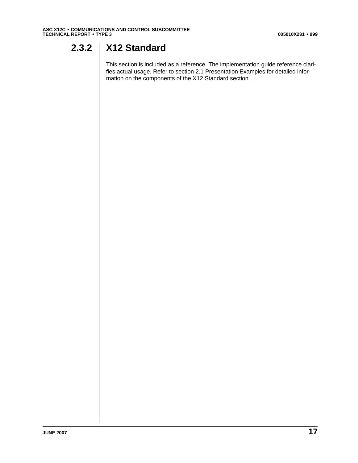## <span id="page-16-0"></span>**2.3.2 X12 Standard**

This section is included as a reference. The implementation guide reference clarifies actual usage. Refer to section 2.1 Presentation Examples for detailed information on the components of the X12 Standard section.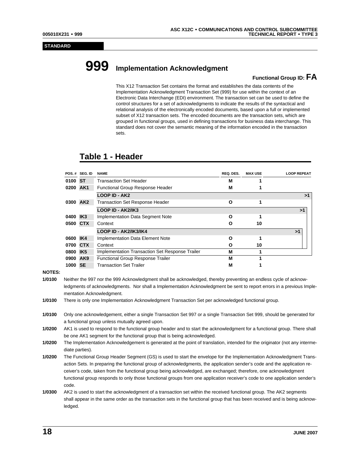#### **STANDARD**

# **999 Implementation Acknowledgment**

#### **Functional Group ID: FA**

This X12 Transaction Set contains the format and establishes the data contents of the Implementation Acknowledgment Transaction Set (999) for use within the context of an Electronic Data Interchange (EDI) environment. The transaction set can be used to define the control structures for a set of acknowledgments to indicate the results of the syntactical and relational analysis of the electronically encoded documents, based upon a full or implemented subset of X12 transaction sets. The encoded documents are the transaction sets, which are grouped in functional groups, used in defining transactions for business data interchange. This standard does not cover the semantic meaning of the information encoded in the transaction sets.

### **Table 1 - Header**

|          | POS.# SEG. ID | <b>NAME</b>                                     | REQ. DES. | <b>MAX USE</b> | <b>LOOP REPEAT</b> |
|----------|---------------|-------------------------------------------------|-----------|----------------|--------------------|
| 0100 ST  |               | <b>Transaction Set Header</b>                   | М         |                |                    |
| 0200 AK1 |               | <b>Functional Group Response Header</b>         | М         |                |                    |
|          |               | <b>LOOP ID - AK2</b>                            |           |                | >1                 |
| 0300 AK2 |               | <b>Transaction Set Response Header</b>          | O         |                |                    |
|          |               | LOOP ID - AK2/IK3                               |           |                | >1                 |
| 0400 IK3 |               | Implementation Data Segment Note                | O         |                |                    |
| 0500 CTX |               | Context                                         | О         | 10             |                    |
|          |               | <b>LOOP ID - AK2/IK3/IK4</b>                    |           |                | >1                 |
| 0600 IK4 |               | Implementation Data Element Note                | Ο         |                |                    |
| 0700 CTX |               | Context                                         | О         | 10             |                    |
| 0800 IK5 |               | Implementation Transaction Set Response Trailer | M         |                |                    |
| 0900 AK9 |               | <b>Functional Group Response Trailer</b>        | M         |                |                    |
| 1000 SE  |               | <b>Transaction Set Trailer</b>                  | М         |                |                    |

#### **NOTES:**

- **1/0100** Neither the 997 nor the 999 Acknowledgment shall be acknowledged, thereby preventing an endless cycle of acknowledgments of acknowledgments. Nor shall a Implementation Acknowledgment be sent to report errors in a previous Implementation Acknowledgment.
- **1/0100** There is only one Implementation Acknowledgment Transaction Set per acknowledged functional group.
- **1/0100** Only one acknowledgement, either a single Transaction Set 997 or a single Transaction Set 999, should be generated for a functional group unless mutually agreed upon.
- **1/0200** AK1 is used to respond to the functional group header and to start the acknowledgment for a functional group. There shall be one AK1 segment for the functional group that is being acknowledged.
- **1/0200** The Implementation Acknowledgement is generated at the point of translation, intended for the originator (not any intermediate parties).
- **1/0200** The Functional Group Header Segment (GS) is used to start the envelope for the Implementation Acknowledgment Transaction Sets. In preparing the functional group of acknowledgments, the application sender's code and the application receiver's code, taken from the functional group being acknowledged, are exchanged; therefore, one acknowledgment functional group responds to only those functional groups from one application receiver's code to one application sender's code.

**1/0300** AK2 is used to start the acknowledgment of a transaction set within the received functional group. The AK2 segments shall appear in the same order as the transaction sets in the functional group that has been received and is being acknowledged.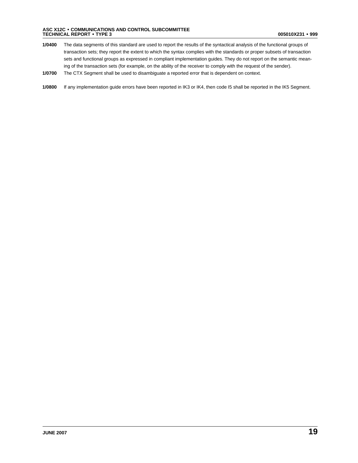- **1/0400** The data segments of this standard are used to report the results of the syntactical analysis of the functional groups of transaction sets; they report the extent to which the syntax complies with the standards or proper subsets of transaction sets and functional groups as expressed in compliant implementation guides. They do not report on the semantic meaning of the transaction sets (for example, on the ability of the receiver to comply with the request of the sender).
- **1/0700** The CTX Segment shall be used to disambiguate a reported error that is dependent on context.
- **1/0800** If any implementation guide errors have been reported in IK3 or IK4, then code I5 shall be reported in the IK5 Segment.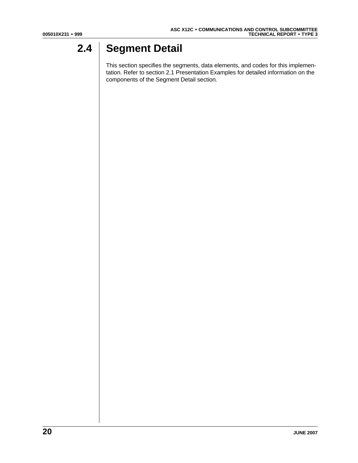## <span id="page-19-0"></span>**2.4 Segment Detail**

This section specifies the segments, data elements, and codes for this implementation. Refer to section 2.1 Presentation Examples for detailed information on the components of the Segment Detail section.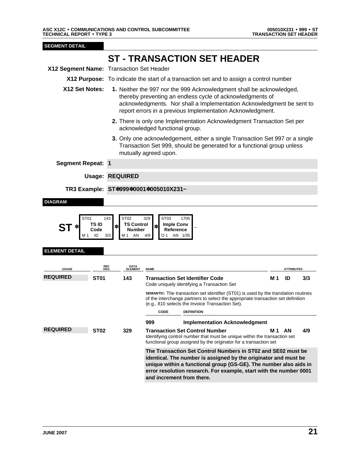<span id="page-20-0"></span>

|                                          |                                                              | <b>ST - TRANSACTION SET HEADER</b>                                                                                                                                                                                                                                                                      |                   |  |
|------------------------------------------|--------------------------------------------------------------|---------------------------------------------------------------------------------------------------------------------------------------------------------------------------------------------------------------------------------------------------------------------------------------------------------|-------------------|--|
| X12 Segment Name: Transaction Set Header |                                                              |                                                                                                                                                                                                                                                                                                         |                   |  |
|                                          |                                                              | X12 Purpose: To indicate the start of a transaction set and to assign a control number                                                                                                                                                                                                                  |                   |  |
| X12 Set Notes:                           |                                                              | 1. Neither the 997 nor the 999 Acknowledgment shall be acknowledged,<br>thereby preventing an endless cycle of acknowledgments of<br>acknowledgments. Nor shall a Implementation Acknowledgment be sent to<br>report errors in a previous Implementation Acknowledgment.                                |                   |  |
|                                          |                                                              | 2. There is only one Implementation Acknowledgment Transaction Set per<br>acknowledged functional group.                                                                                                                                                                                                |                   |  |
|                                          |                                                              | 3. Only one acknowledgement, either a single Transaction Set 997 or a single<br>Transaction Set 999, should be generated for a functional group unless<br>mutually agreed upon.                                                                                                                         |                   |  |
| <b>Segment Repeat: 1</b>                 |                                                              |                                                                                                                                                                                                                                                                                                         |                   |  |
|                                          | <b>Usage: REQUIRED</b>                                       |                                                                                                                                                                                                                                                                                                         |                   |  |
|                                          |                                                              | TR3 Example: ST*999*0001*005010X231~                                                                                                                                                                                                                                                                    |                   |  |
| <b>DIAGRAM</b><br>ST01<br>ST             | ST <sub>02</sub><br>143<br>TS ID<br>Code<br>3/3<br>ID<br>M 1 | ST <sub>03</sub><br>1705<br>329<br><b>TS Control</b><br><b>Imple Conv</b><br>Reference<br>Number<br>AN<br>4/9<br>O 1<br>AN 1/35                                                                                                                                                                         |                   |  |
| <b>ELEMENT DETAIL</b>                    |                                                              |                                                                                                                                                                                                                                                                                                         |                   |  |
| <b>USAGE</b>                             | REF.<br>DES.                                                 | <b>DATA<br/>ELEMENT</b><br><b>NAME</b>                                                                                                                                                                                                                                                                  | <b>ATTRIBUTES</b> |  |
| <b>REQUIRED</b>                          | <b>ST01</b><br>143                                           | <b>Transaction Set Identifier Code</b><br>M 1<br>Code uniquely identifying a Transaction Set                                                                                                                                                                                                            | ID<br>3/3         |  |
|                                          |                                                              | SEMANTIC: The transaction set identifier (ST01) is used by the translation routines<br>of the interchange partners to select the appropriate transaction set definition<br>(e.g., 810 selects the Invoice Transaction Set).                                                                             |                   |  |
|                                          |                                                              | <b>CODE</b><br><b>DEFINITION</b>                                                                                                                                                                                                                                                                        |                   |  |
|                                          |                                                              | 999<br><b>Implementation Acknowledgment</b>                                                                                                                                                                                                                                                             |                   |  |
| <b>REQUIRED</b>                          | <b>ST02</b><br>329                                           | <b>Transaction Set Control Number</b><br>M <sub>1</sub> AN<br>Identifying control number that must be unique within the transaction set<br>functional group assigned by the originator for a transaction set                                                                                            | 4/9               |  |
|                                          |                                                              | The Transaction Set Control Numbers in ST02 and SE02 must be<br>identical. The number is assigned by the originator and must be<br>unique within a functional group (GS-GE). The number also aids in<br>error resolution research. For example, start with the number 0001<br>and increment from there. |                   |  |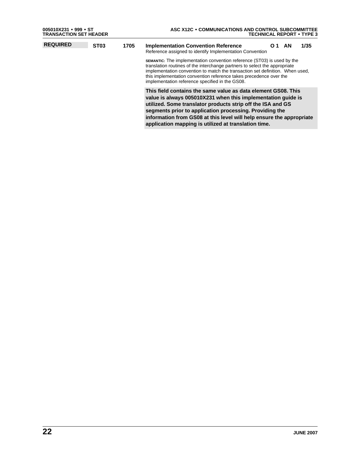| 005010X231 • 999 • ST<br><b>TRANSACTION SET HEADER</b> |             |      | ASC X12C . COMMUNICATIONS AND CONTROL SUBCOMMITTEE<br><b>TECHNICAL REPORT • TYPE 3</b>                                                                                                                                                                                                                                                                                                  |  |  |  |  |
|--------------------------------------------------------|-------------|------|-----------------------------------------------------------------------------------------------------------------------------------------------------------------------------------------------------------------------------------------------------------------------------------------------------------------------------------------------------------------------------------------|--|--|--|--|
| <b>REQUIRED</b>                                        | <b>ST03</b> | 1705 | <b>Implementation Convention Reference</b><br>1/35<br><b>AN</b><br>O.<br>Reference assigned to identify Implementation Convention                                                                                                                                                                                                                                                       |  |  |  |  |
|                                                        |             |      | <b>SEMANTIC:</b> The implementation convention reference (ST03) is used by the<br>translation routines of the interchange partners to select the appropriate<br>implementation convention to match the transaction set definition. When used,<br>this implementation convention reference takes precedence over the<br>implementation reference specified in the GS08.                  |  |  |  |  |
|                                                        |             |      | This field contains the same value as data element GS08. This<br>value is always 005010X231 when this implementation quide is<br>utilized. Some translator products strip off the ISA and GS<br>segments prior to application processing. Providing the<br>information from GS08 at this level will help ensure the appropriate<br>application mapping is utilized at translation time. |  |  |  |  |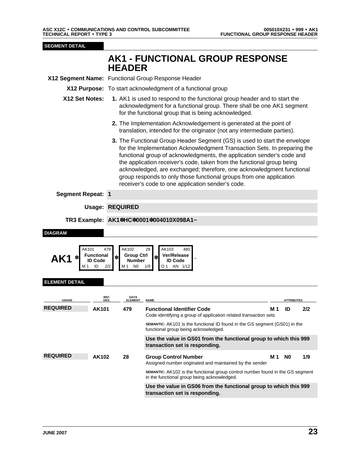<span id="page-22-0"></span>AK1 FUNCTIONAL GROUP RESPONSE HEADER 005010X231 FUNCTIONAL GROUP RESPONSE HEADER • 999 • AK1

| <b>SEGMENT DETAIL</b>                 |                                                                   |                                                                                                                                                                                                                                                                                                                                                                                                                                                                                                                |                                                                                                                                                |     |                   |     |  |  |  |  |  |
|---------------------------------------|-------------------------------------------------------------------|----------------------------------------------------------------------------------------------------------------------------------------------------------------------------------------------------------------------------------------------------------------------------------------------------------------------------------------------------------------------------------------------------------------------------------------------------------------------------------------------------------------|------------------------------------------------------------------------------------------------------------------------------------------------|-----|-------------------|-----|--|--|--|--|--|
|                                       |                                                                   | <b>HEADER</b>                                                                                                                                                                                                                                                                                                                                                                                                                                                                                                  | <b>AK1 - FUNCTIONAL GROUP RESPONSE</b>                                                                                                         |     |                   |     |  |  |  |  |  |
|                                       |                                                                   | X12 Segment Name: Functional Group Response Header                                                                                                                                                                                                                                                                                                                                                                                                                                                             |                                                                                                                                                |     |                   |     |  |  |  |  |  |
|                                       |                                                                   |                                                                                                                                                                                                                                                                                                                                                                                                                                                                                                                | X12 Purpose: To start acknowledgment of a functional group                                                                                     |     |                   |     |  |  |  |  |  |
| X12 Set Notes:                        |                                                                   | 1. AK1 is used to respond to the functional group header and to start the<br>acknowledgment for a functional group. There shall be one AK1 segment<br>for the functional group that is being acknowledged.                                                                                                                                                                                                                                                                                                     |                                                                                                                                                |     |                   |     |  |  |  |  |  |
|                                       |                                                                   |                                                                                                                                                                                                                                                                                                                                                                                                                                                                                                                | 2. The Implementation Acknowledgement is generated at the point of<br>translation, intended for the originator (not any intermediate parties). |     |                   |     |  |  |  |  |  |
|                                       |                                                                   | 3. The Functional Group Header Segment (GS) is used to start the envelope<br>for the Implementation Acknowledgment Transaction Sets. In preparing the<br>functional group of acknowledgments, the application sender's code and<br>the application receiver's code, taken from the functional group being<br>acknowledged, are exchanged; therefore, one acknowledgment functional<br>group responds to only those functional groups from one application<br>receiver's code to one application sender's code. |                                                                                                                                                |     |                   |     |  |  |  |  |  |
| <b>Segment Repeat: 1</b>              |                                                                   |                                                                                                                                                                                                                                                                                                                                                                                                                                                                                                                |                                                                                                                                                |     |                   |     |  |  |  |  |  |
|                                       |                                                                   | <b>Usage: REQUIRED</b>                                                                                                                                                                                                                                                                                                                                                                                                                                                                                         |                                                                                                                                                |     |                   |     |  |  |  |  |  |
|                                       |                                                                   |                                                                                                                                                                                                                                                                                                                                                                                                                                                                                                                | TR3 Example: AK1*HC*0001*004010X098A1~                                                                                                         |     |                   |     |  |  |  |  |  |
| <b>DIAGRAM</b><br>AK101<br>AK1<br>M 1 | 479<br><b>Functional</b><br>$\ast$<br><b>ID Code</b><br>ID<br>2/2 | AK102<br><b>Group Ctrl</b><br>Number<br>N <sub>0</sub><br>M 1                                                                                                                                                                                                                                                                                                                                                                                                                                                  | AK103<br>28<br>480<br>Ver/Release<br>∗<br><b>ID Code</b><br>1/9<br>O 1<br>AN 1/12                                                              |     |                   |     |  |  |  |  |  |
| <b>ELEMENT DETAIL</b>                 |                                                                   |                                                                                                                                                                                                                                                                                                                                                                                                                                                                                                                |                                                                                                                                                |     |                   |     |  |  |  |  |  |
| <b>USAGE</b>                          | REF.<br>DES.                                                      | <b>DATA</b><br><b>ELEMENT</b>                                                                                                                                                                                                                                                                                                                                                                                                                                                                                  | <b>NAME</b>                                                                                                                                    |     | <b>ATTRIBUTES</b> |     |  |  |  |  |  |
| <b>REQUIRED</b>                       | AK101                                                             | 479                                                                                                                                                                                                                                                                                                                                                                                                                                                                                                            | <b>Functional Identifier Code</b><br>Code identifying a group of application related transaction sets                                          | M 1 | ID                | 2/2 |  |  |  |  |  |
|                                       |                                                                   |                                                                                                                                                                                                                                                                                                                                                                                                                                                                                                                | SEMANTIC: AK101 is the functional ID found in the GS segment (GS01) in the<br>functional group being acknowledged.                             |     |                   |     |  |  |  |  |  |
|                                       |                                                                   |                                                                                                                                                                                                                                                                                                                                                                                                                                                                                                                | Use the value in GS01 from the functional group to which this 999<br>transaction set is responding.                                            |     |                   |     |  |  |  |  |  |
| <b>REQUIRED</b>                       | <b>AK102</b>                                                      | 28                                                                                                                                                                                                                                                                                                                                                                                                                                                                                                             | <b>Group Control Number</b><br>Assigned number originated and maintained by the sender                                                         | M 1 | N <sub>0</sub>    | 1/9 |  |  |  |  |  |
|                                       |                                                                   |                                                                                                                                                                                                                                                                                                                                                                                                                                                                                                                | SEMANTIC: AK102 is the functional group control number found in the GS segment<br>in the functional group being acknowledged.                  |     |                   |     |  |  |  |  |  |
|                                       |                                                                   | Use the value in GS06 from the functional group to which this 999<br>transaction set is responding.                                                                                                                                                                                                                                                                                                                                                                                                            |                                                                                                                                                |     |                   |     |  |  |  |  |  |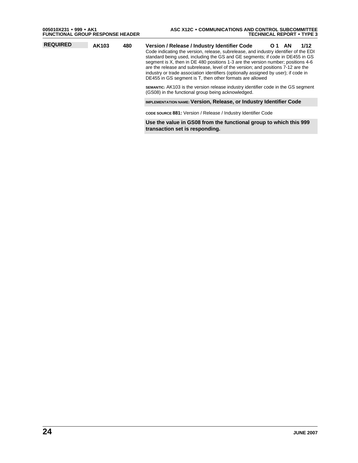| $005010X231 \bullet 999 \bullet AK1$ | <b>FUNCTIONAL GROUP RESPONSE HEADER</b> |
|--------------------------------------|-----------------------------------------|
|                                      |                                         |

| <b>REQUIRED</b> | AK103 | 480 | Version / Release / Industry Identifier Code<br>1/12<br>- AN<br>O 1<br>Code indicating the version, release, subrelease, and industry identifier of the EDI<br>standard being used, including the GS and GE segments; if code in DE455 in GS<br>segment is X, then in DE 480 positions 1-3 are the version number; positions 4-6<br>are the release and subrelease, level of the version; and positions 7-12 are the<br>industry or trade association identifiers (optionally assigned by user); if code in<br>DE455 in GS segment is T, then other formats are allowed<br><b>SEMANTIC:</b> AK103 is the version release industry identifier code in the GS segment<br>(GS08) in the functional group being acknowledged. |
|-----------------|-------|-----|---------------------------------------------------------------------------------------------------------------------------------------------------------------------------------------------------------------------------------------------------------------------------------------------------------------------------------------------------------------------------------------------------------------------------------------------------------------------------------------------------------------------------------------------------------------------------------------------------------------------------------------------------------------------------------------------------------------------------|
|                 |       |     | <b>IMPLEMENTATION NAME: Version, Release, or Industry Identifier Code</b>                                                                                                                                                                                                                                                                                                                                                                                                                                                                                                                                                                                                                                                 |
|                 |       |     | CODE SOURCE 881: Version / Release / Industry Identifier Code                                                                                                                                                                                                                                                                                                                                                                                                                                                                                                                                                                                                                                                             |
|                 |       |     | Use the value in GS08 from the functional group to which this 999<br>transaction set is responding.                                                                                                                                                                                                                                                                                                                                                                                                                                                                                                                                                                                                                       |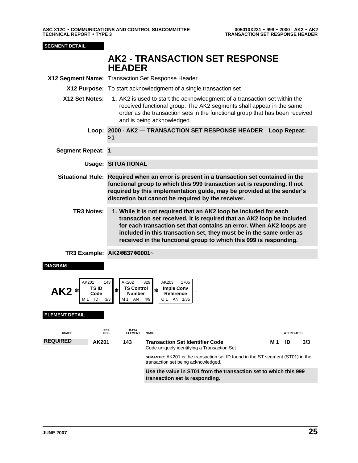<span id="page-24-0"></span>**SEGMENT DETAIL** 

## **<sup>7</sup> AK2 - TRANSACTION SET RESPONSE HEADER**

|                                         |                                             | X12 Segment Name: Transaction Set Response Header                                                                                                                                                                                                                                                                                                             |                                                                                                                               |     |                         |     |  |  |  |
|-----------------------------------------|---------------------------------------------|---------------------------------------------------------------------------------------------------------------------------------------------------------------------------------------------------------------------------------------------------------------------------------------------------------------------------------------------------------------|-------------------------------------------------------------------------------------------------------------------------------|-----|-------------------------|-----|--|--|--|
|                                         |                                             | X12 Purpose: To start acknowledgment of a single transaction set                                                                                                                                                                                                                                                                                              |                                                                                                                               |     |                         |     |  |  |  |
| X12 Set Notes:                          |                                             | 1. AK2 is used to start the acknowledgment of a transaction set within the<br>received functional group. The AK2 segments shall appear in the same<br>order as the transaction sets in the functional group that has been received<br>and is being acknowledged.                                                                                              |                                                                                                                               |     |                         |     |  |  |  |
|                                         | >1                                          |                                                                                                                                                                                                                                                                                                                                                               | Loop: 2000 - AK2 - TRANSACTION SET RESPONSE HEADER Loop Repeat:                                                               |     |                         |     |  |  |  |
| <b>Segment Repeat: 1</b>                |                                             |                                                                                                                                                                                                                                                                                                                                                               |                                                                                                                               |     |                         |     |  |  |  |
|                                         | <b>Usage: SITUATIONAL</b>                   |                                                                                                                                                                                                                                                                                                                                                               |                                                                                                                               |     |                         |     |  |  |  |
|                                         |                                             | Situational Rule: Required when an error is present in a transaction set contained in the<br>functional group to which this 999 transaction set is responding. If not<br>required by this implementation guide, may be provided at the sender's<br>discretion but cannot be required by the receiver.                                                         |                                                                                                                               |     |                         |     |  |  |  |
| <b>TR3 Notes:</b>                       |                                             | 1. While it is not required that an AK2 loop be included for each<br>transaction set received, it is required that an AK2 loop be included<br>for each transaction set that contains an error. When AK2 loops are<br>included in this transaction set, they must be in the same order as<br>received in the functional group to which this 999 is responding. |                                                                                                                               |     |                         |     |  |  |  |
| TR3 Example: AK2*837*0001~              |                                             |                                                                                                                                                                                                                                                                                                                                                               |                                                                                                                               |     |                         |     |  |  |  |
| <b>DIAGRAM</b>                          |                                             |                                                                                                                                                                                                                                                                                                                                                               |                                                                                                                               |     |                         |     |  |  |  |
| AK201<br>AK2 *<br><b>ELEMENT DETAIL</b> | 143<br>TS ID<br>$\ast$<br>Code<br>ID<br>3/3 | AK202<br><b>TS Control</b><br><b>Number</b><br>M1 AN                                                                                                                                                                                                                                                                                                          | AK203<br>329<br>1705<br>Imple Conv<br>$\ast$<br>Reference<br>4/9<br>O 1<br>AN 1/35                                            |     |                         |     |  |  |  |
|                                         | REF.                                        | DATA                                                                                                                                                                                                                                                                                                                                                          |                                                                                                                               |     |                         |     |  |  |  |
| <b>USAGE</b><br><b>REQUIRED</b>         | AK201                                       | <b>ELEMENT</b><br>143                                                                                                                                                                                                                                                                                                                                         | <b>NAME</b><br><b>Transaction Set Identifier Code</b>                                                                         | M 1 | <u>ATTRIBUTES</u><br>ID | 3/3 |  |  |  |
|                                         |                                             |                                                                                                                                                                                                                                                                                                                                                               | Code uniquely identifying a Transaction Set                                                                                   |     |                         |     |  |  |  |
|                                         |                                             |                                                                                                                                                                                                                                                                                                                                                               | <b>SEMANTIC:</b> AK201 is the transaction set ID found in the ST segment (ST01) in the<br>transaction set being acknowledged. |     |                         |     |  |  |  |
|                                         |                                             |                                                                                                                                                                                                                                                                                                                                                               | Use the value in ST01 from the transaction set to which this 999<br>transaction set is responding.                            |     |                         |     |  |  |  |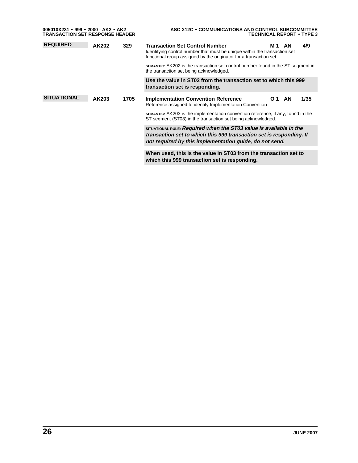| 005010X231 • 999 • 2000 - AK2 • AK2<br><b>TRANSACTION SET RESPONSE HEADER</b> |       |                                                                                                                                                                                                      | ASC X12C . COMMUNICATIONS AND CONTROL SUBCOMMITTEE<br><b>TECHNICAL REPORT • TYPE 3</b>                                                                                                                      |  |  |  |  |
|-------------------------------------------------------------------------------|-------|------------------------------------------------------------------------------------------------------------------------------------------------------------------------------------------------------|-------------------------------------------------------------------------------------------------------------------------------------------------------------------------------------------------------------|--|--|--|--|
| <b>REQUIRED</b>                                                               | AK202 | 329                                                                                                                                                                                                  | <b>Transaction Set Control Number</b><br>4/9<br>AN<br>M 1<br>Identifying control number that must be unique within the transaction set<br>functional group assigned by the originator for a transaction set |  |  |  |  |
|                                                                               |       | SEMANTIC: AK202 is the transaction set control number found in the ST segment in<br>the transaction set being acknowledged.                                                                          |                                                                                                                                                                                                             |  |  |  |  |
|                                                                               |       | Use the value in ST02 from the transaction set to which this 999<br>transaction set is responding.                                                                                                   |                                                                                                                                                                                                             |  |  |  |  |
| <b>SITUATIONAL</b>                                                            | AK203 | 1705                                                                                                                                                                                                 | <b>Implementation Convention Reference</b><br><b>AN</b><br>1/35<br>O 1<br>Reference assigned to identify Implementation Convention                                                                          |  |  |  |  |
|                                                                               |       | <b>SEMANTIC:</b> AK203 is the implementation convention reference, if any, found in the<br>ST segment (ST03) in the transaction set being acknowledged.                                              |                                                                                                                                                                                                             |  |  |  |  |
|                                                                               |       | SITUATIONAL RULE: Required when the ST03 value is available in the<br>transaction set to which this 999 transaction set is responding. If<br>not required by this implementation guide, do not send. |                                                                                                                                                                                                             |  |  |  |  |
|                                                                               |       | When used, this is the value in ST03 from the transaction set to<br>which this 999 transaction set is responding.                                                                                    |                                                                                                                                                                                                             |  |  |  |  |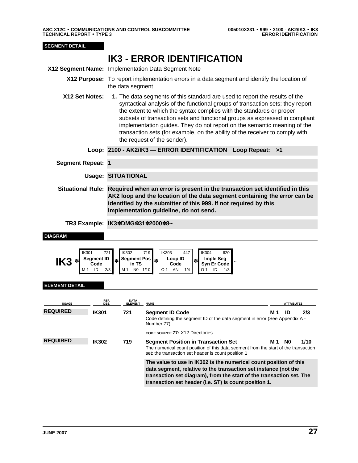<span id="page-26-0"></span>IK3 IMPLEMENTATION DATA SEGMENT NOTE 005010X231 ERROR IDENTIFICATION • 999 • 2100 - AK2/IK3 • IK3 **SEGMENT DETAIL <sup>11</sup> IK3 - ERROR IDENTIFICATION X12 Segment Name:** Implementation Data Segment Note **X12 Purpose:** To report implementation errors in a data segment and identify the location of the data segment **X12 Set Notes: 1.** The data segments of this standard are used to report the results of the syntactical analysis of the functional groups of transaction sets; they report the extent to which the syntax complies with the standards or proper subsets of transaction sets and functional groups as expressed in compliant implementation guides. They do not report on the semantic meaning of the transaction sets (for example, on the ability of the receiver to comply with the request of the sender). **Loop: 2100 - AK2/IK3 — ERROR IDENTIFICATION Loop Repeat: >1 Segment Repeat: 1 Usage: SITUATIONAL 51 Situational Rule: Required when an error is present in the transaction set identified in this AK2 loop and the location of the data segment containing the error can be identified by the submitter of this 999. If not required by this implementation guideline, do not send. 50 TR3 Example: IK3**✽**DMG**✽**31**✽**2000**✽**8~ DIAGRAM** IK301 721 IK302 719 IK303 447 IK304 620  $\text{IK3}$   $*$  Segment ID Code **Code** ✽ **Segment Pos in TS** ✽ **Loop ID Code** ✽ **Imple Seg Syn Er Code** <sup>~</sup> N0 1/10 01 AN 1/4 01 ID 1/3 **ELEMENT DETAIL USAGE REF. DES. DATA ELEMENT NAME ATTRIBUTES REQUIRED IK301 721 Segment ID Code M 1 ID 2/3** Code defining the segment ID of the data segment in error (See Appendix A - Number 77) **CODE SOURCE 77:** X12 Directories **REQUIRED IK302 719 Segment Position in Transaction Set M 1 N0 1/10** The numerical count position of this data segment from the start of the transaction set: the transaction set header is count position 1 **60 The value to use in IK302 is the numerical count position of this data segment, relative to the transaction set instance (not the transaction set diagram), from the start of the transaction set. The transaction set header (i.e. ST) is count position 1.**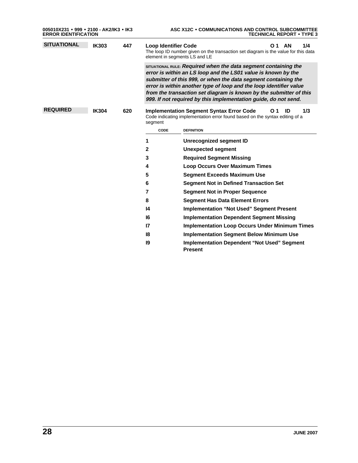| 005010X231 • 999 • 2100 - AK2/IK3 • IK3<br><b>ERROR IDENTIFICATION</b> |              |     | ASC X12C . COMMUNICATIONS AND CONTROL SUBCOMMITTEE<br><b>TECHNICAL REPORT • TYPE 3</b> |                                                                                                                                                                                                                                                                                                                                                                                                                   |  |  |  |  |
|------------------------------------------------------------------------|--------------|-----|----------------------------------------------------------------------------------------|-------------------------------------------------------------------------------------------------------------------------------------------------------------------------------------------------------------------------------------------------------------------------------------------------------------------------------------------------------------------------------------------------------------------|--|--|--|--|
| <b>SITUATIONAL</b><br><b>IK303</b>                                     |              | 447 | <b>Loop Identifier Code</b>                                                            | <b>AN</b><br>1/4<br>O 1<br>The loop ID number given on the transaction set diagram is the value for this data<br>element in segments LS and LE                                                                                                                                                                                                                                                                    |  |  |  |  |
|                                                                        |              |     |                                                                                        | SITUATIONAL RULE: Required when the data segment containing the<br>error is within an LS loop and the LS01 value is known by the<br>submitter of this 999, or when the data segment containing the<br>error is within another type of loop and the loop identifier value<br>from the transaction set diagram is known by the submitter of this<br>999. If not required by this implementation guide, do not send. |  |  |  |  |
| <b>REQUIRED</b>                                                        | <b>IK304</b> | 620 | segment                                                                                | 1/3<br><b>Implementation Segment Syntax Error Code</b><br>O 1<br>ID<br>Code indicating implementation error found based on the syntax editing of a                                                                                                                                                                                                                                                                |  |  |  |  |
|                                                                        |              |     | <b>CODE</b>                                                                            | <b>DEFINITION</b>                                                                                                                                                                                                                                                                                                                                                                                                 |  |  |  |  |
|                                                                        |              |     | 1                                                                                      | Unrecognized segment ID                                                                                                                                                                                                                                                                                                                                                                                           |  |  |  |  |
|                                                                        |              |     | 2                                                                                      | Unexpected segment                                                                                                                                                                                                                                                                                                                                                                                                |  |  |  |  |
|                                                                        |              |     | 3                                                                                      | <b>Required Segment Missing</b>                                                                                                                                                                                                                                                                                                                                                                                   |  |  |  |  |
|                                                                        |              |     | 4                                                                                      | <b>Loop Occurs Over Maximum Times</b>                                                                                                                                                                                                                                                                                                                                                                             |  |  |  |  |
|                                                                        |              |     | 5                                                                                      | <b>Segment Exceeds Maximum Use</b>                                                                                                                                                                                                                                                                                                                                                                                |  |  |  |  |
|                                                                        |              |     | 6                                                                                      | <b>Segment Not in Defined Transaction Set</b>                                                                                                                                                                                                                                                                                                                                                                     |  |  |  |  |
|                                                                        |              |     | $\overline{7}$                                                                         | <b>Segment Not in Proper Sequence</b>                                                                                                                                                                                                                                                                                                                                                                             |  |  |  |  |
|                                                                        |              |     | 8                                                                                      | <b>Segment Has Data Element Errors</b>                                                                                                                                                                                                                                                                                                                                                                            |  |  |  |  |
|                                                                        |              |     | 14                                                                                     | <b>Implementation "Not Used" Segment Present</b>                                                                                                                                                                                                                                                                                                                                                                  |  |  |  |  |
|                                                                        |              |     | 16                                                                                     | <b>Implementation Dependent Segment Missing</b>                                                                                                                                                                                                                                                                                                                                                                   |  |  |  |  |
|                                                                        |              |     | 17                                                                                     | <b>Implementation Loop Occurs Under Minimum Times</b>                                                                                                                                                                                                                                                                                                                                                             |  |  |  |  |
|                                                                        |              |     | 18                                                                                     | <b>Implementation Segment Below Minimum Use</b>                                                                                                                                                                                                                                                                                                                                                                   |  |  |  |  |
|                                                                        |              |     | 19                                                                                     | <b>Implementation Dependent "Not Used" Segment</b><br><b>Present</b>                                                                                                                                                                                                                                                                                                                                              |  |  |  |  |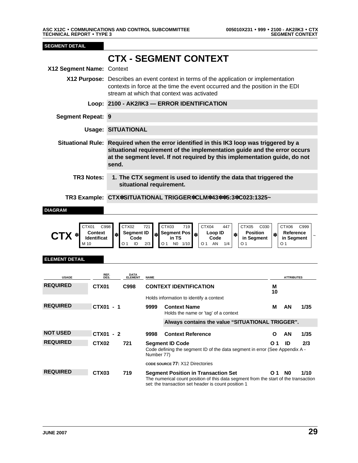<span id="page-28-0"></span>CTX CTX CTX CONTEXT + 999 • 2100 • 2100 • 2100 • 2100 • 2100 • 2100 • 2100 • 2100 • 2100 • 2100 • 2100 • 2100 **SEGMENT DETAIL <sup>62</sup> CTX - SEGMENT CONTEXT X12 Segment Name:** Context **X12 Purpose:** Describes an event context in terms of the application or implementation contexts in force at the time the event occurred and the position in the EDI stream at which that context was activated **Loop: 2100 - AK2/IK3 — ERROR IDENTIFICATION Segment Repeat: 9 Usage: SITUATIONAL 64 Situational Rule: Required when the error identified in this IK3 loop was triggered by a situational requirement of the implementation guide and the error occurs at the segment level. If not required by this implementation guide, do not send. 65 TR3 Notes: 1. The CTX segment is used to identify the data that triggered the situational requirement. 123 TR3 Example: CTX**✽**SITUATIONAL TRIGGER**✽**CLM**✽**43**✽✽**5:3**✽**C023:1325~ DIAGRAM** CTX01 C998 CTX02 721 CTX03 719 CTX04 447 CTX05 C030 CTX06 C999 CTX  $*$  **CONTER CONTER CTX CONTER CONTER Segment ID<br>Code Code** ✽ **Segment Pos in TS** ✽ **Loop ID Code** ✽ **Position in Segment** ✽ **Reference Reference**<br>in Segment M 10 O 1 ID 2/3 O 1 N0 1/10 O 1 AN 1/4 O 1 O 1 **ELEMENT DETAIL USAGE REF. DES. DATA ELEMENT REPORT OF STATISTICS IN A SERVICE STATISTICS** ATTRIBUTES **REQUIRED CTX01 C998 CONTEXT IDENTIFICATION M 10** Holds information to identify a context REQUIRED **CTX01 - 1** 9999 Context Name M AN 1/35 Holds the name or 'tag' of a context **66 Always contains the value "SITUATIONAL TRIGGER". NOT USED CTX01 - 2** 9998 Context Reference **COM 20 CON 1/35** REQUIRED CTX02 721 Segment ID Code 01 ID 2/3 Code defining the segment ID of the data segment in error (See Appendix A - Number 77) **CODE SOURCE 77:** X12 Directories REQUIRED **CTX03** 719 Segment Position in Transaction Set 01 N0 1/10 The numerical count position of this data segment from the start of the transaction set: the transaction set header is count position 1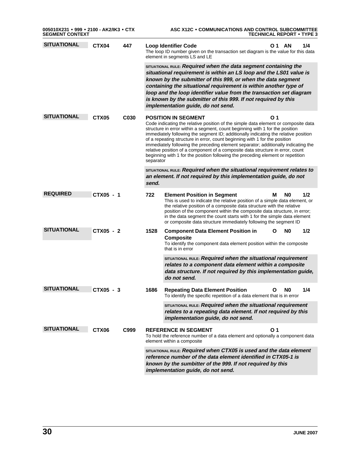| 005010X231 · 999 · 2100 - AK2/IK3 · CTX<br>SEGMENT CONTEXT |                   |                  | ASC X12C • COMMUNICATIONS AND CONTROL SUBCOMMITTEE<br><b>TECHNICAL REPORT • TYPE 3</b>                                                                                                                                                                                                                                                                                                                                                                                                                                                                                                                                                               |                                                                                                                                                                                                                                                                                                                                                                                                                                                     |  |  |  |
|------------------------------------------------------------|-------------------|------------------|------------------------------------------------------------------------------------------------------------------------------------------------------------------------------------------------------------------------------------------------------------------------------------------------------------------------------------------------------------------------------------------------------------------------------------------------------------------------------------------------------------------------------------------------------------------------------------------------------------------------------------------------------|-----------------------------------------------------------------------------------------------------------------------------------------------------------------------------------------------------------------------------------------------------------------------------------------------------------------------------------------------------------------------------------------------------------------------------------------------------|--|--|--|
| <b>SITUATIONAL</b>                                         | CTX04             | 447              |                                                                                                                                                                                                                                                                                                                                                                                                                                                                                                                                                                                                                                                      | 1/4<br><b>Loop Identifier Code</b><br>O 1 AN<br>The loop ID number given on the transaction set diagram is the value for this data<br>element in segments LS and LE                                                                                                                                                                                                                                                                                 |  |  |  |
|                                                            |                   |                  | SITUATIONAL RULE: Required when the data segment containing the<br>situational requirement is within an LS loop and the LS01 value is<br>known by the submitter of this 999, or when the data segment<br>containing the situational requirement is within another type of<br>loop and the loop identifier value from the transaction set diagram<br>is known by the submitter of this 999. If not required by this<br>implementation guide, do not send.                                                                                                                                                                                             |                                                                                                                                                                                                                                                                                                                                                                                                                                                     |  |  |  |
| <b>SITUATIONAL</b>                                         | CTX <sub>05</sub> | C <sub>030</sub> | O 1<br><b>POSITION IN SEGMENT</b><br>Code indicating the relative position of the simple data element or composite data<br>structure in error within a segment, count beginning with 1 for the position<br>immediately following the segment ID; additionally indicating the relative position<br>of a repeating structure in error, count beginning with 1 for the position<br>immediately following the preceding element separator; additionally indicating the<br>relative position of a component of a composite data structure in error, count<br>beginning with 1 for the position following the preceding element or repetition<br>separator |                                                                                                                                                                                                                                                                                                                                                                                                                                                     |  |  |  |
|                                                            |                   |                  | SITUATIONAL RULE: Required when the situational requirement relates to<br>an element. If not required by this implementation guide, do not<br>send.                                                                                                                                                                                                                                                                                                                                                                                                                                                                                                  |                                                                                                                                                                                                                                                                                                                                                                                                                                                     |  |  |  |
| <b>REQUIRED</b>                                            | CTX05 - 1         |                  | 722                                                                                                                                                                                                                                                                                                                                                                                                                                                                                                                                                                                                                                                  | <b>Element Position in Segment</b><br>N <sub>0</sub><br>1/2<br>М<br>This is used to indicate the relative position of a simple data element, or<br>the relative position of a composite data structure with the relative<br>position of the component within the composite data structure, in error;<br>in the data segment the count starts with 1 for the simple data element<br>or composite data structure immediately following the segment ID |  |  |  |
| <b>SITUATIONAL</b>                                         | CTX05 - 2         |                  | 1528                                                                                                                                                                                                                                                                                                                                                                                                                                                                                                                                                                                                                                                 | N <sub>0</sub><br>1/2<br><b>Component Data Element Position in</b><br>Ο<br><b>Composite</b><br>To identify the component data element position within the composite<br>that is in error                                                                                                                                                                                                                                                             |  |  |  |
|                                                            |                   |                  |                                                                                                                                                                                                                                                                                                                                                                                                                                                                                                                                                                                                                                                      | SITUATIONAL RULE: Required when the situational requirement<br>relates to a component data element within a composite<br>data structure. If not required by this implementation guide,<br>do not send.                                                                                                                                                                                                                                              |  |  |  |
| <b>SITUATIONAL</b>                                         | CTX05 - 3         |                  | 1686                                                                                                                                                                                                                                                                                                                                                                                                                                                                                                                                                                                                                                                 | <b>Repeating Data Element Position</b><br>N <sub>0</sub><br>1/4<br>To identify the specific repetition of a data element that is in error                                                                                                                                                                                                                                                                                                           |  |  |  |
|                                                            |                   |                  |                                                                                                                                                                                                                                                                                                                                                                                                                                                                                                                                                                                                                                                      | SITUATIONAL RULE: Required when the situational requirement<br>relates to a repeating data element. If not required by this<br>implementation guide, do not send.                                                                                                                                                                                                                                                                                   |  |  |  |
| <b>SITUATIONAL</b>                                         | CTX06             | C999             |                                                                                                                                                                                                                                                                                                                                                                                                                                                                                                                                                                                                                                                      | <b>REFERENCE IN SEGMENT</b><br>O 1<br>To hold the reference number of a data element and optionally a component data<br>element within a composite                                                                                                                                                                                                                                                                                                  |  |  |  |
|                                                            |                   |                  |                                                                                                                                                                                                                                                                                                                                                                                                                                                                                                                                                                                                                                                      | SITUATIONAL RULE: Required when CTX05 is used and the data element<br>reference number of the data element identified in CTX05-1 is<br>known by the sumbitter of the 999. If not required by this<br>implementation guide, do not send.                                                                                                                                                                                                             |  |  |  |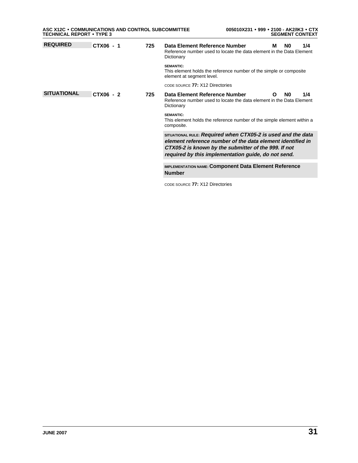| ASC X12C . COMMUNICATIONS AND CONTROL SUBCOMMITTEE<br><b>TECHNICAL REPORT • TYPE 3</b> |           |                                                                                                                                       | 005010X231 • 999 • 2100 - AK2/IK3 • CTX<br><b>SEGMENT CONTEXT</b>                                                                                                                                                                         |
|----------------------------------------------------------------------------------------|-----------|---------------------------------------------------------------------------------------------------------------------------------------|-------------------------------------------------------------------------------------------------------------------------------------------------------------------------------------------------------------------------------------------|
| <b>REQUIRED</b>                                                                        | CTX06 - 1 | 725                                                                                                                                   | Data Element Reference Number<br>N0<br>1/4<br>м<br>Reference number used to locate the data element in the Data Element<br>Dictionary                                                                                                     |
|                                                                                        |           |                                                                                                                                       | <b>SEMANTIC:</b><br>This element holds the reference number of the simple or composite<br>element at segment level.                                                                                                                       |
|                                                                                        |           |                                                                                                                                       | CODE SOURCE 77: X12 Directories                                                                                                                                                                                                           |
| <b>SITUATIONAL</b><br>CTX06 - 2                                                        | 725       | Data Element Reference Number<br>1/4<br>N0<br>O<br>Reference number used to locate the data element in the Data Element<br>Dictionary |                                                                                                                                                                                                                                           |
|                                                                                        |           |                                                                                                                                       | <b>SEMANTIC:</b><br>This element holds the reference number of the simple element within a<br>composite.                                                                                                                                  |
|                                                                                        |           |                                                                                                                                       | SITUATIONAL RULE: Required when CTX05-2 is used and the data<br>element reference number of the data element identified in<br>CTX05-2 is known by the submitter of the 999. If not<br>required by this implementation guide, do not send. |
|                                                                                        |           |                                                                                                                                       | <b>IMPLEMENTATION NAME: Component Data Element Reference</b><br><b>Number</b>                                                                                                                                                             |
|                                                                                        |           |                                                                                                                                       | CODE SOURCE 77: X12 Directories                                                                                                                                                                                                           |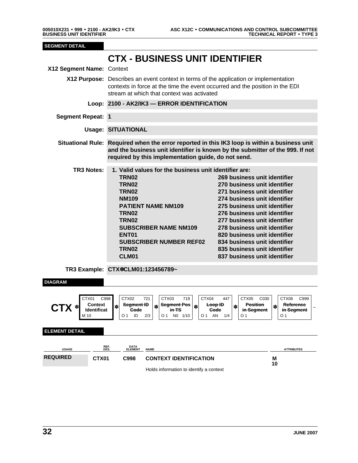<span id="page-31-0"></span>CTX CONTEXT 005010X231 BUSINESS UNIT IDENTIFIER • 999 • 2100 - AK2/IK3 • CTX

| <b>SEGMENT DETAIL</b>                                                 |                                                                                                                                                                                                                                                                                                                                                                                                                                                                                                                                                                                                                                                                                                    |                                                                                                                                                                       |  |  |  |  |  |  |  |
|-----------------------------------------------------------------------|----------------------------------------------------------------------------------------------------------------------------------------------------------------------------------------------------------------------------------------------------------------------------------------------------------------------------------------------------------------------------------------------------------------------------------------------------------------------------------------------------------------------------------------------------------------------------------------------------------------------------------------------------------------------------------------------------|-----------------------------------------------------------------------------------------------------------------------------------------------------------------------|--|--|--|--|--|--|--|
| X12 Segment Name: Context                                             | <b>CTX - BUSINESS UNIT IDENTIFIER</b>                                                                                                                                                                                                                                                                                                                                                                                                                                                                                                                                                                                                                                                              |                                                                                                                                                                       |  |  |  |  |  |  |  |
|                                                                       | stream at which that context was activated                                                                                                                                                                                                                                                                                                                                                                                                                                                                                                                                                                                                                                                         | X12 Purpose: Describes an event context in terms of the application or implementation<br>contexts in force at the time the event occurred and the position in the EDI |  |  |  |  |  |  |  |
|                                                                       | Loop: 2100 - AK2/IK3 - ERROR IDENTIFICATION                                                                                                                                                                                                                                                                                                                                                                                                                                                                                                                                                                                                                                                        |                                                                                                                                                                       |  |  |  |  |  |  |  |
| <b>Segment Repeat: 1</b>                                              |                                                                                                                                                                                                                                                                                                                                                                                                                                                                                                                                                                                                                                                                                                    |                                                                                                                                                                       |  |  |  |  |  |  |  |
|                                                                       | <b>Usage: SITUATIONAL</b>                                                                                                                                                                                                                                                                                                                                                                                                                                                                                                                                                                                                                                                                          |                                                                                                                                                                       |  |  |  |  |  |  |  |
|                                                                       | Situational Rule: Required when the error reported in this IK3 loop is within a business unit<br>and the business unit identifier is known by the submitter of the 999. If not<br>required by this implementation guide, do not send.                                                                                                                                                                                                                                                                                                                                                                                                                                                              |                                                                                                                                                                       |  |  |  |  |  |  |  |
| <b>TR3 Notes:</b>                                                     | 1. Valid values for the business unit identifier are:<br><b>TRN02</b><br>269 business unit identifier<br>270 business unit identifier<br><b>TRN02</b><br><b>TRN02</b><br>271 business unit identifier<br><b>NM109</b><br>274 business unit identifier<br>275 business unit identifier<br><b>PATIENT NAME NM109</b><br>276 business unit identifier<br><b>TRN02</b><br><b>TRN02</b><br>277 business unit identifier<br>278 business unit identifier<br><b>SUBSCRIBER NAME NM109</b><br>ENT <sub>01</sub><br>820 business unit identifier<br><b>SUBSCRIBER NUMBER REF02</b><br>834 business unit identifier<br><b>TRN02</b><br>835 business unit identifier<br>CLM01<br>837 business unit identifier |                                                                                                                                                                       |  |  |  |  |  |  |  |
|                                                                       | TR3 Example: CTX*CLM01:123456789~                                                                                                                                                                                                                                                                                                                                                                                                                                                                                                                                                                                                                                                                  |                                                                                                                                                                       |  |  |  |  |  |  |  |
| <b>DIAGRAM</b>                                                        |                                                                                                                                                                                                                                                                                                                                                                                                                                                                                                                                                                                                                                                                                                    |                                                                                                                                                                       |  |  |  |  |  |  |  |
| CTX01<br><b>Context</b><br>$\mathbf{I}$ X $^*$<br>Identificat<br>M 10 | CTX04<br>C998<br>CTX02<br>CTX03<br>447<br>721<br>719<br>CTX05<br>C030<br>Seament ID<br>Seament Pos<br>Loop ID<br><b>Position</b><br>*<br>∗<br>in Segment<br>Gode<br>in TS<br>Gode<br>ID<br>2/3<br>O 1<br>O 1<br>NO 1/10<br>O 1<br>AN<br>1/4<br>O 1                                                                                                                                                                                                                                                                                                                                                                                                                                                 | CTX06<br>C999<br>Reference<br>$\ast$<br>in Segment<br>O 1                                                                                                             |  |  |  |  |  |  |  |
| <b>ELEMENT DETAIL</b>                                                 |                                                                                                                                                                                                                                                                                                                                                                                                                                                                                                                                                                                                                                                                                                    |                                                                                                                                                                       |  |  |  |  |  |  |  |
| <b>USAGE</b>                                                          | REF.<br>DES.<br>DATA<br>ELEMENT<br><b>NAME</b>                                                                                                                                                                                                                                                                                                                                                                                                                                                                                                                                                                                                                                                     | <b>ATTRIBUTES</b>                                                                                                                                                     |  |  |  |  |  |  |  |
| <b>REQUIRED</b><br>CTX01                                              | C998<br><b>CONTEXT IDENTIFICATION</b>                                                                                                                                                                                                                                                                                                                                                                                                                                                                                                                                                                                                                                                              | Μ<br>10                                                                                                                                                               |  |  |  |  |  |  |  |
|                                                                       | Holds information to identify a context                                                                                                                                                                                                                                                                                                                                                                                                                                                                                                                                                                                                                                                            |                                                                                                                                                                       |  |  |  |  |  |  |  |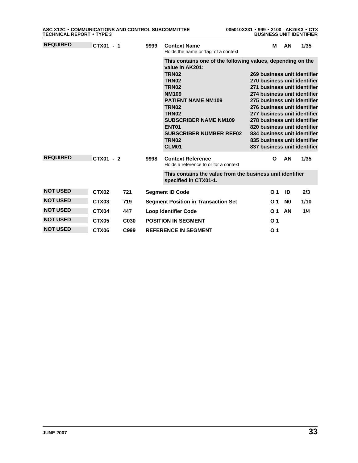| <b>REQUIRED</b><br>CTX01 - 1 |                   |                                                                                    | 9999                                                                                                                              | <b>Context Name</b><br>Holds the name or 'tag' of a context                                                                                                                                  | М                                                                                                                                                                                            | AN             | 1/35 |
|------------------------------|-------------------|------------------------------------------------------------------------------------|-----------------------------------------------------------------------------------------------------------------------------------|----------------------------------------------------------------------------------------------------------------------------------------------------------------------------------------------|----------------------------------------------------------------------------------------------------------------------------------------------------------------------------------------------|----------------|------|
|                              |                   |                                                                                    |                                                                                                                                   | This contains one of the following values, depending on the<br>value in AK201:<br><b>TRN02</b><br><b>TRN02</b><br><b>TRN02</b><br><b>NM109</b><br><b>PATIENT NAME NM109</b><br><b>TRN02</b>  | 269 business unit identifier<br>270 business unit identifier<br>271 business unit identifier<br>274 business unit identifier<br>275 business unit identifier<br>276 business unit identifier |                |      |
|                              |                   |                                                                                    | <b>TRN02</b><br><b>SUBSCRIBER NAME NM109</b><br>ENT <sub>01</sub><br><b>SUBSCRIBER NUMBER REF02</b><br>TRN <sub>02</sub><br>CLM01 | 277 business unit identifier<br>278 business unit identifier<br>820 business unit identifier<br>834 business unit identifier<br>835 business unit identifier<br>837 business unit identifier |                                                                                                                                                                                              |                |      |
| <b>REQUIRED</b><br>CTX01 - 2 |                   | 9998                                                                               | <b>Context Reference</b><br>Holds a reference to or for a context                                                                 | O                                                                                                                                                                                            | AN                                                                                                                                                                                           | 1/35           |      |
|                              |                   | This contains the value from the business unit identifier<br>specified in CTX01-1. |                                                                                                                                   |                                                                                                                                                                                              |                                                                                                                                                                                              |                |      |
| <b>NOT USED</b>              | CTX <sub>02</sub> | 721                                                                                |                                                                                                                                   | <b>Segment ID Code</b>                                                                                                                                                                       | O <sub>1</sub>                                                                                                                                                                               | ID             | 2/3  |
| <b>NOT USED</b>              | CTX03             | 719                                                                                |                                                                                                                                   | <b>Segment Position in Transaction Set</b>                                                                                                                                                   | O <sub>1</sub>                                                                                                                                                                               | N <sub>0</sub> | 1/10 |
| <b>NOT USED</b>              | CTX04             | 447                                                                                |                                                                                                                                   | <b>Loop Identifier Code</b>                                                                                                                                                                  | O <sub>1</sub>                                                                                                                                                                               | AN             | 1/4  |
| <b>NOT USED</b>              | CTX <sub>05</sub> | C <sub>030</sub>                                                                   |                                                                                                                                   | <b>POSITION IN SEGMENT</b>                                                                                                                                                                   | O <sub>1</sub>                                                                                                                                                                               |                |      |
| <b>NOT USED</b>              | CTX06             | C999                                                                               |                                                                                                                                   | <b>REFERENCE IN SEGMENT</b>                                                                                                                                                                  | O <sub>1</sub>                                                                                                                                                                               |                |      |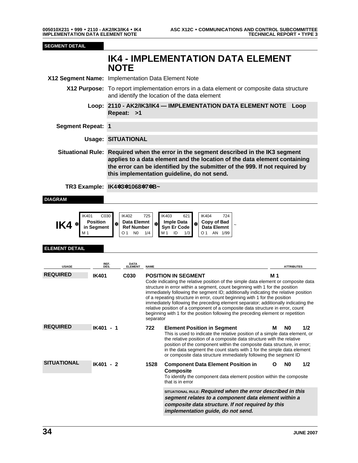**SEGMENT DETAIL**

<span id="page-33-0"></span>IK4 IMPLEMENTATION DATA ELEMENT NOTE 005010X231 IMPLEMENTATION DATA ELEMENT NOTE • 999 • 2110 - AK2/IK3/IK4 • IK4

**IK4 - IMPLEMENTATION DATA ELEMENT NOTE X12 Segment Name:** Implementation Data Element Note **X12 Purpose:** To report implementation errors in a data element or composite data structure and identify the location of the data element **Loop: 2110 - AK2/IK3/IK4 — IMPLEMENTATION DATA ELEMENT NOTE Loop Repeat: >1 Segment Repeat: 1 Usage: SITUATIONAL 54 Situational Rule: Required when the error in the segment described in the IK3 segment applies to a data element and the location of the data element containing the error can be identified by the submitter of the 999. If not required by this implementation guideline, do not send. 53 TR3 Example: IK4**✽**3**✽**1068**✽**7**✽**B~ DIAGRAM** IK401 C030 IK402 725 IK403 621 IK404 724 **IK4**  $*$  **Position** in Segmer **in Segment**  $\ast$  **Data Elemnt**<br>**Ref Number Data Elemnt**  $\left|\frac{1}{10}\right|$  Imple Data<br>Ref Number Syn Er Code **Syn Er Code**  $\begin{bmatrix} \ast \\ \ast \end{bmatrix}$  Copy of Bad<br>Syn Er Code **by** Data Elemnt **Data Elemnt**  $01$  N0  $1/4$  M 1 ID  $1/3$  O1 AN 1/99 **ELEMENT DETAIL USAGE REF. DES. DATA ELEMENT NAME ATTRIBUTES REQUIRED IK401 C030 POSITION IN SEGMENT M 1** Code indicating the relative position of the simple data element or composite data structure in error within a segment, count beginning with 1 for the position immediately following the segment ID; additionally indicating the relative position of a repeating structure in error, count beginning with 1 for the position immediately following the preceding element separator; additionally indicating the relative position of a component of a composite data structure in error, count beginning with 1 for the position following the preceding element or repetition separator REQUIRED **IK401 - 1** 722 Element Position in Segment M N0 1/2 This is used to indicate the relative position of a simple data element, or the relative position of a composite data structure with the relative position of the component within the composite data structure, in error; in the data segment the count starts with 1 for the simple data element or composite data structure immediately following the segment ID **SITUATIONAL IK401 - 2 1528 Component Data Element Position in Composite O N0 1/2** To identify the component data element position within the composite that is in error **18 SITUATIONAL RULE: Required when the error described in this segment relates to a component data element within a composite data structure. If not required by this**

### **implementation guide, do not send.**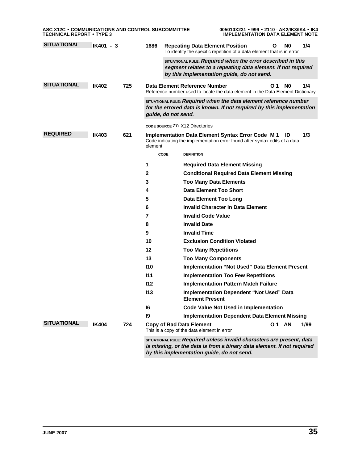| ASC X12C • COMMUNICATIONS AND CONTROL SUBCOMMITTEE<br><b>TECHNICAL REPORT • TYPE 3</b> |              |     |         | 005010X231 • 999 • 2110 - AK2/IK3/IK4 • IK4<br><b>IMPLEMENTATION DATA ELEMENT NOTE</b>                                                                                                         |
|----------------------------------------------------------------------------------------|--------------|-----|---------|------------------------------------------------------------------------------------------------------------------------------------------------------------------------------------------------|
| <b>SITUATIONAL</b>                                                                     | IK401 - 3    |     | 1686    | N0<br>1/4<br><b>Repeating Data Element Position</b><br>Ο<br>To identify the specific repetition of a data element that is in error                                                             |
|                                                                                        |              |     |         | SITUATIONAL RULE: Required when the error described in this<br>segment relates to a repeating data element. If not required<br>by this implementation guide, do not send.                      |
| <b>SITUATIONAL</b>                                                                     | IK402        | 725 |         | 1/4<br>Data Element Reference Number<br>O 1<br>N0<br>Reference number used to locate the data element in the Data Element Dictionary                                                           |
|                                                                                        |              |     |         | SITUATIONAL RULE: Required when the data element reference number<br>for the errored data is known. If not required by this implementation<br>guide, do not send.                              |
|                                                                                        |              |     |         | CODE SOURCE 77: X12 Directories                                                                                                                                                                |
| <b>REQUIRED</b>                                                                        | <b>IK403</b> | 621 | element | 1/3<br><b>Implementation Data Element Syntax Error Code M1</b><br>ID<br>Code indicating the implementation error found after syntax edits of a data                                            |
|                                                                                        |              |     |         | CODE<br><b>DEFINITION</b>                                                                                                                                                                      |
|                                                                                        |              |     | 1       | <b>Required Data Element Missing</b>                                                                                                                                                           |
|                                                                                        |              |     | 2       | <b>Conditional Required Data Element Missing</b>                                                                                                                                               |
|                                                                                        |              |     | 3       | <b>Too Many Data Elements</b>                                                                                                                                                                  |
|                                                                                        |              |     | 4       | <b>Data Element Too Short</b>                                                                                                                                                                  |
|                                                                                        |              |     | 5       | <b>Data Element Too Long</b>                                                                                                                                                                   |
|                                                                                        |              |     | 6       | <b>Invalid Character In Data Element</b>                                                                                                                                                       |
|                                                                                        |              |     | 7       | <b>Invalid Code Value</b>                                                                                                                                                                      |
|                                                                                        |              |     | 8       | <b>Invalid Date</b>                                                                                                                                                                            |
|                                                                                        |              |     | 9       | <b>Invalid Time</b>                                                                                                                                                                            |
|                                                                                        |              |     | 10      | <b>Exclusion Condition Violated</b>                                                                                                                                                            |
|                                                                                        |              |     | 12      | <b>Too Many Repetitions</b>                                                                                                                                                                    |
|                                                                                        |              |     | 13      | <b>Too Many Components</b>                                                                                                                                                                     |
|                                                                                        |              |     | 110     | <b>Implementation "Not Used" Data Element Present</b>                                                                                                                                          |
|                                                                                        |              |     | 111     | <b>Implementation Too Few Repetitions</b>                                                                                                                                                      |
|                                                                                        |              |     | 112     | <b>Implementation Pattern Match Failure</b>                                                                                                                                                    |
|                                                                                        |              |     | 113     | Implementation Dependent "Not Used" Data<br><b>Element Present</b>                                                                                                                             |
|                                                                                        |              |     | 16      | <b>Code Value Not Used in Implementation</b>                                                                                                                                                   |
|                                                                                        |              |     | 19      | <b>Implementation Dependent Data Element Missing</b>                                                                                                                                           |
| <b>SITUATIONAL</b>                                                                     | <b>IK404</b> | 724 |         | <b>01 AN</b><br>1/99<br><b>Copy of Bad Data Element</b><br>This is a copy of the data element in error                                                                                         |
|                                                                                        |              |     |         | SITUATIONAL RULE: Required unless invalid characters are present, data<br>is missing, or the data is from a binary data element. If not required<br>by this implementation guide, do not send. |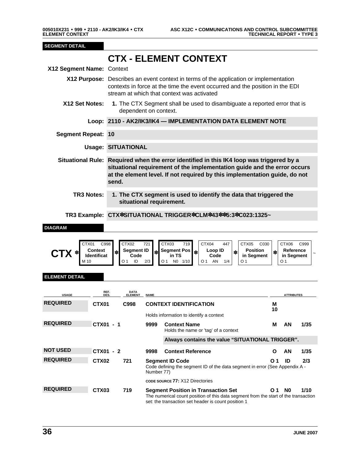#### <span id="page-35-0"></span>**SEGMENT DETAIL**

## **<sup>76</sup> CTX - ELEMENT CONTEXT**

| X12 Segment Name: Context |                                                                                                                                                                                                                                                             |
|---------------------------|-------------------------------------------------------------------------------------------------------------------------------------------------------------------------------------------------------------------------------------------------------------|
|                           | <b>X12 Purpose:</b> Describes an event context in terms of the application or implementation<br>contexts in force at the time the event occurred and the position in the EDI<br>stream at which that context was activated                                  |
| X12 Set Notes:            | 1. The CTX Segment shall be used to disambiguate a reported error that is<br>dependent on context.                                                                                                                                                          |
|                           | Loop: 2110 - AK2/IK3/IK4 - IMPLEMENTATION DATA ELEMENT NOTE                                                                                                                                                                                                 |
| <b>Segment Repeat: 10</b> |                                                                                                                                                                                                                                                             |
|                           | <b>Usage: SITUATIONAL</b>                                                                                                                                                                                                                                   |
|                           | Situational Rule: Required when the error identified in this IK4 loop was triggered by a<br>situational requirement of the implementation guide and the error occurs<br>at the element level. If not required by this implementation guide, do not<br>send. |
| <b>TR3 Notes:</b>         | 1. The CTX segment is used to identify the data that triggered the<br>situational requirement.                                                                                                                                                              |
|                           | TR3 Example: CTX*SITUATIONAL TRIGGER*CLM*43**5:3*C023:1325~                                                                                                                                                                                                 |

$$
\mathsf{DIAGRAM}
$$

|        | C998<br>CTX01                      |  | CTX02                     |    | 721 | CTX03                                                           |                | 719 <sub>h</sub> | CTX04 |    | 447                           |  | CTX05 | C030                    |  | CTX06  | C999 |  |
|--------|------------------------------------|--|---------------------------|----|-----|-----------------------------------------------------------------|----------------|------------------|-------|----|-------------------------------|--|-------|-------------------------|--|--------|------|--|
| $\ast$ | <b>Context</b><br>∗<br>ldentificat |  | <b>Segment ID</b><br>Code |    |     | $\left \ast\right $ Segment Pos $\left \ast\right $<br>TS<br>in |                | Loop ID<br>Code  |       | ∗  | <b>Position</b><br>in Segment |  | ∗     | Reference<br>in Segment |  | $\sim$ |      |  |
|        | M 10                               |  |                           | ID | 2/3 | O <sub>1</sub>                                                  | N <sub>0</sub> | 1/10             |       | AN | 1/4                           |  | O     |                         |  |        |      |  |

#### **ELEMENT DETAIL**

| <b>USAGE</b>    | REF.<br>DES.      | <b>DATA</b><br><b>ELEMENT</b> | <b>NAME</b> |                                                                                                                                                                                          |         | <b>ATTRIBUTES</b> |      |  |  |  |  |
|-----------------|-------------------|-------------------------------|-------------|------------------------------------------------------------------------------------------------------------------------------------------------------------------------------------------|---------|-------------------|------|--|--|--|--|
| <b>REQUIRED</b> | CTX01             | C998                          |             | <b>CONTEXT IDENTIFICATION</b>                                                                                                                                                            | М<br>10 |                   |      |  |  |  |  |
|                 |                   |                               |             | Holds information to identify a context                                                                                                                                                  |         |                   |      |  |  |  |  |
| <b>REQUIRED</b> | CTX01<br>- 1      |                               | 9999        | <b>Context Name</b><br>Holds the name or 'tag' of a context                                                                                                                              | м       | AN                | 1/35 |  |  |  |  |
|                 |                   |                               |             | Always contains the value "SITUATIONAL TRIGGER".                                                                                                                                         |         |                   |      |  |  |  |  |
| <b>NOT USED</b> | CTX01 - 2         |                               | 9998        | <b>Context Reference</b>                                                                                                                                                                 | Ο       | ΑN                | 1/35 |  |  |  |  |
| <b>REQUIRED</b> | CTX <sub>02</sub> | 721                           | Number 77)  | 2/3<br><b>Segment ID Code</b><br>ID<br>O.<br>Code defining the segment ID of the data segment in error (See Appendix A -                                                                 |         |                   |      |  |  |  |  |
|                 |                   |                               |             | CODE SOURCE 77: X12 Directories                                                                                                                                                          |         |                   |      |  |  |  |  |
| <b>REQUIRED</b> | CTX <sub>03</sub> | 719                           |             | <b>Segment Position in Transaction Set</b><br>The numerical count position of this data segment from the start of the transaction<br>set: the transaction set header is count position 1 | O 1     | N <sub>0</sub>    | 1/10 |  |  |  |  |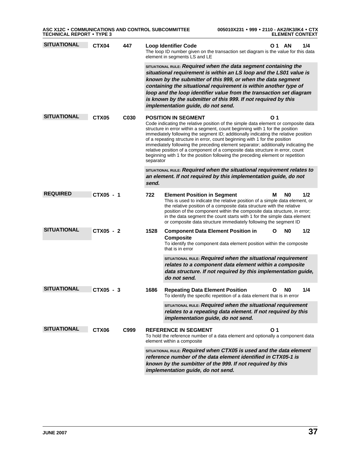| <b>SITUATIONAL</b> | CTX04             | 447  |                                                                                                                                                     | 1/4<br><b>Loop Identifier Code</b><br>O 1<br>- AN<br>The loop ID number given on the transaction set diagram is the value for this data<br>element in segments LS and LE                                                                                                                                                                                                                                                                                                                                                                                                                                        |  |  |  |  |
|--------------------|-------------------|------|-----------------------------------------------------------------------------------------------------------------------------------------------------|-----------------------------------------------------------------------------------------------------------------------------------------------------------------------------------------------------------------------------------------------------------------------------------------------------------------------------------------------------------------------------------------------------------------------------------------------------------------------------------------------------------------------------------------------------------------------------------------------------------------|--|--|--|--|
|                    |                   |      |                                                                                                                                                     | SITUATIONAL RULE: Required when the data segment containing the<br>situational requirement is within an LS loop and the LS01 value is<br>known by the submitter of this 999, or when the data segment<br>containing the situational requirement is within another type of<br>loop and the loop identifier value from the transaction set diagram<br>is known by the submitter of this 999. If not required by this<br>implementation guide, do not send.                                                                                                                                                        |  |  |  |  |
| <b>SITUATIONAL</b> | CTX <sub>05</sub> | C030 |                                                                                                                                                     | <b>POSITION IN SEGMENT</b><br>01                                                                                                                                                                                                                                                                                                                                                                                                                                                                                                                                                                                |  |  |  |  |
|                    |                   |      |                                                                                                                                                     | Code indicating the relative position of the simple data element or composite data<br>structure in error within a segment, count beginning with 1 for the position<br>immediately following the segment ID; additionally indicating the relative position<br>of a repeating structure in error, count beginning with 1 for the position<br>immediately following the preceding element separator; additionally indicating the<br>relative position of a component of a composite data structure in error, count<br>beginning with 1 for the position following the preceding element or repetition<br>separator |  |  |  |  |
|                    |                   |      | SITUATIONAL RULE: Required when the situational requirement relates to<br>an element. If not required by this implementation guide, do not<br>send. |                                                                                                                                                                                                                                                                                                                                                                                                                                                                                                                                                                                                                 |  |  |  |  |
| <b>REQUIRED</b>    | CTX05 - 1         |      | 722                                                                                                                                                 | 1/2<br>N0<br><b>Element Position in Segment</b><br>м                                                                                                                                                                                                                                                                                                                                                                                                                                                                                                                                                            |  |  |  |  |
|                    |                   |      |                                                                                                                                                     | This is used to indicate the relative position of a simple data element, or<br>the relative position of a composite data structure with the relative<br>position of the component within the composite data structure, in error;<br>in the data segment the count starts with 1 for the simple data element<br>or composite data structure immediately following the segment ID                                                                                                                                                                                                                                 |  |  |  |  |
| <b>SITUATIONAL</b> | CTX05 - 2         |      | 1528                                                                                                                                                | 1/2<br><b>Component Data Element Position in</b><br>N0<br>O<br><b>Composite</b><br>To identify the component data element position within the composite<br>that is in error                                                                                                                                                                                                                                                                                                                                                                                                                                     |  |  |  |  |
|                    |                   |      |                                                                                                                                                     | SITUATIONAL RULE: Required when the situational requirement<br>relates to a component data element within a composite<br>data structure. If not required by this implementation guide,<br>do not send.                                                                                                                                                                                                                                                                                                                                                                                                          |  |  |  |  |
| <b>SITUATIONAL</b> | CTX05 - 3         |      | 1686                                                                                                                                                | N0<br>1/4<br><b>Repeating Data Element Position</b><br>Ο<br>To identify the specific repetition of a data element that is in error                                                                                                                                                                                                                                                                                                                                                                                                                                                                              |  |  |  |  |
|                    |                   |      |                                                                                                                                                     | SITUATIONAL RULE: Required when the situational requirement<br>relates to a repeating data element. If not required by this<br>implementation guide, do not send.                                                                                                                                                                                                                                                                                                                                                                                                                                               |  |  |  |  |
| <b>SITUATIONAL</b> | CTX06             | C999 |                                                                                                                                                     | O <sub>1</sub><br><b>REFERENCE IN SEGMENT</b><br>To hold the reference number of a data element and optionally a component data<br>element within a composite                                                                                                                                                                                                                                                                                                                                                                                                                                                   |  |  |  |  |
|                    |                   |      |                                                                                                                                                     | SITUATIONAL RULE: Required when CTX05 is used and the data element<br>reference number of the data element identified in CTX05-1 is<br>known by the sumbitter of the 999. If not required by this<br>implementation guide, do not send.                                                                                                                                                                                                                                                                                                                                                                         |  |  |  |  |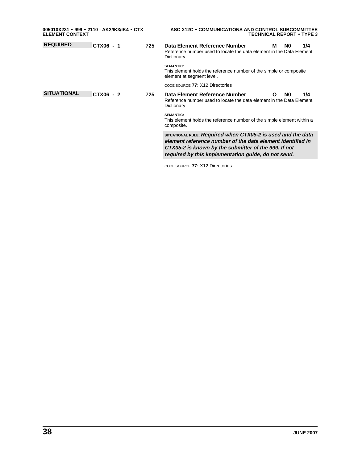| 005010X231 • 999 • 2110 - AK2/IK3/IK4 • CTX<br><b>ELEMENT CONTEXT</b> |           |     | ASC X12C . COMMUNICATIONS AND CONTROL SUBCOMMITTEE<br><b>TECHNICAL REPORT • TYPE 3</b>                                                                                                                                                    |  |  |  |  |
|-----------------------------------------------------------------------|-----------|-----|-------------------------------------------------------------------------------------------------------------------------------------------------------------------------------------------------------------------------------------------|--|--|--|--|
| <b>REQUIRED</b>                                                       | CTX06 - 1 | 725 | Data Element Reference Number<br>1/4<br>м<br>N0<br>Reference number used to locate the data element in the Data Element<br>Dictionary                                                                                                     |  |  |  |  |
|                                                                       |           |     | <b>SEMANTIC:</b><br>This element holds the reference number of the simple or composite<br>element at segment level.                                                                                                                       |  |  |  |  |
|                                                                       |           |     | CODE SOURCE 77: X12 Directories                                                                                                                                                                                                           |  |  |  |  |
| <b>SITUATIONAL</b>                                                    | CTX06 - 2 | 725 | Data Element Reference Number<br>1/4<br>N <sub>0</sub><br>O<br>Reference number used to locate the data element in the Data Element<br>Dictionary                                                                                         |  |  |  |  |
|                                                                       |           |     | <b>SEMANTIC:</b><br>This element holds the reference number of the simple element within a<br>composite.                                                                                                                                  |  |  |  |  |
|                                                                       |           |     | SITUATIONAL RULE: Required when CTX05-2 is used and the data<br>element reference number of the data element identified in<br>CTX05-2 is known by the submitter of the 999. If not<br>required by this implementation quide, do not send. |  |  |  |  |
|                                                                       |           |     | CODE SOURCE 77: X12 Directories                                                                                                                                                                                                           |  |  |  |  |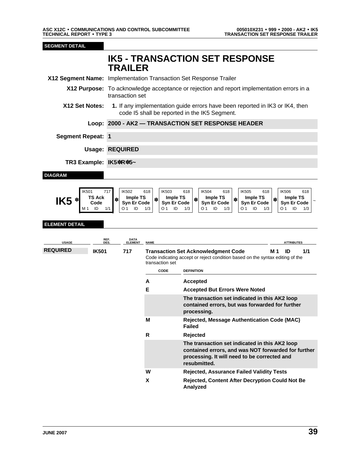**SEGMENT DETAIL <sup>46</sup> IK5 - TRANSACTION SET RESPONSE TRAILER X12 Segment Name:** Implementation Transaction Set Response Trailer **X12 Purpose:** To acknowledge acceptance or rejection and report implementation errors in a transaction set **X12 Set Notes: 1.** If any implementation guide errors have been reported in IK3 or IK4, then code I5 shall be reported in the IK5 Segment. **Loop: 2000 - AK2 — TRANSACTION SET RESPONSE HEADER Segment Repeat: 1 Usage: REQUIRED 55 TR3 Example: IK5**✽**R**✽**5~ DIAGRAM** IK501 717 IK502 618 IK503 618 IK504 618 IK505 618 IK506 618  $\text{IK5}$   $*$   $\begin{array}{c} \text{TS Ack} \\ \text{Code} \\ \text{M1} \end{array}$ **Code** ✽ **Imple TS Syn Er Code** ✽ **Imple TS Syn Er Code**  $\begin{array}{c|c} \n\text{Imple TS} \\
\text{Syn Er Code} \\
\hline\n01 & \text{ID} & 1/3\n\end{array}$   $\begin{array}{c|c} \n\text{Imple TS} \\
\text{Syn Er Cod} \\
\hline\n01 & \text{ID} & 1\n\end{array}$ **Syn Er Code** ✽ **Imple TS Syn Er Code**  $\left|\frac{1}{10}\right|$  **Imple TS**<br>**Syn Er Code** Syn Er Code Syn Er Code M 1 ID 1/1 O 1 ID 1/3 O 1 ID 1/3 O 1 ID 1/3 O 1 ID 1/3 O 1 ID 1/3 **ELEMENT DETAIL USAGE REF. DES. DATA ELEMENT NAME ATTRIBUTES REQUIRED IK501 717 Transaction Set Acknowledgment Code M 1 ID 1/1** Code indicating accept or reject condition based on the syntax editing of the transaction set **CODE DEFINITION A Accepted E Accepted But Errors Were Noted 80 The transaction set indicated in this AK2 loop contained errors, but was forwarded for further processing. M Rejected, Message Authentication Code (MAC) Failed R Rejected 81 The transaction set indicated in this AK2 loop contained errors, and was NOT forwarded for further processing. It will need to be corrected and resubmitted. W Rejected, Assurance Failed Validity Tests X Rejected, Content After Decryption Could Not Be**

**Analyzed**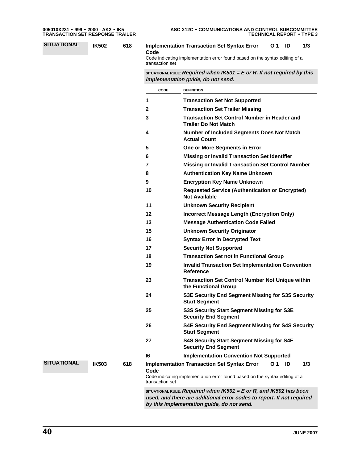| 005010X231 ● 999 ● 2000 - AK2 ● IK5     |  |  |
|-----------------------------------------|--|--|
| <b>TRANSACTION SET RESPONSE TRAILER</b> |  |  |

| i                                           |
|---------------------------------------------|
|                                             |
| $\begin{array}{c} -1 \\ 2 \\ 3 \end{array}$ |
|                                             |
|                                             |
|                                             |
| 4                                           |
|                                             |
|                                             |
|                                             |
|                                             |
|                                             |
| 5 6 7 8 9 1                                 |
|                                             |
| 1                                           |
|                                             |
| $\begin{array}{c} 1 \\ 1 \end{array}$       |
|                                             |
|                                             |
|                                             |
|                                             |
| $\begin{array}{c} 1 \\ 1 \\ 1 \end{array}$  |
|                                             |
| $\overline{\mathbf{c}}$                     |
|                                             |
| $\overline{\mathbf{c}}$                     |
| $\overline{\mathbf{c}}$                     |
|                                             |
| $\overline{\mathbf{c}}$                     |
|                                             |
| $\overline{\mathbf{c}}$                     |
|                                             |

**SITUATIONAL IK502 618 Implementation Transaction Set Syntax Error Code O 1 ID 1/3**

Code indicating implementation error found based on the syntax editing of a transaction set

**23 SITUATIONAL RULE: Required when IK501 = E or R. If not required by this implementation guide, do not send.**

|                    |              |     | CODE                    | <b>DEFINITION</b>                                                                                                                                                                             |
|--------------------|--------------|-----|-------------------------|-----------------------------------------------------------------------------------------------------------------------------------------------------------------------------------------------|
|                    |              |     | 1                       | <b>Transaction Set Not Supported</b>                                                                                                                                                          |
|                    |              |     | 2                       | <b>Transaction Set Trailer Missing</b>                                                                                                                                                        |
|                    |              |     | 3                       | <b>Transaction Set Control Number in Header and</b><br><b>Trailer Do Not Match</b>                                                                                                            |
|                    |              |     | 4                       | Number of Included Segments Does Not Match<br><b>Actual Count</b>                                                                                                                             |
|                    |              |     | 5                       | One or More Segments in Error                                                                                                                                                                 |
|                    |              |     | 6                       | <b>Missing or Invalid Transaction Set Identifier</b>                                                                                                                                          |
|                    |              |     | 7                       | <b>Missing or Invalid Transaction Set Control Number</b>                                                                                                                                      |
|                    |              |     | 8                       | <b>Authentication Key Name Unknown</b>                                                                                                                                                        |
|                    |              |     | 9                       | <b>Encryption Key Name Unknown</b>                                                                                                                                                            |
|                    |              |     | 10                      | <b>Requested Service (Authentication or Encrypted)</b><br><b>Not Available</b>                                                                                                                |
|                    |              |     | 11                      | <b>Unknown Security Recipient</b>                                                                                                                                                             |
|                    |              |     | 12                      | <b>Incorrect Message Length (Encryption Only)</b>                                                                                                                                             |
|                    |              |     | 13                      | <b>Message Authentication Code Failed</b>                                                                                                                                                     |
|                    |              |     | 15                      | <b>Unknown Security Originator</b>                                                                                                                                                            |
|                    |              |     | 16                      | <b>Syntax Error in Decrypted Text</b>                                                                                                                                                         |
|                    |              |     | 17                      | <b>Security Not Supported</b>                                                                                                                                                                 |
|                    |              |     | 18                      | <b>Transaction Set not in Functional Group</b>                                                                                                                                                |
|                    |              |     | 19                      | <b>Invalid Transaction Set Implementation Convention</b><br>Reference                                                                                                                         |
|                    |              |     | 23                      | <b>Transaction Set Control Number Not Unique within</b><br>the Functional Group                                                                                                               |
|                    |              |     | 24                      | S3E Security End Segment Missing for S3S Security<br><b>Start Segment</b>                                                                                                                     |
|                    |              |     | 25                      | S3S Security Start Segment Missing for S3E<br><b>Security End Segment</b>                                                                                                                     |
|                    |              |     | 26                      | <b>S4E Security End Segment Missing for S4S Security</b><br><b>Start Segment</b>                                                                                                              |
|                    |              |     | 27                      | <b>S4S Security Start Segment Missing for S4E</b><br><b>Security End Segment</b>                                                                                                              |
|                    |              |     | 16                      | <b>Implementation Convention Not Supported</b>                                                                                                                                                |
| <b>SITUATIONAL</b> | <b>IK503</b> | 618 | Code<br>transaction set | <b>Implementation Transaction Set Syntax Error</b><br>1/3<br>O 1<br>ID<br>Code indicating implementation error found based on the syntax editing of a                                         |
|                    |              |     |                         | SITUATIONAL RULE: Required when $IK501 = E$ or R, and $IK502$ has been<br>used, and there are additional error codes to report. If not required<br>by this implementation guide, do not send. |

**40 JUNE 2007**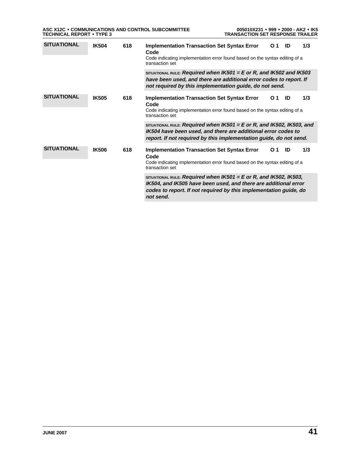| ASC X12C • COMMUNICATIONS AND CONTROL SUBCOMMITTEE | 005010X231 • 999 • 2000 - AK2 • IK5     |
|----------------------------------------------------|-----------------------------------------|
| <b>TECHNICAL REPORT • TYPE 3</b>                   | <b>TRANSACTION SET RESPONSE TRAILER</b> |

| <b>SITUATIONAL</b> | <b>IK504</b> | 618<br>Code<br>transaction set<br>618<br>Code<br>transaction set<br>618<br>Code<br>transaction set                                | <b>Implementation Transaction Set Syntax Error</b><br>Code indicating implementation error found based on the syntax editing of a                                                                                              | O <sub>1</sub> | ID  | 1/3 |
|--------------------|--------------|-----------------------------------------------------------------------------------------------------------------------------------|--------------------------------------------------------------------------------------------------------------------------------------------------------------------------------------------------------------------------------|----------------|-----|-----|
|                    |              |                                                                                                                                   | SITUATIONAL RULE: Required when $IK501 = E$ or R, and $IK502$ and $IK503$<br>have been used, and there are additional error codes to report. If<br>not required by this implementation guide, do not send.                     |                |     |     |
| <b>SITUATIONAL</b> | <b>IK505</b> |                                                                                                                                   | <b>Implementation Transaction Set Syntax Error</b><br>Code indicating implementation error found based on the syntax editing of a                                                                                              | O 1            | ID  | 1/3 |
|                    |              |                                                                                                                                   | SITUATIONAL RULE: Required when $IK501 = E$ or R, and $IK502$ , $IK503$ , and<br>IK504 have been used, and there are additional error codes to<br>report. If not required by this implementation guide, do not send.           |                |     |     |
| <b>SITUATIONAL</b> | <b>IK506</b> | <b>Implementation Transaction Set Syntax Error</b><br>Code indicating implementation error found based on the syntax editing of a | O 1                                                                                                                                                                                                                            | ID             | 1/3 |     |
|                    |              |                                                                                                                                   | SITUATIONAL RULE: Required when $IK501 = E$ or R, and $IK502$ , $IK503$ ,<br>IK504, and IK505 have been used, and there are additional error<br>codes to report. If not required by this implementation guide, do<br>not send. |                |     |     |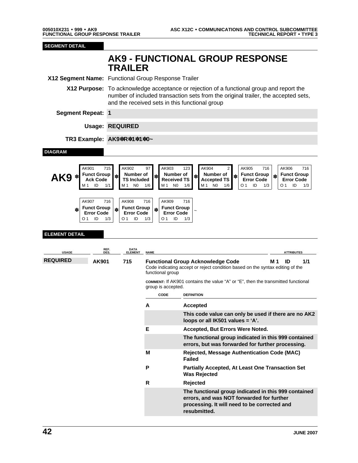AK9 FUNCTIONAL GROUP RESPONSE TRAILER 005010X231 FUNCTIONAL GROUP RESPONSE TRAILER • 999 • AK9

**SEGMENT DETAIL None AK9 - FUNCTIONAL GROUP RESPONSE TRAILER X12 Segment Name:** Functional Group Response Trailer **X12 Purpose:** To acknowledge acceptance or rejection of a functional group and report the number of included transaction sets from the original trailer, the accepted sets, and the received sets in this functional group **Segment Repeat: 1 Usage: REQUIRED 56 TR3 Example: AK9**✽**R**✽**1**✽**1**✽**0~ DIAGRAM** AK901 715 AK902 97 AK903 123 AK904 2 AK905 716 AK906 716  $\mathbf{A}$ K9  $*$   $\begin{bmatrix} \text{Funct Group} \\ \text{Act Code} \\ \text{M1} & \text{ID} & \text{M1} \end{bmatrix}$ **Aumber of**<br>**TS Included Number of**<br>Received TS **Rumber of**  $\begin{array}{c} \ast \\ \ast \\ \end{array}$  **Received TS**  $\begin{array}{c} \ast \\ \ast \\ \end{array}$  **Funct Group Error Code** ✽ **Funct Group Error Code** M 1 ID 1/1 || M 1 N0 1/6 || M 1 N0 1/6 || M 1 N0 1/6 || |O 1 ID 1/3 || |O 1 ID 1/3 AK907 716 |AK908 716 |AK909 716 ✽ **Funct Group Error Code** ✽ **Funct Group Error Code** ✽ **Funct Group Error Code** <sup>~</sup> O 1 ID 1/3 O 1 ID 1/3 O 1 ID 1/3 **ELEMENT DETAIL USAGE REF. DES. DATA ELEMENT NAME ATTRIBUTES REQUIRED AK901 715 Functional Group Acknowledge Code M 1 ID 1/1** Code indicating accept or reject condition based on the syntax editing of the functional group **COMMENT:** If AK901 contains the value "A" or "E", then the transmitted functional group is accepted. **CODE DEFINITION A Accepted 122 This code value can only be used if there are no AK2 loops or all IK501 values = 'A'. E Accepted, But Errors Were Noted. 83 The functional group indicated in this 999 contained errors, but was forwarded for further processing. M Rejected, Message Authentication Code (MAC) Failed P Partially Accepted, At Least One Transaction Set Was Rejected R Rejected 84 The functional group indicated in this 999 contained errors, and was NOT forwarded for further processing. It will need to be corrected and resubmitted.**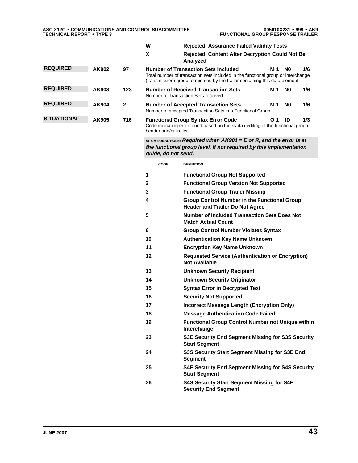|                    |       |              | w<br><b>Rejected, Assurance Failed Validity Tests</b>                                                                                                                                                         |     |                |     |
|--------------------|-------|--------------|---------------------------------------------------------------------------------------------------------------------------------------------------------------------------------------------------------------|-----|----------------|-----|
|                    |       |              | X<br><b>Rejected, Content After Decryption Could Not Be</b><br>Analyzed                                                                                                                                       |     |                |     |
| <b>REQUIRED</b>    | AK902 | 97           | <b>Number of Transaction Sets Included</b><br>Total number of transaction sets included in the functional group or interchange<br>(transmission) group terminated by the trailer containing this data element | M 1 | N0             | 1/6 |
| <b>REQUIRED</b>    | AK903 | 123          | <b>Number of Received Transaction Sets</b><br>Number of Transaction Sets received                                                                                                                             | M 1 | N <sub>0</sub> | 1/6 |
| <b>REQUIRED</b>    | AK904 | $\mathbf{2}$ | <b>Number of Accepted Transaction Sets</b><br>Number of accepted Transaction Sets in a Functional Group                                                                                                       | M 1 | N <sub>0</sub> | 1/6 |
| <b>SITUATIONAL</b> | AK905 | 716          | <b>Functional Group Syntax Error Code</b><br>Code indicating error found based on the syntax editing of the functional group<br>header and/or trailer                                                         | O.  | ID             | 1/3 |

**31 SITUATIONAL RULE: Required when AK901 = E or R, and the error is at the functional group level. If not required by this implementation guide, do not send.**

| CODE | <b>DEFINITION</b>                                                                             |  |  |  |  |  |  |
|------|-----------------------------------------------------------------------------------------------|--|--|--|--|--|--|
| 1    | <b>Functional Group Not Supported</b>                                                         |  |  |  |  |  |  |
| 2    | <b>Functional Group Version Not Supported</b>                                                 |  |  |  |  |  |  |
| 3    | <b>Functional Group Trailer Missing</b>                                                       |  |  |  |  |  |  |
| 4    | <b>Group Control Number in the Functional Group</b><br><b>Header and Trailer Do Not Agree</b> |  |  |  |  |  |  |
| 5    | <b>Number of Included Transaction Sets Does Not</b><br><b>Match Actual Count</b>              |  |  |  |  |  |  |
| 6    | <b>Group Control Number Violates Syntax</b>                                                   |  |  |  |  |  |  |
| 10   | <b>Authentication Key Name Unknown</b>                                                        |  |  |  |  |  |  |
| 11   | <b>Encryption Key Name Unknown</b>                                                            |  |  |  |  |  |  |
| 12   | <b>Requested Service (Authentication or Encryption)</b><br><b>Not Available</b>               |  |  |  |  |  |  |
| 13   | <b>Unknown Security Recipient</b>                                                             |  |  |  |  |  |  |
| 14   | <b>Unknown Security Originator</b>                                                            |  |  |  |  |  |  |
| 15   | <b>Syntax Error in Decrypted Text</b>                                                         |  |  |  |  |  |  |
| 16   | <b>Security Not Supported</b>                                                                 |  |  |  |  |  |  |
| 17   | Incorrect Message Length (Encryption Only)                                                    |  |  |  |  |  |  |
| 18   | <b>Message Authentication Code Failed</b>                                                     |  |  |  |  |  |  |
| 19   | <b>Functional Group Control Number not Unique within</b><br>Interchange                       |  |  |  |  |  |  |
| 23   | S3E Security End Segment Missing for S3S Security<br><b>Start Segment</b>                     |  |  |  |  |  |  |
| 24   | S3S Security Start Segment Missing for S3E End<br><b>Segment</b>                              |  |  |  |  |  |  |
| 25   | <b>S4E Security End Segment Missing for S4S Security</b><br><b>Start Segment</b>              |  |  |  |  |  |  |
| 26   | <b>S4S Security Start Segment Missing for S4E</b><br><b>Security End Segment</b>              |  |  |  |  |  |  |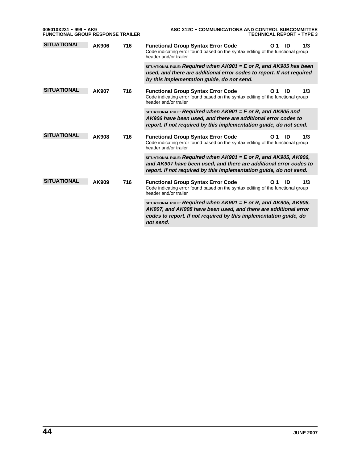|                    | 005010X231 • 999 • AK9<br><b>FUNCTIONAL GROUP RESPONSE TRAILER</b> |     | ASC X12C . COMMUNICATIONS AND CONTROL SUBCOMMITTEE<br><b>TECHNICAL REPORT • TYPE 3</b>                                                                                                                                         |  |  |  |  |
|--------------------|--------------------------------------------------------------------|-----|--------------------------------------------------------------------------------------------------------------------------------------------------------------------------------------------------------------------------------|--|--|--|--|
| <b>SITUATIONAL</b> | AK906                                                              | 716 | <b>Functional Group Syntax Error Code</b><br>1/3<br>O 1<br>ID<br>Code indicating error found based on the syntax editing of the functional group<br>header and/or trailer                                                      |  |  |  |  |
|                    |                                                                    |     | SITUATIONAL RULE: Required when $AK901 = E$ or R, and $AK905$ has been<br>used, and there are additional error codes to report. If not required<br>by this implementation guide, do not send.                                  |  |  |  |  |
| <b>SITUATIONAL</b> | AK907                                                              | 716 | <b>Functional Group Syntax Error Code</b><br>1/3<br>O 1<br>ID<br>Code indicating error found based on the syntax editing of the functional group<br>header and/or trailer                                                      |  |  |  |  |
|                    |                                                                    |     | SITUATIONAL RULE: Required when $AK901 = E$ or R, and $AK905$ and<br>AK906 have been used, and there are additional error codes to<br>report. If not required by this implementation guide, do not send.                       |  |  |  |  |
| <b>SITUATIONAL</b> | <b>AK908</b>                                                       | 716 | 1/3<br><b>Functional Group Syntax Error Code</b><br>ID<br>O 1<br>Code indicating error found based on the syntax editing of the functional group<br>header and/or trailer                                                      |  |  |  |  |
|                    |                                                                    |     | SITUATIONAL RULE: Required when $AK901 = E$ or R, and $AK905$ , $AK906$ .<br>and AK907 have been used, and there are additional error codes to<br>report. If not required by this implementation guide, do not send.           |  |  |  |  |
| <b>SITUATIONAL</b> | AK909                                                              | 716 | 1/3<br><b>Functional Group Syntax Error Code</b><br>ID<br>O <sub>1</sub><br>Code indicating error found based on the syntax editing of the functional group<br>header and/or trailer                                           |  |  |  |  |
|                    |                                                                    |     | SITUATIONAL RULE: Required when $AK901 = E$ or R, and $AK905$ , $AK906$ .<br>AK907, and AK908 have been used, and there are additional error<br>codes to report. If not required by this implementation guide, do<br>not send. |  |  |  |  |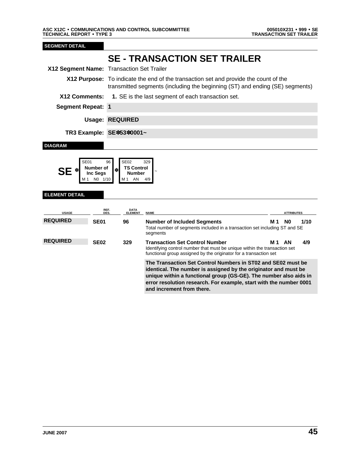**SEGMENT DETAIL None SE - TRANSACTION SET TRAILER X12 Segment Name:** Transaction Set Trailer **X12 Purpose:** To indicate the end of the transaction set and provide the count of the transmitted segments (including the beginning (ST) and ending (SE) segments) **X12 Comments: 1.** SE is the last segment of each transaction set. **Segment Repeat: 1 Usage: REQUIRED 57 TR3 Example: SE**✽**53**✽**0001~ DIAGRAM** SE01 96 SE02 329 **SE**  $*$  **Number of Inc Segs** Number of  $\left|\frac{1}{10}\right|$  **TS Control Number** <sup>~</sup> NO 1/10 M1 AN 4/9 **ELEMENT DETAIL USAGE REF. DES. DATA ELEMENTE ATTRIBUTES** REQUIRED **SE01** 96 Number of Included Segments M 1 N0 1/10 Total number of segments included in a transaction set including ST and SE segments **REQUIRED SE02 329 Transaction Set Control Number M 1 AN 4/9** Identifying control number that must be unique within the transaction set functional group assigned by the originator for a transaction set **3 The Transaction Set Control Numbers in ST02 and SE02 must be identical. The number is assigned by the originator and must be unique within a functional group (GS-GE). The number also aids in error resolution research. For example, start with the number 0001 and increment from there.**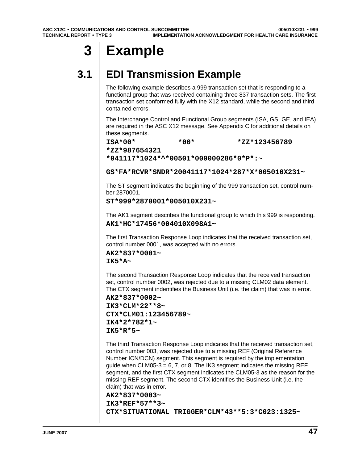# **3 Example**

# **3.1 EDI Transmission Example**

The following example describes a 999 transaction set that is responding to a functional group that was received containing three 837 transaction sets. The first transaction set conformed fully with the X12 standard, while the second and third contained errors.

The Interchange Control and Functional Group segments (ISA, GS, GE, and IEA) are required in the ASC X12 message. See Appendix C for additional details on these segments.

**ISA\*00\* \*00\* \*ZZ\*123456789**

**\*ZZ\*987654321**

**\*041117\*1024\*^\*00501\*000000286\*0\*P\*:~**

**GS\*FA\*RCVR\*SNDR\*20041117\*1024\*287\*X\*005010X231~**

The ST segment indicates the beginning of the 999 transaction set, control number 2870001.

```
ST*999*2870001*005010X231~
```
The AK1 segment describes the functional group to which this 999 is responding. **AK1\*HC\*17456\*004010X098A1~**

The first Transaction Response Loop indicates that the received transaction set, control number 0001, was accepted with no errors.

**AK2\*837\*0001~ IK5\*A~**

The second Transaction Response Loop indicates that the received transaction set, control number 0002, was rejected due to a missing CLM02 data element. The CTX segment indentifies the Business Unit (i.e. the claim) that was in error.

**AK2\*837\*0002~ IK3\*CLM\*22\*\*8~ CTX\*CLM01:123456789~ IK4\*2\*782\*1~ IK5\*R\*5~**

The third Transaction Response Loop indicates that the received transaction set, control number 003, was rejected due to a missing REF (Original Reference Number ICN/DCN) segment. This segment is required by the implementation guide when CLM05-3 = 6, 7, or 8. The IK3 segment indicates the missing REF segment, and the first CTX segment indicates the CLM05-3 as the reason for the missing REF segment. The second CTX identifies the Business Unit (i.e. the claim) that was in error.

```
AK2*837*0003~
IK3*REF*57**3~
CTX*SITUATIONAL TRIGGER*CLM*43**5:3*C023:1325~
```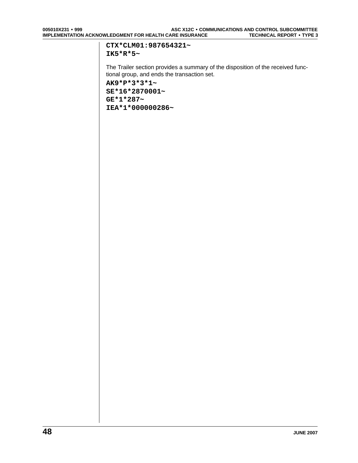#### **CTX\*CLM01:987654321~ IK5\*R\*5~**

The Trailer section provides a summary of the disposition of the received functional group, and ends the transaction set. **AK9\*P\*3\*3\*1~ SE\*16\*2870001~ GE\*1\*287~ IEA\*1\*000000286~**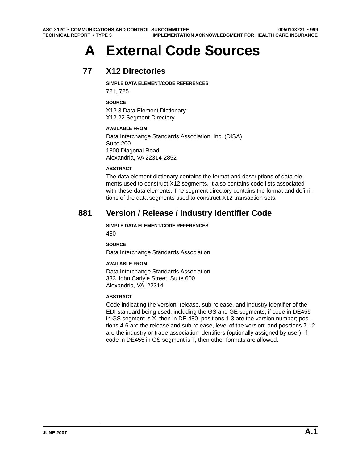# **A External Code Sources**

## **77 X12 Directories**

**SIMPLE DATA ELEMENT/CODE REFERENCES**

721, 725

#### **SOURCE**

X12.3 Data Element Dictionary X12.22 Segment Directory

#### **AVAILABLE FROM**

Data Interchange Standards Association, Inc. (DISA) Suite 200 1800 Diagonal Road Alexandria, VA 22314-2852

#### **ABSTRACT**

The data element dictionary contains the format and descriptions of data elements used to construct X12 segments. It also contains code lists associated with these data elements. The segment directory contains the format and definitions of the data segments used to construct X12 transaction sets.

### **881 Version / Release / Industry Identifier Code**

**SIMPLE DATA ELEMENT/CODE REFERENCES**

480

**SOURCE**

Data Interchange Standards Association

#### **AVAILABLE FROM**

Data Interchange Standards Association 333 John Carlyle Street, Suite 600 Alexandria, VA 22314

#### **ABSTRACT**

Code indicating the version, release, sub-release, and industry identifier of the EDI standard being used, including the GS and GE segments; if code in DE455 in GS segment is X, then in DE 480 positions 1-3 are the version number; positions 4-6 are the release and sub-release, level of the version; and positions 7-12 are the industry or trade association identifiers (optionally assigned by user); if code in DE455 in GS segment is T, then other formats are allowed.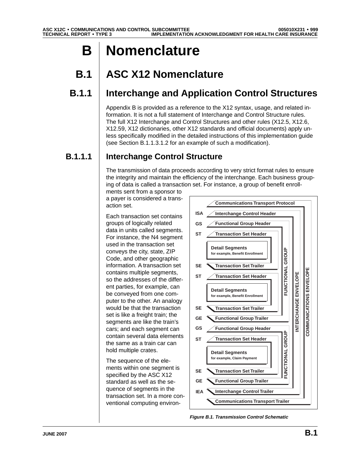# **B Nomenclature**

# **B.1 ASC X12 Nomenclature**

## **B.1.1 Interchange and Application Control Structures**

Appendix B is provided as a reference to the X12 syntax, usage, and related information. It is not a full statement of Interchange and Control Structure rules. The full X12 Interchange and Control Structures and other rules (X12.5, X12.6, X12.59, X12 dictionaries, other X12 standards and official documents) apply unless specifically modified in the detailed instructions of this implementation guide (see Section B.1.1.3.1.2 for an example of such a modification).

## **B.1.1.1 Interchange Control Structure**

The transmission of data proceeds according to very strict format rules to ensure the integrity and maintain the efficiency of the interchange. Each business grouping of data is called a transaction set. For instance, a group of benefit enroll-

ments sent from a sponsor to a payer is considered a transaction set.

Each transaction set contains groups of logically related data in units called segments. For instance, the N4 segment used in the transaction set conveys the city, state, ZIP Code, and other geographic information. A transaction set contains multiple segments, so the addresses of the different parties, for example, can be conveyed from one computer to the other. An analogy would be that the transaction set is like a freight train; the segments are like the train's cars; and each segment can contain several data elements the same as a train car can hold multiple crates.

The sequence of the elements within one segment is specified by the ASC X12 standard as well as the sequence of segments in the transaction set. In a more conventional computing environ-



**Figure B.1. Transmission Control Schematic**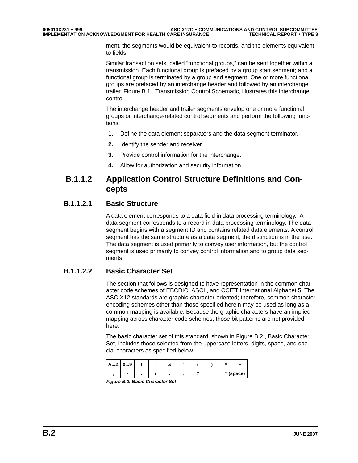ment, the segments would be equivalent to records, and the elements equivalent to fields.

Similar transaction sets, called "functional groups," can be sent together within a transmission. Each functional group is prefaced by a group start segment; and a functional group is terminated by a group end segment. One or more functional groups are prefaced by an interchange header and followed by an interchange trailer. Figure B.1., Transmission Control Schematic, illustrates this interchange control.

The interchange header and trailer segments envelop one or more functional groups or interchange-related control segments and perform the following functions:

- **1.** Define the data element separators and the data segment terminator.
- **2.** Identify the sender and receiver.
- **3.** Provide control information for the interchange.
- **4.** Allow for authorization and security information.

### **B.1.1.2 Application Control Structure Definitions and Concepts**

#### **B.1.1.2.1 Basic Structure**

A data element corresponds to a data field in data processing terminology. A data segment corresponds to a record in data processing terminology. The data segment begins with a segment ID and contains related data elements. A control segment has the same structure as a data segment; the distinction is in the use. The data segment is used primarily to convey user information, but the control segment is used primarily to convey control information and to group data segments.

#### **B.1.1.2.2 Basic Character Set**

The section that follows is designed to have representation in the common character code schemes of EBCDIC, ASCII, and CCITT International Alphabet 5. The ASC X12 standards are graphic-character-oriented; therefore, common character encoding schemes other than those specified herein may be used as long as a common mapping is available. Because the graphic characters have an implied mapping across character code schemes, those bit patterns are not provided here.

The basic character set of this standard, shown in Figure B.2., Basic Character Set, includes those selected from the uppercase letters, digits, space, and special characters as specified below.

| A…Z | 09 | 66 |  |     |            |  |
|-----|----|----|--|-----|------------|--|
|     |    |    |  | $=$ | "" (space) |  |

**Figure B.2. Basic Character Set**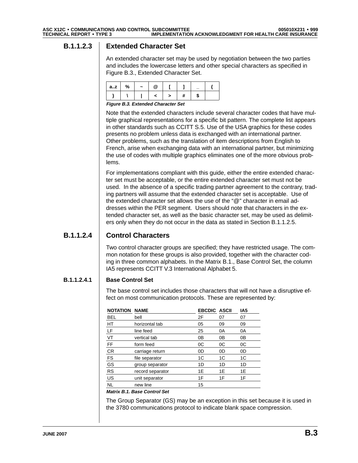#### **B.1.1.2.3 Extended Character Set**

An extended character set may be used by negotiation between the two parties and includes the lowercase letters and other special characters as specified in Figure B.3., Extended Character Set.

| az | % | $\tilde{\phantom{a}}$ |  |  |  |
|----|---|-----------------------|--|--|--|
|    |   |                       |  |  |  |

**Figure B.3. Extended Character Set**

Note that the extended characters include several character codes that have multiple graphical representations for a specific bit pattern. The complete list appears in other standards such as CCITT S.5. Use of the USA graphics for these codes presents no problem unless data is exchanged with an international partner. Other problems, such as the translation of item descriptions from English to French, arise when exchanging data with an international partner, but minimizing the use of codes with multiple graphics eliminates one of the more obvious problems.

For implementations compliant with this guide, either the entire extended character set must be acceptable, or the entire extended character set must not be used. In the absence of a specific trading partner agreement to the contrary, trading partners will assume that the extended character set is acceptable. Use of the extended character set allows the use of the "@" character in email addresses within the PER segment. Users should note that characters in the extended character set, as well as the basic character set, may be used as delimiters only when they do not occur in the data as stated in Section B.1.1.2.5.

#### **B.1.1.2.4 Control Characters**

Two control character groups are specified; they have restricted usage. The common notation for these groups is also provided, together with the character coding in three common alphabets. In the Matrix B.1., Base Control Set, the column IA5 represents CCITT V.3 International Alphabet 5.

#### **B.1.1.2.4.1 Base Control Set**

The base control set includes those characters that will not have a disruptive effect on most communication protocols. These are represented by:

| <b>NOTATION</b> | <b>NAME</b>      | <b>EBCDIC ASCII</b> |    | IA5 |
|-----------------|------------------|---------------------|----|-----|
| <b>BEL</b>      | bell             | 2F                  | 07 | 07  |
| HT              | horizontal tab   | 05                  | 09 | 09  |
| LF              | line feed        | 25                  | 0A | 0A  |
| VT              | vertical tab     | 0B                  | 0B | 0В  |
| FF              | form feed        | 0C                  | 0C | 0C  |
| <b>CR</b>       | carriage return  | 0D                  | 0D | 0D  |
| FS              | file separator   | 1C                  | 1C | 1C  |
| GS              | group separator  | 1D                  | 1D | 1D  |
| <b>RS</b>       | record separator | 1E                  | 1E | 1E  |
| US              | unit separator   | 1F                  | 1F | 1F  |
| NL              | new line         | 15                  |    |     |

#### **Matrix B.1. Base Control Set**

The Group Separator (GS) may be an exception in this set because it is used in the 3780 communications protocol to indicate blank space compression.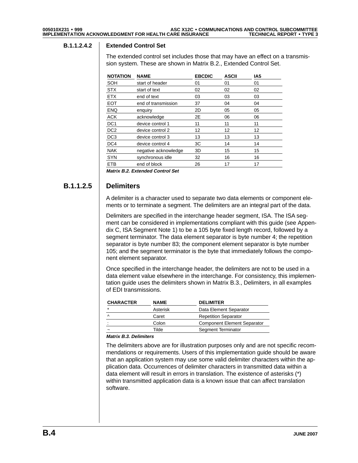#### **B.1.1.2.4.2 Extended Control Set**

The extended control set includes those that may have an effect on a transmission system. These are shown in Matrix B.2., Extended Control Set.

| <b>NOTATION</b> | <b>NAME</b>          | <b>EBCDIC</b> | <b>ASCII</b> | IA <sub>5</sub> |  |
|-----------------|----------------------|---------------|--------------|-----------------|--|
| SOH             | start of header      | 01            | 01           | 01              |  |
| <b>STX</b>      | start of text        | 02            | 02           | 02              |  |
| <b>ETX</b>      | end of text          | 03            | 03           | 03              |  |
| <b>EOT</b>      | end of transmission  | 37            | 04           | 04              |  |
| <b>ENQ</b>      | enquiry              | 2D            | 05           | 05              |  |
| <b>ACK</b>      | acknowledge          | 2E            | 06           | 06              |  |
| DC <sub>1</sub> | device control 1     | 11            | 11           | 11              |  |
| DC <sub>2</sub> | device control 2     | 12            | 12           | 12              |  |
| DC <sub>3</sub> | device control 3     | 13            | 13           | 13              |  |
| DC4             | device control 4     | 3C            | 14           | 14              |  |
| <b>NAK</b>      | negative acknowledge | 3D            | 15           | 15              |  |
| <b>SYN</b>      | synchronous idle     | 32            | 16           | 16              |  |
| <b>ETB</b>      | end of block         | 26            | 17           | 17              |  |

**Matrix B.2. Extended Control Set**

#### **B.1.1.2.5 Delimiters**

A delimiter is a character used to separate two data elements or component elements or to terminate a segment. The delimiters are an integral part of the data.

Delimiters are specified in the interchange header segment, ISA. The ISA segment can be considered in implementations compliant with this guide (see Appendix C, ISA Segment Note 1) to be a 105 byte fixed length record, followed by a segment terminator. The data element separator is byte number 4; the repetition separator is byte number 83; the component element separator is byte number 105; and the segment terminator is the byte that immediately follows the component element separator.

Once specified in the interchange header, the delimiters are not to be used in a data element value elsewhere in the interchange. For consistency, this implementation guide uses the delimiters shown in Matrix B.3., Delimiters, in all examples of EDI transmissions.

| <b>CHARACTER</b> | <b>NAME</b> | <b>DELIMITER</b>                   |
|------------------|-------------|------------------------------------|
| $\star$          | Asterisk    | Data Element Separator             |
| ∧                | Caret       | <b>Repetition Separator</b>        |
| ٠                | Colon       | <b>Component Element Separator</b> |
| ~                | Tilde       | Segment Terminator                 |

#### **Matrix B.3. Delimiters**

The delimiters above are for illustration purposes only and are not specific recommendations or requirements. Users of this implementation guide should be aware that an application system may use some valid delimiter characters within the application data. Occurrences of delimiter characters in transmitted data within a data element will result in errors in translation. The existence of asterisks (\*) within transmitted application data is a known issue that can affect translation software.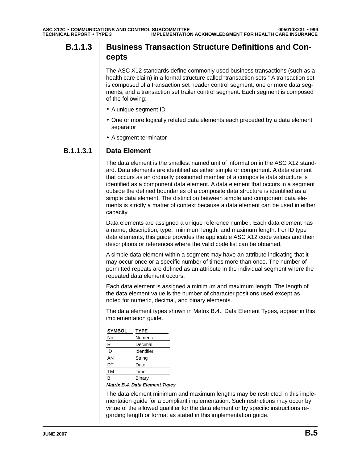## **B.1.1.3** Business Transaction Structure Definitions and Con**cepts**

The ASC X12 standards define commonly used business transactions (such as a health care claim) in a formal structure called "transaction sets." A transaction set is composed of a transaction set header control segment, one or more data segments, and a transaction set trailer control segment. Each segment is composed of the following:

- A unique segment ID
- One or more logically related data elements each preceded by a data element separator
- A segment terminator

#### **B.1.1.3.1 Data Element**

The data element is the smallest named unit of information in the ASC X12 standard. Data elements are identified as either simple or component. A data element that occurs as an ordinally positioned member of a composite data structure is identified as a component data element. A data element that occurs in a segment outside the defined boundaries of a composite data structure is identified as a simple data element. The distinction between simple and component data elements is strictly a matter of context because a data element can be used in either capacity.

Data elements are assigned a unique reference number. Each data element has a name, description, type, minimum length, and maximum length. For ID type data elements, this guide provides the applicable ASC X12 code values and their descriptions or references where the valid code list can be obtained.

A simple data element within a segment may have an attribute indicating that it may occur once or a specific number of times more than once. The number of permitted repeats are defined as an attribute in the individual segment where the repeated data element occurs.

Each data element is assigned a minimum and maximum length. The length of the data element value is the number of character positions used except as noted for numeric, decimal, and binary elements.

The data element types shown in Matrix B.4., Data Element Types, appear in this implementation guide.

| <b>SYMBOL</b> | <b>TYPE</b> |
|---------------|-------------|
| Nn            | Numeric     |
| R             | Decimal     |
| ID            | Identifier  |
| AN            | String      |
| DT            | Date        |
| <b>TM</b>     | Time        |
| R             | Binary      |
|               |             |

**Matrix B.4. Data Element Types**

The data element minimum and maximum lengths may be restricted in this implementation guide for a compliant implementation. Such restrictions may occur by virtue of the allowed qualifier for the data element or by specific instructions regarding length or format as stated in this implementation guide.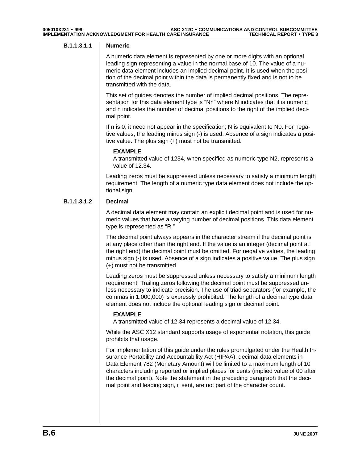#### **B.1.1.3.1.1 Numeric**

A numeric data element is represented by one or more digits with an optional leading sign representing a value in the normal base of 10. The value of a numeric data element includes an implied decimal point. It is used when the position of the decimal point within the data is permanently fixed and is not to be transmitted with the data.

This set of guides denotes the number of implied decimal positions. The representation for this data element type is "Nn" where N indicates that it is numeric and n indicates the number of decimal positions to the right of the implied decimal point.

If n is 0, it need not appear in the specification; N is equivalent to N0. For negative values, the leading minus sign (-) is used. Absence of a sign indicates a positive value. The plus sign (+) must not be transmitted.

#### **EXAMPLE**

A transmitted value of 1234, when specified as numeric type N2, represents a value of 12.34.

Leading zeros must be suppressed unless necessary to satisfy a minimum length requirement. The length of a numeric type data element does not include the optional sign.

#### **B.1.1.3.1.2 Decimal**

A decimal data element may contain an explicit decimal point and is used for numeric values that have a varying number of decimal positions. This data element type is represented as "R."

The decimal point always appears in the character stream if the decimal point is at any place other than the right end. If the value is an integer (decimal point at the right end) the decimal point must be omitted. For negative values, the leading minus sign (-) is used. Absence of a sign indicates a positive value. The plus sign (+) must not be transmitted.

Leading zeros must be suppressed unless necessary to satisfy a minimum length requirement. Trailing zeros following the decimal point must be suppressed unless necessary to indicate precision. The use of triad separators (for example, the commas in 1,000,000) is expressly prohibited. The length of a decimal type data element does not include the optional leading sign or decimal point.

#### **EXAMPLE**

A transmitted value of 12.34 represents a decimal value of 12.34.

While the ASC X12 standard supports usage of exponential notation, this guide prohibits that usage.

For implementation of this guide under the rules promulgated under the Health Insurance Portability and Accountability Act (HIPAA), decimal data elements in Data Element 782 (Monetary Amount) will be limited to a maximum length of 10 characters including reported or implied places for cents (implied value of 00 after the decimal point). Note the statement in the preceding paragraph that the decimal point and leading sign, if sent, are not part of the character count.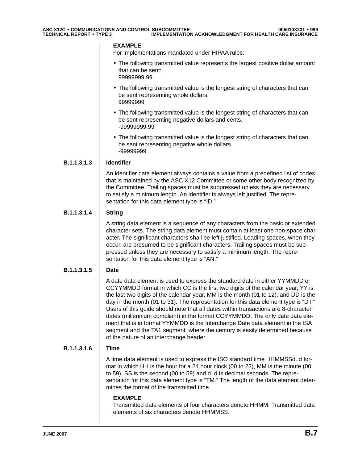#### **EXAMPLE**

For implementations mandated under HIPAA rules:

- The following transmitted value represents the largest positive dollar amount that can be sent: 99999999.99
- The following transmitted value is the longest string of characters that can be sent representing whole dollars. 99999999
- The following transmitted value is the longest string of characters that can be sent representing negative dollars and cents. -99999999.99
- The following transmitted value is the longest string of characters that can be sent representing negative whole dollars. -99999999

#### **B.1.1.3.1.3 Identifier**

An identifier data element always contains a value from a predefined list of codes that is maintained by the ASC X12 Committee or some other body recognized by the Committee. Trailing spaces must be suppressed unless they are necessary to satisfy a minimum length. An identifier is always left justified. The representation for this data element type is "ID."

#### **B.1.1.3.1.4 String**

A string data element is a sequence of any characters from the basic or extended character sets. The string data element must contain at least one non-space character. The significant characters shall be left justified. Leading spaces, when they occur, are presumed to be significant characters. Trailing spaces must be suppressed unless they are necessary to satisfy a minimum length. The representation for this data element type is "AN."

#### **B.1.1.3.1.5 Date**

A date data element is used to express the standard date in either YYMMDD or CCYYMMDD format in which CC is the first two digits of the calendar year, YY is the last two digits of the calendar year, MM is the month (01 to 12), and DD is the day in the month (01 to 31). The representation for this data element type is "DT." Users of this guide should note that all dates within transactions are 8-character dates (millennium compliant) in the format CCYYMMDD. The only date data element that is in format YYMMDD is the Interchange Date data element in the ISA segment and the TA1 segment where the century is easily determined because of the nature of an interchange header.

#### **B.1.1.3.1.6 Time**

A time data element is used to express the ISO standard time HHMMSSd..d format in which HH is the hour for a 24 hour clock (00 to 23), MM is the minute (00 to 59), SS is the second (00 to 59) and d..d is decimal seconds. The representation for this data element type is "TM." The length of the data element determines the format of the transmitted time.

#### **EXAMPLE**

Transmitted data elements of four characters denote HHMM. Transmitted data elements of six characters denote HHMMSS.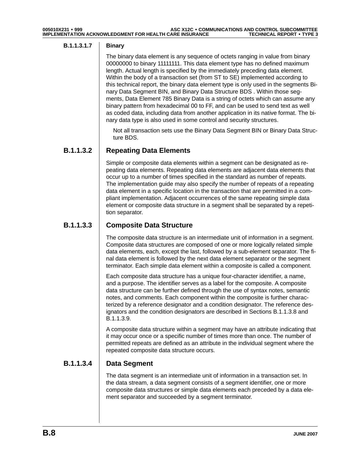#### **B.1.1.3.1.7 Binary**

The binary data element is any sequence of octets ranging in value from binary 00000000 to binary 11111111. This data element type has no defined maximum length. Actual length is specified by the immediately preceding data element. Within the body of a transaction set (from ST to SE) implemented according to this technical report, the binary data element type is only used in the segments Binary Data Segment BIN, and Binary Data Structure BDS . Within those segments, Data Element 785 Binary Data is a string of octets which can assume any binary pattern from hexadecimal 00 to FF, and can be used to send text as well as coded data, including data from another application in its native format. The binary data type is also used in some control and security structures.

Not all transaction sets use the Binary Data Segment BIN or Binary Data Structure BDS.

#### **B.1.1.3.2 Repeating Data Elements**

Simple or composite data elements within a segment can be designated as repeating data elements. Repeating data elements are adjacent data elements that occur up to a number of times specified in the standard as number of repeats. The implementation guide may also specify the number of repeats of a repeating data element in a specific location in the transaction that are permitted in a compliant implementation. Adjacent occurrences of the same repeating simple data element or composite data structure in a segment shall be separated by a repetition separator.

#### **B.1.1.3.3 Composite Data Structure**

The composite data structure is an intermediate unit of information in a segment. Composite data structures are composed of one or more logically related simple data elements, each, except the last, followed by a sub-element separator. The final data element is followed by the next data element separator or the segment terminator. Each simple data element within a composite is called a component.

Each composite data structure has a unique four-character identifier, a name, and a purpose. The identifier serves as a label for the composite. A composite data structure can be further defined through the use of syntax notes, semantic notes, and comments. Each component within the composite is further characterized by a reference designator and a condition designator. The reference designators and the condition designators are described in Sections B.1.1.3.8 and B.1.1.3.9.

A composite data structure within a segment may have an attribute indicating that it may occur once or a specific number of times more than once. The number of permitted repeats are defined as an attribute in the individual segment where the repeated composite data structure occurs.

#### **B.1.1.3.4 Data Segment**

The data segment is an intermediate unit of information in a transaction set. In the data stream, a data segment consists of a segment identifier, one or more composite data structures or simple data elements each preceded by a data element separator and succeeded by a segment terminator.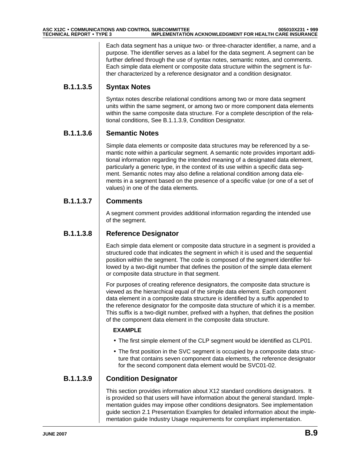Each data segment has a unique two- or three-character identifier, a name, and a purpose. The identifier serves as a label for the data segment. A segment can be further defined through the use of syntax notes, semantic notes, and comments. Each simple data element or composite data structure within the segment is further characterized by a reference designator and a condition designator.

#### **B.1.1.3.5 Syntax Notes**

Syntax notes describe relational conditions among two or more data segment units within the same segment, or among two or more component data elements within the same composite data structure. For a complete description of the relational conditions, See B.1.1.3.9, Condition Designator.

#### **B.1.1.3.6 Semantic Notes**

Simple data elements or composite data structures may be referenced by a semantic note within a particular segment. A semantic note provides important additional information regarding the intended meaning of a designated data element, particularly a generic type, in the context of its use within a specific data segment. Semantic notes may also define a relational condition among data elements in a segment based on the presence of a specific value (or one of a set of values) in one of the data elements.

#### **B.1.1.3.7 Comments**

A segment comment provides additional information regarding the intended use of the segment.

#### **B.1.1.3.8 Reference Designator**

Each simple data element or composite data structure in a segment is provided a structured code that indicates the segment in which it is used and the sequential position within the segment. The code is composed of the segment identifier followed by a two-digit number that defines the position of the simple data element or composite data structure in that segment.

For purposes of creating reference designators, the composite data structure is viewed as the hierarchical equal of the simple data element. Each component data element in a composite data structure is identified by a suffix appended to the reference designator for the composite data structure of which it is a member. This suffix is a two-digit number, prefixed with a hyphen, that defines the position of the component data element in the composite data structure.

#### **EXAMPLE**

- The first simple element of the CLP segment would be identified as CLP01.
- The first position in the SVC segment is occupied by a composite data structure that contains seven component data elements, the reference designator for the second component data element would be SVC01-02.

#### **B.1.1.3.9 Condition Designator**

This section provides information about X12 standard conditions designators. It is provided so that users will have information about the general standard. Implementation guides may impose other conditions designators. See implementation guide section 2.1 Presentation Examples for detailed information about the implementation guide Industry Usage requirements for compliant implementation.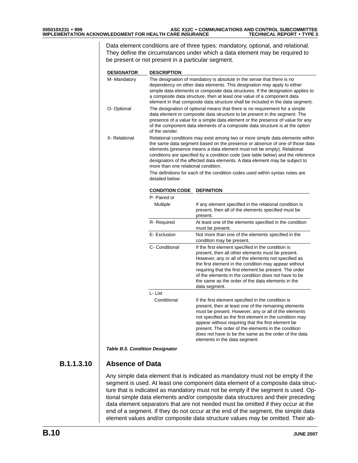Data element conditions are of three types: mandatory, optional, and relational. They define the circumstances under which a data element may be required to be present or not present in a particular segment.

| <b>DESIGNATOR</b> | <b>DESCRIPTION</b>                                                                                                                                                                                                                                                                                                                                                                                  |                                                                                                                                                                                                                                                                                                                                                                                                                                      |  |  |
|-------------------|-----------------------------------------------------------------------------------------------------------------------------------------------------------------------------------------------------------------------------------------------------------------------------------------------------------------------------------------------------------------------------------------------------|--------------------------------------------------------------------------------------------------------------------------------------------------------------------------------------------------------------------------------------------------------------------------------------------------------------------------------------------------------------------------------------------------------------------------------------|--|--|
| M- Mandatory      | The designation of mandatory is absolute in the sense that there is no<br>dependency on other data elements. This designation may apply to either<br>simple data elements or composite data structures. If the designation applies to<br>a composite data structure, then at least one value of a component data<br>element in that composite data structure shall be included in the data segment. |                                                                                                                                                                                                                                                                                                                                                                                                                                      |  |  |
| O- Optional       | The designation of optional means that there is no requirement for a simple<br>data element or composite data structure to be present in the segment. The<br>presence of a value for a simple data element or the presence of value for any<br>of the component data elements of a composite data structure is at the option<br>of the sender.                                                      |                                                                                                                                                                                                                                                                                                                                                                                                                                      |  |  |
| X-Relational      | more than one relational condition.                                                                                                                                                                                                                                                                                                                                                                 | Relational conditions may exist among two or more simple data elements within<br>the same data segment based on the presence or absence of one of those data<br>elements (presence means a data element must not be empty). Relational<br>conditions are specified by a condition code (see table below) and the reference<br>designators of the affected data elements. A data element may be subject to                            |  |  |
|                   | The definitions for each of the condition codes used within syntax notes are<br>detailed below:                                                                                                                                                                                                                                                                                                     |                                                                                                                                                                                                                                                                                                                                                                                                                                      |  |  |
|                   | <b>CONDITION CODE</b>                                                                                                                                                                                                                                                                                                                                                                               | <b>DEFINITION</b>                                                                                                                                                                                                                                                                                                                                                                                                                    |  |  |
|                   | P- Paired or                                                                                                                                                                                                                                                                                                                                                                                        |                                                                                                                                                                                                                                                                                                                                                                                                                                      |  |  |
|                   | Multiple                                                                                                                                                                                                                                                                                                                                                                                            | If any element specified in the relational condition is<br>present, then all of the elements specified must be<br>present.                                                                                                                                                                                                                                                                                                           |  |  |
|                   | R-Required                                                                                                                                                                                                                                                                                                                                                                                          | At least one of the elements specified in the condition<br>must be present.                                                                                                                                                                                                                                                                                                                                                          |  |  |
|                   | E- Exclusion                                                                                                                                                                                                                                                                                                                                                                                        | Not more than one of the elements specified in the<br>condition may be present.                                                                                                                                                                                                                                                                                                                                                      |  |  |
|                   | C- Conditional                                                                                                                                                                                                                                                                                                                                                                                      | If the first element specified in the condition is<br>present, then all other elements must be present.<br>However, any or all of the elements not specified as<br>the first element in the condition may appear without<br>requiring that the first element be present. The order<br>of the elements in the condition does not have to be<br>the same as the order of the data elements in the<br>data segment.                     |  |  |
|                   | L-List                                                                                                                                                                                                                                                                                                                                                                                              |                                                                                                                                                                                                                                                                                                                                                                                                                                      |  |  |
|                   | Conditional                                                                                                                                                                                                                                                                                                                                                                                         | If the first element specified in the condition is<br>present, then at least one of the remaining elements<br>must be present. However, any or all of the elements<br>not specified as the first element in the condition may<br>appear without requiring that the first element be<br>present. The order of the elements in the condition<br>does not have to be the same as the order of the data<br>elements in the data segment. |  |  |

**Table B.5. Condition Designator**

#### **B.1.1.3.10 Absence of Data**

Any simple data element that is indicated as mandatory must not be empty if the segment is used. At least one component data element of a composite data structure that is indicated as mandatory must not be empty if the segment is used. Optional simple data elements and/or composite data structures and their preceding data element separators that are not needed must be omitted if they occur at the end of a segment. If they do not occur at the end of the segment, the simple data element values and/or composite data structure values may be omitted. Their ab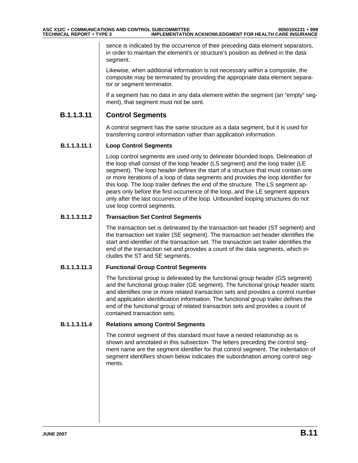sence is indicated by the occurrence of their preceding data element separators, in order to maintain the element's or structure's position as defined in the data segment.

Likewise, when additional information is not necessary within a composite, the composite may be terminated by providing the appropriate data element separator or segment terminator.

If a segment has no data in any data element within the segment (an "empty" segment), that segment must not be sent.

#### **B.1.1.3.11 Control Segments**

A control segment has the same structure as a data segment, but it is used for transferring control information rather than application information.

#### **B.1.1.3.11.1 Loop Control Segments**

Loop control segments are used only to delineate bounded loops. Delineation of the loop shall consist of the loop header (LS segment) and the loop trailer (LE segment). The loop header defines the start of a structure that must contain one or more iterations of a loop of data segments and provides the loop identifier for this loop. The loop trailer defines the end of the structure. The LS segment appears only before the first occurrence of the loop, and the LE segment appears only after the last occurrence of the loop. Unbounded looping structures do not use loop control segments.

#### **B.1.1.3.11.2 Transaction Set Control Segments**

The transaction set is delineated by the transaction set header (ST segment) and the transaction set trailer (SE segment). The transaction set header identifies the start and identifier of the transaction set. The transaction set trailer identifies the end of the transaction set and provides a count of the data segments, which includes the ST and SE segments.

#### **B.1.1.3.11.3 Functional Group Control Segments**

The functional group is delineated by the functional group header (GS segment) and the functional group trailer (GE segment). The functional group header starts and identifies one or more related transaction sets and provides a control number and application identification information. The functional group trailer defines the end of the functional group of related transaction sets and provides a count of contained transaction sets.

#### **B.1.1.3.11.4 Relations among Control Segments**

The control segment of this standard must have a nested relationship as is shown and annotated in this subsection. The letters preceding the control segment name are the segment identifier for that control segment. The indentation of segment identifiers shown below indicates the subordination among control segments.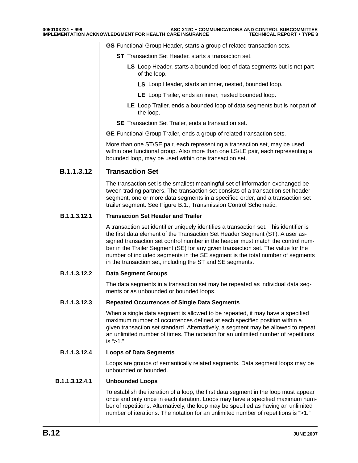**GS** Functional Group Header, starts a group of related transaction sets.

- **ST** Transaction Set Header, starts a transaction set.
	- **LS** Loop Header, starts a bounded loop of data segments but is not part of the loop.
		- **LS** Loop Header, starts an inner, nested, bounded loop.
		- **LE** Loop Trailer, ends an inner, nested bounded loop.
	- **LE** Loop Trailer, ends a bounded loop of data segments but is not part of the loop.
- **SE** Transaction Set Trailer, ends a transaction set.

**GE** Functional Group Trailer, ends a group of related transaction sets.

More than one ST/SE pair, each representing a transaction set, may be used within one functional group. Also more than one LS/LE pair, each representing a bounded loop, may be used within one transaction set.

#### **B.1.1.3.12 Transaction Set**

The transaction set is the smallest meaningful set of information exchanged between trading partners. The transaction set consists of a transaction set header segment, one or more data segments in a specified order, and a transaction set trailer segment. See Figure B.1., Transmission Control Schematic.

#### **B.1.1.3.12.1 Transaction Set Header and Trailer**

A transaction set identifier uniquely identifies a transaction set. This identifier is the first data element of the Transaction Set Header Segment (ST). A user assigned transaction set control number in the header must match the control number in the Trailer Segment (SE) for any given transaction set. The value for the number of included segments in the SE segment is the total number of segments in the transaction set, including the ST and SE segments.

#### **B.1.1.3.12.2 Data Segment Groups**

The data segments in a transaction set may be repeated as individual data segments or as unbounded or bounded loops.

#### **B.1.1.3.12.3 Repeated Occurrences of Single Data Segments**

When a single data segment is allowed to be repeated, it may have a specified maximum number of occurrences defined at each specified position within a given transaction set standard. Alternatively, a segment may be allowed to repeat an unlimited number of times. The notation for an unlimited number of repetitions is ">1."

#### **B.1.1.3.12.4 Loops of Data Segments**

Loops are groups of semantically related segments. Data segment loops may be unbounded or bounded.

#### **B.1.1.3.12.4.1 Unbounded Loops**

To establish the iteration of a loop, the first data segment in the loop must appear once and only once in each iteration. Loops may have a specified maximum number of repetitions. Alternatively, the loop may be specified as having an unlimited number of iterations. The notation for an unlimited number of repetitions is ">1."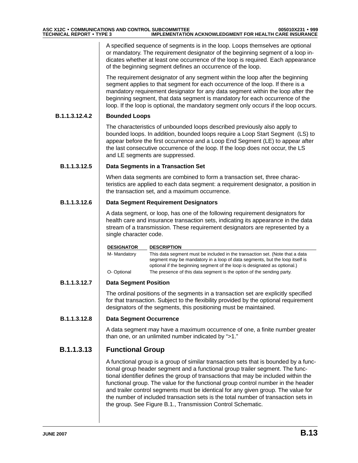A specified sequence of segments is in the loop. Loops themselves are optional or mandatory. The requirement designator of the beginning segment of a loop indicates whether at least one occurrence of the loop is required. Each appearance of the beginning segment defines an occurrence of the loop.

The requirement designator of any segment within the loop after the beginning segment applies to that segment for each occurrence of the loop. If there is a mandatory requirement designator for any data segment within the loop after the beginning segment, that data segment is mandatory for each occurrence of the loop. If the loop is optional, the mandatory segment only occurs if the loop occurs.

#### **B.1.1.3.12.4.2 Bounded Loops**

The characteristics of unbounded loops described previously also apply to bounded loops. In addition, bounded loops require a Loop Start Segment (LS) to appear before the first occurrence and a Loop End Segment (LE) to appear after the last consecutive occurrence of the loop. If the loop does not occur, the LS and LE segments are suppressed.

#### **B.1.1.3.12.5 Data Segments in a Transaction Set**

When data segments are combined to form a transaction set, three characteristics are applied to each data segment: a requirement designator, a position in the transaction set, and a maximum occurrence.

#### **B.1.1.3.12.6 Data Segment Requirement Designators**

A data segment, or loop, has one of the following requirement designators for health care and insurance transaction sets, indicating its appearance in the data stream of a transmission. These requirement designators are represented by a single character code.

| <b>DESIGNATOR</b> | <b>DESCRIPTION</b>                                                                                                                                                                                                                       |
|-------------------|------------------------------------------------------------------------------------------------------------------------------------------------------------------------------------------------------------------------------------------|
| M- Mandatory      | This data segment must be included in the transaction set. (Note that a data<br>segment may be mandatory in a loop of data segments, but the loop itself is<br>optional if the beginning segment of the loop is designated as optional.) |
| O-Optional        | The presence of this data segment is the option of the sending party.                                                                                                                                                                    |

#### **B.1.1.3.12.7 Data Segment Position**

The ordinal positions of the segments in a transaction set are explicitly specified for that transaction. Subject to the flexibility provided by the optional requirement designators of the segments, this positioning must be maintained.

#### **B.1.1.3.12.8 Data Segment Occurrence**

A data segment may have a maximum occurrence of one, a finite number greater than one, or an unlimited number indicated by ">1."

#### **B.1.1.3.13 Functional Group**

A functional group is a group of similar transaction sets that is bounded by a functional group header segment and a functional group trailer segment. The functional identifier defines the group of transactions that may be included within the functional group. The value for the functional group control number in the header and trailer control segments must be identical for any given group. The value for the number of included transaction sets is the total number of transaction sets in the group. See Figure B.1., Transmission Control Schematic.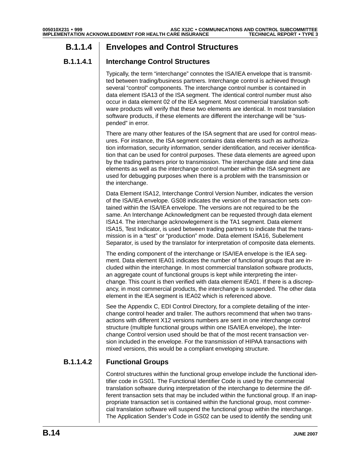### **B.1.1.4 Envelopes and Control Structures**

#### **B.1.1.4.1 Interchange Control Structures**

Typically, the term "interchange" connotes the ISA/IEA envelope that is transmitted between trading/business partners. Interchange control is achieved through several "control" components. The interchange control number is contained in data element ISA13 of the ISA segment. The identical control number must also occur in data element 02 of the IEA segment. Most commercial translation software products will verify that these two elements are identical. In most translation software products, if these elements are different the interchange will be "suspended" in error.

There are many other features of the ISA segment that are used for control measures. For instance, the ISA segment contains data elements such as authorization information, security information, sender identification, and receiver identification that can be used for control purposes. These data elements are agreed upon by the trading partners prior to transmission. The interchange date and time data elements as well as the interchange control number within the ISA segment are used for debugging purposes when there is a problem with the transmission or the interchange.

Data Element ISA12, Interchange Control Version Number, indicates the version of the ISA/IEA envelope. GS08 indicates the version of the transaction sets contained within the ISA/IEA envelope. The versions are not required to be the same. An Interchange Acknowledgment can be requested through data element ISA14. The interchange acknowlegement is the TA1 segment. Data element ISA15, Test Indicator, is used between trading partners to indicate that the transmission is in a "test" or "production" mode. Data element ISA16, Subelement Separator, is used by the translator for interpretation of composite data elements.

The ending component of the interchange or ISA/IEA envelope is the IEA segment. Data element IEA01 indicates the number of functional groups that are included within the interchange. In most commercial translation software products, an aggregate count of functional groups is kept while interpreting the interchange. This count is then verified with data element IEA01. If there is a discrepancy, in most commercial products, the interchange is suspended. The other data element in the IEA segment is IEA02 which is referenced above.

See the Appendix C, EDI Control Directory, for a complete detailing of the interchange control header and trailer. The authors recommend that when two transactions with different X12 versions numbers are sent in one interchange control structure (multiple functional groups within one ISA/IEA envelope), the Interchange Control version used should be that of the most recent transaction version included in the envelope. For the transmission of HIPAA transactions with mixed versions, this would be a compliant enveloping structure.

#### **B.1.1.4.2 Functional Groups**

Control structures within the functional group envelope include the functional identifier code in GS01. The Functional Identifier Code is used by the commercial translation software during interpretation of the interchange to determine the different transaction sets that may be included within the functional group. If an inappropriate transaction set is contained within the functional group, most commercial translation software will suspend the functional group within the interchange. The Application Sender's Code in GS02 can be used to identify the sending unit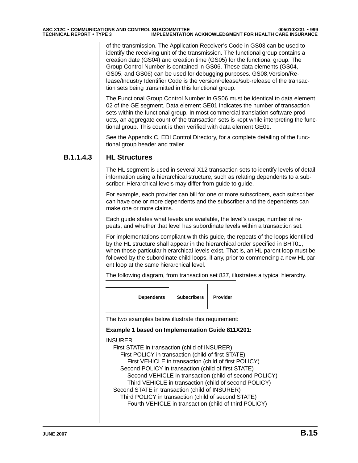of the transmission. The Application Receiver's Code in GS03 can be used to identify the receiving unit of the transmission. The functional group contains a creation date (GS04) and creation time (GS05) for the functional group. The Group Control Number is contained in GS06. These data elements (GS04, GS05, and GS06) can be used for debugging purposes. GS08,Version/Release/Industry Identifier Code is the version/release/sub-release of the transaction sets being transmitted in this functional group.

The Functional Group Control Number in GS06 must be identical to data element 02 of the GE segment. Data element GE01 indicates the number of transaction sets within the functional group. In most commercial translation software products, an aggregate count of the transaction sets is kept while interpreting the functional group. This count is then verified with data element GE01.

See the Appendix C, EDI Control Directory, for a complete detailing of the functional group header and trailer.

#### **B.1.1.4.3 HL Structures**

The HL segment is used in several X12 transaction sets to identify levels of detail information using a hierarchical structure, such as relating dependents to a subscriber. Hierarchical levels may differ from guide to guide.

For example, each provider can bill for one or more subscribers, each subscriber can have one or more dependents and the subscriber and the dependents can make one or more claims.

Each guide states what levels are available, the level's usage, number of repeats, and whether that level has subordinate levels within a transaction set.

For implementations compliant with this guide, the repeats of the loops identified by the HL structure shall appear in the hierarchical order specified in BHT01, when those particular hierarchical levels exist. That is, an HL parent loop must be followed by the subordinate child loops, if any, prior to commencing a new HL parent loop at the same hierarchical level.

The following diagram, from transaction set 837, illustrates a typical hierarchy.



The two examples below illustrate this requirement:

#### **Example 1 based on Implementation Guide 811X201:**

INSURER

First STATE in transaction (child of INSURER) First POLICY in transaction (child of first STATE) First VEHICLE in transaction (child of first POLICY) Second POLICY in transaction (child of first STATE) Second VEHICLE in transaction (child of second POLICY) Third VEHICLE in transaction (child of second POLICY) Second STATE in transaction (child of INSURER) Third POLICY in transaction (child of second STATE) Fourth VEHICLE in transaction (child of third POLICY)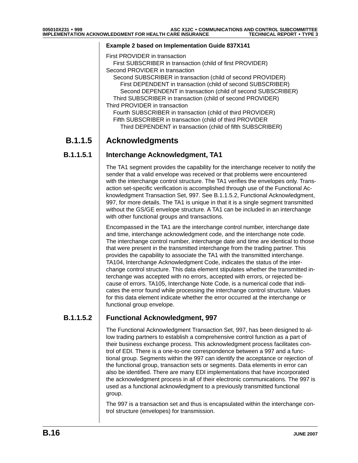#### **Example 2 based on Implementation Guide 837X141**

- First PROVIDER in transaction First SUBSCRIBER in transaction (child of first PROVIDER) Second PROVIDER in transaction Second SUBSCRIBER in transaction (child of second PROVIDER)
- First DEPENDENT in transaction (child of second SUBSCRIBER) Second DEPENDENT in transaction (child of second SUBSCRIBER) Third SUBSCRIBER in transaction (child of second PROVIDER) Third PROVIDER in transaction
	- Fourth SUBSCRIBER in transaction (child of third PROVIDER) Fifth SUBSCRIBER in transaction (child of third PROVIDER Third DEPENDENT in transaction (child of fifth SUBSCRIBER)

### **B.1.1.5 Acknowledgments**

#### **B.1.1.5.1 Interchange Acknowledgment, TA1**

The TA1 segment provides the capability for the interchange receiver to notify the sender that a valid envelope was received or that problems were encountered with the interchange control structure. The TA1 verifies the envelopes only. Transaction set-specific verification is accomplished through use of the Functional Acknowledgment Transaction Set, 997. See B.1.1.5.2, Functional Acknowledgment, 997, for more details. The TA1 is unique in that it is a single segment transmitted without the GS/GE envelope structure. A TA1 can be included in an interchange with other functional groups and transactions.

Encompassed in the TA1 are the interchange control number, interchange date and time, interchange acknowledgment code, and the interchange note code. The interchange control number, interchange date and time are identical to those that were present in the transmitted interchange from the trading partner. This provides the capability to associate the TA1 with the transmitted interchange. TA104, Interchange Acknowledgment Code, indicates the status of the interchange control structure. This data element stipulates whether the transmitted interchange was accepted with no errors, accepted with errors, or rejected because of errors. TA105, Interchange Note Code, is a numerical code that indicates the error found while processing the interchange control structure. Values for this data element indicate whether the error occurred at the interchange or functional group envelope.

#### **B.1.1.5.2 Functional Acknowledgment, 997**

The Functional Acknowledgment Transaction Set, 997, has been designed to allow trading partners to establish a comprehensive control function as a part of their business exchange process. This acknowledgment process facilitates control of EDI. There is a one-to-one correspondence between a 997 and a functional group. Segments within the 997 can identify the acceptance or rejection of the functional group, transaction sets or segments. Data elements in error can also be identified. There are many EDI implementations that have incorporated the acknowledgment process in all of their electronic communications. The 997 is used as a functional acknowledgment to a previously transmitted functional group.

The 997 is a transaction set and thus is encapsulated within the interchange control structure (envelopes) for transmission.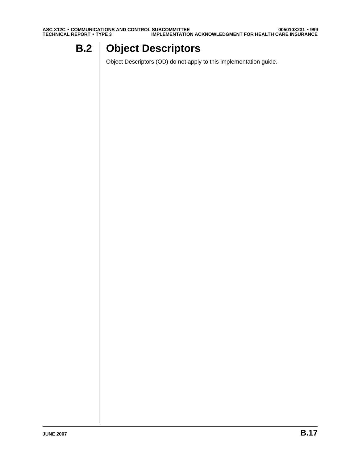# **B.2 Object Descriptors**

Object Descriptors (OD) do not apply to this implementation guide.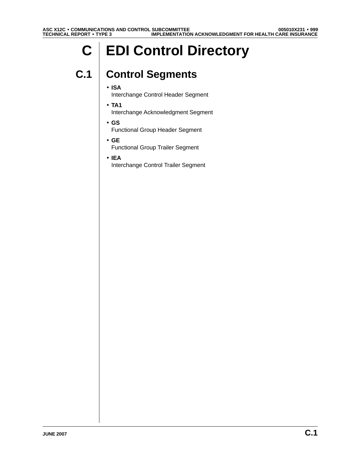# **C EDI Control Directory**

# **C.1 Control Segments**

#### • **ISA**

Interchange Control Header Segment

- **TA1** Interchange Acknowledgment Segment
- **GS** Functional Group Header Segment
- **GE** Functional Group Trailer Segment
- **IEA** Interchange Control Trailer Segment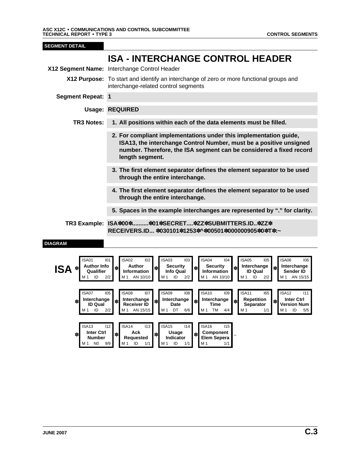| <b>SEGMENT DETAIL</b>                                                                                       |                                                                                                                                                                                                                                                                                                                                                                                                                                                                                                                                                                                                                                                                             |  |  |  |
|-------------------------------------------------------------------------------------------------------------|-----------------------------------------------------------------------------------------------------------------------------------------------------------------------------------------------------------------------------------------------------------------------------------------------------------------------------------------------------------------------------------------------------------------------------------------------------------------------------------------------------------------------------------------------------------------------------------------------------------------------------------------------------------------------------|--|--|--|
|                                                                                                             | <b>ISA - INTERCHANGE CONTROL HEADER</b>                                                                                                                                                                                                                                                                                                                                                                                                                                                                                                                                                                                                                                     |  |  |  |
|                                                                                                             | X12 Segment Name: Interchange Control Header                                                                                                                                                                                                                                                                                                                                                                                                                                                                                                                                                                                                                                |  |  |  |
|                                                                                                             | X12 Purpose: To start and identify an interchange of zero or more functional groups and<br>interchange-related control segments                                                                                                                                                                                                                                                                                                                                                                                                                                                                                                                                             |  |  |  |
| <b>Segment Repeat: 1</b>                                                                                    |                                                                                                                                                                                                                                                                                                                                                                                                                                                                                                                                                                                                                                                                             |  |  |  |
|                                                                                                             | <b>Usage: REQUIRED</b>                                                                                                                                                                                                                                                                                                                                                                                                                                                                                                                                                                                                                                                      |  |  |  |
| <b>TR3 Notes:</b>                                                                                           | 1. All positions within each of the data elements must be filled.                                                                                                                                                                                                                                                                                                                                                                                                                                                                                                                                                                                                           |  |  |  |
|                                                                                                             | 2. For compliant implementations under this implementation guide,<br>ISA13, the interchange Control Number, must be a positive unsigned<br>number. Therefore, the ISA segment can be considered a fixed record<br>length segment.                                                                                                                                                                                                                                                                                                                                                                                                                                           |  |  |  |
|                                                                                                             | 3. The first element separator defines the element separator to be used<br>through the entire interchange.                                                                                                                                                                                                                                                                                                                                                                                                                                                                                                                                                                  |  |  |  |
|                                                                                                             | 4. The first element separator defines the element separator to be used<br>through the entire interchange.                                                                                                                                                                                                                                                                                                                                                                                                                                                                                                                                                                  |  |  |  |
|                                                                                                             | 5. Spaces in the example interchanges are represented by "." for clarity.                                                                                                                                                                                                                                                                                                                                                                                                                                                                                                                                                                                                   |  |  |  |
|                                                                                                             | TR3 Example: ISA*00**01*SECRET*ZZ*SUBMITTERS.ID*ZZ*<br>RECEIVERS.ID *030101*1253*^*00501*000000905*0*T*:~                                                                                                                                                                                                                                                                                                                                                                                                                                                                                                                                                                   |  |  |  |
| <b>DIAGRAM</b>                                                                                              |                                                                                                                                                                                                                                                                                                                                                                                                                                                                                                                                                                                                                                                                             |  |  |  |
| ISA01<br><b>Author Info</b><br><b>ISA</b><br>Qualifier<br>ID<br>ISA07<br>Interchange<br>*<br><b>ID Qual</b> | <b>ISA03</b><br>ISA04<br><b>ISA02</b><br>102<br>103<br>104<br>ISA05<br>ISA06<br>106<br>101<br>105<br><b>Author</b><br><b>Security</b><br><b>Security</b><br>Interchange<br>Interchange<br>*<br>$\ast$<br>*<br>Information<br>Information<br><b>Info Qual</b><br><b>ID Qual</b><br>Sender ID<br>2/2<br>AN 10/10<br>ID<br>M 1<br>AN 10/10<br>ID<br>M 1<br>M 1<br>2/2<br>M 1<br>2/2<br>M 1<br>AN 15/15<br><b>ISA09</b><br><b>ISA10</b><br>ISA12<br>ISA08<br>ISA11<br>105<br>107<br>108<br>165<br>111<br>109<br>Interchange<br>Interchange<br><b>Repetition</b><br><b>Inter Ctrl</b><br>Interchange<br>$\ast$<br><b>Receiver ID</b><br>Date<br>Time<br>Separator<br>Version Num |  |  |  |

**Indicator** ✽ **Component Elem Sepera** <sup>~</sup>

ISA13 I12 ISA14 I13 ISA15 I14 ISA16 I15

M 1 N 0 9/9 M 1 ID 1/1 M 1 ID 1/1 M 1 1/1

**Number** ✽ **Ack Requested** ✽ **Usage**

✽ **Inter Ctrl**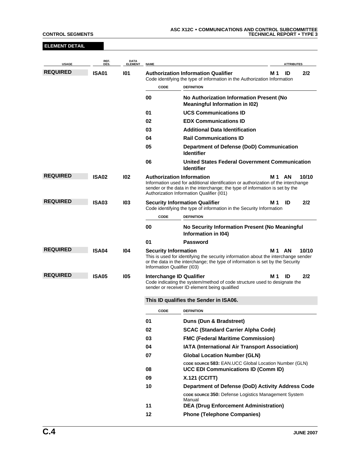| <b>ELEMENT DETAIL</b>           |                    |                               |                                                            |                                                                                                                                                                                                                 |                    |
|---------------------------------|--------------------|-------------------------------|------------------------------------------------------------|-----------------------------------------------------------------------------------------------------------------------------------------------------------------------------------------------------------------|--------------------|
| <b>USAGE</b>                    | REF.<br><b>DES</b> | <b>DATA</b><br><b>ELEMENT</b> | <b>NAME</b>                                                |                                                                                                                                                                                                                 | <b>ATTRIBUTES</b>  |
| <b>REQUIRED</b>                 | ISA01              | 101                           |                                                            | <b>Authorization Information Qualifier</b><br>Code identifying the type of information in the Authorization Information                                                                                         | ID<br>2/2<br>M 1   |
|                                 |                    |                               | CODE                                                       | <b>DEFINITION</b>                                                                                                                                                                                               |                    |
|                                 |                    |                               | 00                                                         | No Authorization Information Present (No<br><b>Meaningful Information in I02)</b>                                                                                                                               |                    |
|                                 |                    |                               | 01                                                         | <b>UCS Communications ID</b>                                                                                                                                                                                    |                    |
|                                 |                    |                               | 02                                                         | <b>EDX Communications ID</b>                                                                                                                                                                                    |                    |
|                                 |                    |                               | 03                                                         | <b>Additional Data Identification</b>                                                                                                                                                                           |                    |
|                                 |                    |                               | 04                                                         | <b>Rail Communications ID</b>                                                                                                                                                                                   |                    |
|                                 |                    |                               | 05                                                         | Department of Defense (DoD) Communication<br><b>Identifier</b>                                                                                                                                                  |                    |
|                                 |                    |                               | 06                                                         | <b>United States Federal Government Communication</b><br><b>Identifier</b>                                                                                                                                      |                    |
| <b>REQUIRED</b>                 | <b>ISA02</b>       | 102                           | <b>Authorization Information</b>                           | Information used for additional identification or authorization of the interchange<br>sender or the data in the interchange; the type of information is set by the<br>Authorization Information Qualifier (I01) | 10/10<br>AN<br>M 1 |
| <b>REQUIRED</b><br><b>ISA03</b> |                    | 103                           |                                                            | <b>Security Information Qualifier</b><br>Code identifying the type of information in the Security Information                                                                                                   | 2/2<br>M 1<br>ID   |
|                                 |                    |                               | CODE                                                       | <b>DEFINITION</b>                                                                                                                                                                                               |                    |
|                                 |                    |                               | 00                                                         | No Security Information Present (No Meaningful<br>Information in I04)                                                                                                                                           |                    |
|                                 |                    |                               | 01                                                         | Password                                                                                                                                                                                                        |                    |
| <b>REQUIRED</b>                 | ISA04              | 104                           | <b>Security Information</b><br>Information Qualifier (I03) | This is used for identifying the security information about the interchange sender<br>or the data in the interchange; the type of information is set by the Security                                            | 10/10<br>M 1<br>AN |
| <b>REQUIRED</b>                 | ISA05              | 105                           | Interchange ID Qualifier                                   | Code indicating the system/method of code structure used to designate the<br>sender or receiver ID element being qualified                                                                                      | 2/2<br>M 1<br>ID   |
|                                 |                    |                               |                                                            | This ID qualifies the Sender in ISA06.                                                                                                                                                                          |                    |
|                                 |                    |                               | <b>CODE</b>                                                | <b>DEFINITION</b>                                                                                                                                                                                               |                    |
|                                 |                    |                               | 01                                                         | Duns (Dun & Bradstreet)                                                                                                                                                                                         |                    |
|                                 |                    |                               | 02                                                         | <b>SCAC (Standard Carrier Alpha Code)</b>                                                                                                                                                                       |                    |
|                                 |                    |                               | 03                                                         | <b>FMC (Federal Maritime Commission)</b>                                                                                                                                                                        |                    |
|                                 |                    |                               | 04                                                         | IATA (International Air Transport Association)                                                                                                                                                                  |                    |
|                                 |                    |                               | 07                                                         | <b>Global Location Number (GLN)</b>                                                                                                                                                                             |                    |
|                                 |                    |                               | 08                                                         | CODE SOURCE 583: EAN.UCC Global Location Number (GLN)<br><b>UCC EDI Communications ID (Comm ID)</b>                                                                                                             |                    |
|                                 |                    |                               | 09                                                         | <b>X.121 (CCITT)</b>                                                                                                                                                                                            |                    |
|                                 |                    |                               | 10                                                         | Department of Defense (DoD) Activity Address Code                                                                                                                                                               |                    |
|                                 |                    |                               |                                                            | <b>CODE SOURCE 350: Defense Logistics Management System</b><br>Manual                                                                                                                                           |                    |
|                                 |                    |                               | 11                                                         | <b>DEA (Drug Enforcement Administration)</b>                                                                                                                                                                    |                    |
|                                 |                    |                               | 12                                                         | <b>Phone (Telephone Companies)</b>                                                                                                                                                                              |                    |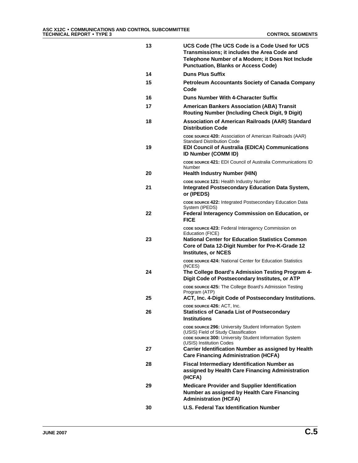| 13 | UCS Code (The UCS Code is a Code Used for UCS<br>Transmissions; it includes the Area Code and<br>Telephone Number of a Modem; it Does Not Include<br><b>Punctuation, Blanks or Access Code)</b> |
|----|-------------------------------------------------------------------------------------------------------------------------------------------------------------------------------------------------|
| 14 | <b>Duns Plus Suffix</b>                                                                                                                                                                         |
| 15 | <b>Petroleum Accountants Society of Canada Company</b><br>Code                                                                                                                                  |
| 16 | <b>Duns Number With 4-Character Suffix</b>                                                                                                                                                      |
| 17 | <b>American Bankers Association (ABA) Transit</b><br><b>Routing Number (Including Check Digit, 9 Digit)</b>                                                                                     |
| 18 | Association of American Railroads (AAR) Standard<br><b>Distribution Code</b>                                                                                                                    |
| 19 | CODE SOURCE 420: Association of American Railroads (AAR)<br><b>Standard Distribution Code</b><br><b>EDI Council of Australia (EDICA) Communications</b><br><b>ID Number (COMM ID)</b>           |
| 20 | <b>CODE SOURCE 421: EDI Council of Australia Communications ID</b><br>Number<br>Health Industry Number (HIN)                                                                                    |
|    | CODE SOURCE 121: Health Industry Number                                                                                                                                                         |
| 21 | <b>Integrated Postsecondary Education Data System,</b><br>or (IPEDS)                                                                                                                            |
| 22 | CODE SOURCE 422: Integrated Postsecondary Education Data<br>System (IPEDS)<br>Federal Interagency Commission on Education, or                                                                   |
|    | FICE<br>CODE SOURCE 423: Federal Interagency Commission on<br>Education (FICE)                                                                                                                  |
| 23 | National Center for Education Statistics Common<br>Core of Data 12-Digit Number for Pre-K-Grade 12<br><b>Institutes, or NCES</b>                                                                |
|    | <b>CODE SOURCE 424: National Center for Education Statistics</b><br>(NCES)                                                                                                                      |
| 24 | The College Board's Admission Testing Program 4-<br>Digit Code of Postsecondary Institutes, or ATP                                                                                              |
|    | CODE SOURCE 425: The College Board's Admission Testing<br>Program (ATP)<br>ACT, Inc. 4-Digit Code of Postsecondary Institutions.                                                                |
| 25 | CODE SOURCE 426: ACT, Inc.                                                                                                                                                                      |
| 26 | <b>Statistics of Canada List of Postsecondary</b><br><b>Institutions</b>                                                                                                                        |
|    | CODE SOURCE 296: University Student Information System<br>(USIS) Field of Study Classification<br>CODE SOURCE 300: University Student Information System<br>(USIS) Institution Codes            |
| 27 | Carrier Identification Number as assigned by Health<br><b>Care Financing Administration (HCFA)</b>                                                                                              |
| 28 | <b>Fiscal Intermediary Identification Number as</b><br>assigned by Health Care Financing Administration<br>(HCFA)                                                                               |
| 29 | <b>Medicare Provider and Supplier Identification</b><br>Number as assigned by Health Care Financing<br><b>Administration (HCFA)</b>                                                             |
| 30 | <b>U.S. Federal Tax Identification Number</b>                                                                                                                                                   |
|    |                                                                                                                                                                                                 |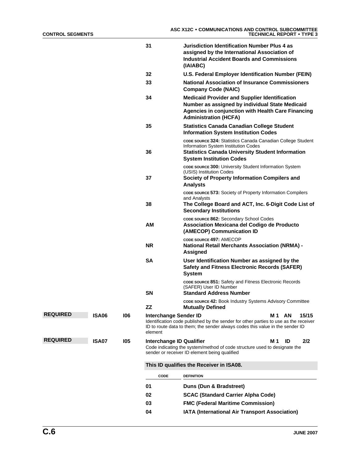|                 |              |     | 31                                      | Jurisdiction Identification Number Plus 4 as<br>assigned by the International Association of<br><b>Industrial Accident Boards and Commissions</b><br>(IAIABC)                                        |
|-----------------|--------------|-----|-----------------------------------------|------------------------------------------------------------------------------------------------------------------------------------------------------------------------------------------------------|
|                 |              |     | 32                                      | U.S. Federal Employer Identification Number (FEIN)                                                                                                                                                   |
|                 |              |     | 33                                      | <b>National Association of Insurance Commissioners</b><br><b>Company Code (NAIC)</b>                                                                                                                 |
|                 |              |     | 34                                      | <b>Medicaid Provider and Supplier Identification</b><br>Number as assigned by individual State Medicaid<br><b>Agencies in conjunction with Health Care Financing</b><br><b>Administration (HCFA)</b> |
|                 |              |     | 35                                      | <b>Statistics Canada Canadian College Student</b><br><b>Information System Institution Codes</b>                                                                                                     |
|                 |              |     | 36                                      | code source 324: Statistics Canada Canadian College Student<br>Information System Institution Codes<br><b>Statistics Canada University Student Information</b><br><b>System Institution Codes</b>    |
|                 |              |     | 37                                      | CODE SOURCE 300: University Student Information System<br>(USIS) Institution Codes<br>Society of Property Information Compilers and<br><b>Analysts</b>                                               |
|                 |              |     | 38                                      | CODE SOURCE 573: Society of Property Information Compilers<br>and Analysts<br>The College Board and ACT, Inc. 6-Digit Code List of<br><b>Secondary Institutions</b>                                  |
|                 |              |     | AМ                                      | CODE SOURCE 862: Secondary School Codes<br>Association Mexicana del Codigo de Producto<br>(AMECOP) Communication ID                                                                                  |
|                 |              |     | <b>NR</b>                               | CODE SOURCE 497: AMECOP<br><b>National Retail Merchants Association (NRMA) -</b><br>Assigned                                                                                                         |
|                 |              |     | <b>SA</b>                               | User Identification Number as assigned by the<br><b>Safety and Fitness Electronic Records (SAFER)</b><br><b>System</b>                                                                               |
|                 |              |     | <b>SN</b>                               | CODE SOURCE 851: Safety and Fitness Electronic Records<br>(SAFER) User ID Number<br><b>Standard Address Number</b>                                                                                   |
|                 |              |     | ZZ                                      | CODE SOURCE 42: Book Industry Systems Advisory Committee<br><b>Mutually Defined</b>                                                                                                                  |
| <b>REQUIRED</b> | <b>ISA06</b> | 106 | <b>Interchange Sender ID</b><br>element | M 1<br>AN<br>15/15<br>Identification code published by the sender for other parties to use as the receiver<br>ID to route data to them; the sender always codes this value in the sender ID          |
| <b>REQUIRED</b> | <b>ISA07</b> | 105 | Interchange ID Qualifier                | 2/2<br>M 1<br>ID<br>Code indicating the system/method of code structure used to designate the<br>sender or receiver ID element being qualified                                                       |
|                 |              |     |                                         | This ID qualifies the Receiver in ISA08.                                                                                                                                                             |
|                 |              |     | <b>CODE</b>                             | <b>DEFINITION</b>                                                                                                                                                                                    |
|                 |              |     | 01                                      | Duns (Dun & Bradstreet)                                                                                                                                                                              |
|                 |              |     | 02                                      | <b>SCAC (Standard Carrier Alpha Code)</b>                                                                                                                                                            |
|                 |              |     | 03                                      | <b>FMC (Federal Maritime Commission)</b>                                                                                                                                                             |
|                 |              |     | 04                                      | IATA (International Air Transport Association)                                                                                                                                                       |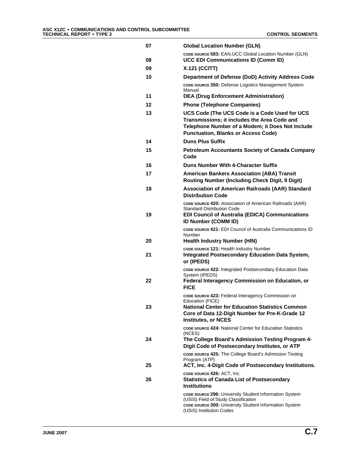| 07 | <b>Global Location Number (GLN)</b>                                                                                                                                                             |
|----|-------------------------------------------------------------------------------------------------------------------------------------------------------------------------------------------------|
| 08 | CODE SOURCE 583: EAN.UCC Global Location Number (GLN)<br><b>UCC EDI Communications ID (Comm ID)</b>                                                                                             |
| 09 | <b>X.121 (CCITT)</b>                                                                                                                                                                            |
| 10 | Department of Defense (DoD) Activity Address Code                                                                                                                                               |
|    | code source 350: Defense Logistics Management System<br>Manual                                                                                                                                  |
| 11 | <b>DEA (Drug Enforcement Administration)</b>                                                                                                                                                    |
| 12 | <b>Phone (Telephone Companies)</b>                                                                                                                                                              |
| 13 | UCS Code (The UCS Code is a Code Used for UCS<br>Transmissions; it includes the Area Code and<br>Telephone Number of a Modem; it Does Not Include<br><b>Punctuation, Blanks or Access Code)</b> |
| 14 | <b>Duns Plus Suffix</b>                                                                                                                                                                         |
| 15 | <b>Petroleum Accountants Society of Canada Company</b><br>Code                                                                                                                                  |
| 16 | Duns Number With 4-Character Suffix                                                                                                                                                             |
| 17 | <b>American Bankers Association (ABA) Transit</b><br><b>Routing Number (Including Check Digit, 9 Digit)</b>                                                                                     |
| 18 | <b>Association of American Railroads (AAR) Standard</b><br><b>Distribution Code</b>                                                                                                             |
| 19 | CODE SOURCE 420: Association of American Railroads (AAR)<br><b>Standard Distribution Code</b><br><b>EDI Council of Australia (EDICA) Communications</b>                                         |
|    | <b>ID Number (COMM ID)</b>                                                                                                                                                                      |
| 20 | CODE SOURCE 421: EDI Council of Australia Communications ID<br>Number<br><b>Health Industry Number (HIN)</b>                                                                                    |
|    | CODE SOURCE 121: Health Industry Number                                                                                                                                                         |
| 21 | <b>Integrated Postsecondary Education Data System,</b><br>or (IPEDS)                                                                                                                            |
| 22 | CODE SOURCE 422: Integrated Postsecondary Education Data<br>System (IPEDS)<br><b>Federal Interagency Commission on Education, or</b>                                                            |
|    | <b>FICE</b>                                                                                                                                                                                     |
|    | CODE SOURCE 423: Federal Interagency Commission on<br>Education (FICE)                                                                                                                          |
| 23 | <b>National Center for Education Statistics Common</b><br>Core of Data 12-Digit Number for Pre-K-Grade 12<br><b>Institutes, or NCES</b>                                                         |
|    | CODE SOURCE 424: National Center for Education Statistics<br>(NCES)                                                                                                                             |
| 24 | The College Board's Admission Testing Program 4-<br>Digit Code of Postsecondary Institutes, or ATP                                                                                              |
| 25 | CODE SOURCE 425: The College Board's Admission Testing<br>Program (ATP)<br>ACT, Inc. 4-Digit Code of Postsecondary Institutions.                                                                |
| 26 | CODE SOURCE 426: ACT, Inc.<br><b>Statistics of Canada List of Postsecondary</b><br><b>Institutions</b>                                                                                          |
|    | code source 296: University Student Information System<br>(USIS) Field of Study Classification<br>CODE SOURCE 300: University Student Information System                                        |
|    | (USIS) Institution Codes                                                                                                                                                                        |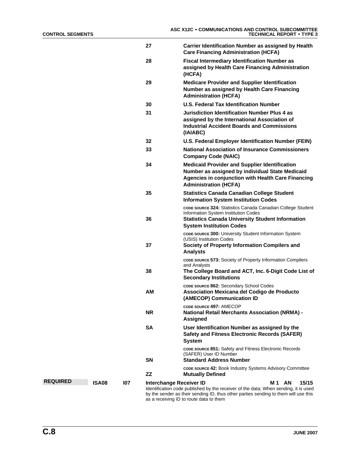|                 |       |     | 27        | Carrier Identification Number as assigned by Health<br><b>Care Financing Administration (HCFA)</b>                                                                                                                      |
|-----------------|-------|-----|-----------|-------------------------------------------------------------------------------------------------------------------------------------------------------------------------------------------------------------------------|
|                 |       |     | 28        | <b>Fiscal Intermediary Identification Number as</b><br>assigned by Health Care Financing Administration<br>(HCFA)                                                                                                       |
|                 |       |     | 29        | <b>Medicare Provider and Supplier Identification</b><br>Number as assigned by Health Care Financing<br><b>Administration (HCFA)</b>                                                                                     |
|                 |       |     | 30        | <b>U.S. Federal Tax Identification Number</b>                                                                                                                                                                           |
|                 |       |     | 31        | <b>Jurisdiction Identification Number Plus 4 as</b><br>assigned by the International Association of<br><b>Industrial Accident Boards and Commissions</b><br>(IAIABC)                                                    |
|                 |       |     | 32        | U.S. Federal Employer Identification Number (FEIN)                                                                                                                                                                      |
|                 |       |     | 33        | <b>National Association of Insurance Commissioners</b><br><b>Company Code (NAIC)</b>                                                                                                                                    |
|                 |       |     | 34        | <b>Medicaid Provider and Supplier Identification</b><br>Number as assigned by individual State Medicaid<br>Agencies in conjunction with Health Care Financing<br><b>Administration (HCFA)</b>                           |
|                 |       |     | 35        | <b>Statistics Canada Canadian College Student</b><br><b>Information System Institution Codes</b>                                                                                                                        |
|                 |       |     | 36        | CODE SOURCE 324: Statistics Canada Canadian College Student<br>Information System Institution Codes<br><b>Statistics Canada University Student Information</b><br><b>System Institution Codes</b>                       |
|                 |       |     | 37        | CODE SOURCE 300: University Student Information System<br>(USIS) Institution Codes<br>Society of Property Information Compilers and<br><b>Analysts</b>                                                                  |
|                 |       |     | 38        | CODE SOURCE 573: Society of Property Information Compilers<br>and Analysts<br>The College Board and ACT, Inc. 6-Digit Code List of<br><b>Secondary Institutions</b>                                                     |
|                 |       |     | ΑМ        | CODE SOURCE 862: Secondary School Codes<br>Association Mexicana del Codigo de Producto<br>(AMECOP) Communication ID                                                                                                     |
|                 |       |     | NR.       | CODE SOURCE 497: AMECOP<br><b>National Retail Merchants Association (NRMA) -</b><br>Assigned                                                                                                                            |
|                 |       |     | SΑ        | User Identification Number as assigned by the<br><b>Safety and Fitness Electronic Records (SAFER)</b><br><b>System</b>                                                                                                  |
|                 |       |     | SΝ        | CODE SOURCE 851: Safety and Fitness Electronic Records<br>(SAFER) User ID Number<br><b>Standard Address Number</b>                                                                                                      |
|                 |       |     | <b>ZZ</b> | <b>CODE SOURCE 42: Book Industry Systems Advisory Committee</b><br><b>Mutually Defined</b>                                                                                                                              |
| <b>REQUIRED</b> | ISA08 | 107 |           | Interchange Receiver ID<br>M1 AN<br>15/15<br>Identification code published by the receiver of the data; When sending, it is used<br>by the sender as their sending ID, thus other parties sending to them will use this |

by the sender as their sending ID, thus other parties sending to them will use this as a receiving ID to route data to them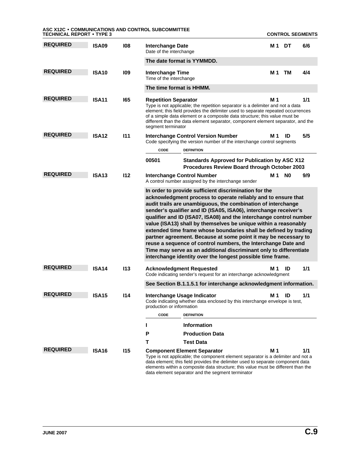| <b>TECHNICAL REPORT • TYPE 3</b> |              |            | ASC X12C • COMMUNICATIONS AND CONTROL SUBCOMMITTEE                                                                                                                                                                                                                                                                                                                                                                                                                                                                                                                                                                                                                                                                                              |     |                | <b>CONTROL SEGMENTS</b> |
|----------------------------------|--------------|------------|-------------------------------------------------------------------------------------------------------------------------------------------------------------------------------------------------------------------------------------------------------------------------------------------------------------------------------------------------------------------------------------------------------------------------------------------------------------------------------------------------------------------------------------------------------------------------------------------------------------------------------------------------------------------------------------------------------------------------------------------------|-----|----------------|-------------------------|
| <b>REQUIRED</b>                  | ISA09        | 108        | <b>Interchange Date</b><br>Date of the interchange                                                                                                                                                                                                                                                                                                                                                                                                                                                                                                                                                                                                                                                                                              | M 1 | DT             | 6/6                     |
|                                  |              |            | The date format is YYMMDD.                                                                                                                                                                                                                                                                                                                                                                                                                                                                                                                                                                                                                                                                                                                      |     |                |                         |
| <b>REQUIRED</b>                  | ISA10        | 109        | <b>Interchange Time</b><br>Time of the interchange                                                                                                                                                                                                                                                                                                                                                                                                                                                                                                                                                                                                                                                                                              | M 1 | тм             | 4/4                     |
|                                  |              |            | The time format is HHMM.                                                                                                                                                                                                                                                                                                                                                                                                                                                                                                                                                                                                                                                                                                                        |     |                |                         |
| <b>REQUIRED</b>                  | <b>ISA11</b> | 165        | <b>Repetition Separator</b><br>Type is not applicable; the repetition separator is a delimiter and not a data<br>element; this field provides the delimiter used to separate repeated occurrences<br>of a simple data element or a composite data structure; this value must be<br>different than the data element separator, component element separator, and the<br>segment terminator                                                                                                                                                                                                                                                                                                                                                        | M 1 |                | 1/1                     |
| <b>REQUIRED</b>                  | <b>ISA12</b> | 111        | <b>Interchange Control Version Number</b><br>Code specifying the version number of the interchange control segments<br>CODE<br><b>DEFINITION</b>                                                                                                                                                                                                                                                                                                                                                                                                                                                                                                                                                                                                | M 1 | ID             | 5/5                     |
|                                  |              |            | 00501<br><b>Standards Approved for Publication by ASC X12</b><br>Procedures Review Board through October 2003                                                                                                                                                                                                                                                                                                                                                                                                                                                                                                                                                                                                                                   |     |                |                         |
| <b>REQUIRED</b>                  | <b>ISA13</b> | 112        | <b>Interchange Control Number</b><br>A control number assigned by the interchange sender                                                                                                                                                                                                                                                                                                                                                                                                                                                                                                                                                                                                                                                        | M 1 | N <sub>0</sub> | 9/9                     |
|                                  |              |            | In order to provide sufficient discrimination for the<br>acknowledgment process to operate reliably and to ensure that<br>audit trails are unambiguous, the combination of interchange<br>sender's qualifier and ID (ISA05, ISA06), interchange receiver's<br>qualifier and ID (ISA07, ISA08) and the interchange control number<br>value (ISA13) shall by themselves be unique within a reasonably<br>extended time frame whose boundaries shall be defined by trading<br>partner agreement. Because at some point it may be necessary to<br>reuse a sequence of control numbers, the Interchange Date and<br>Time may serve as an additional discriminant only to differentiate<br>interchange identity over the longest possible time frame. |     |                |                         |
| <b>REQUIRED</b>                  | <b>ISA14</b> | 113        | <b>Acknowledgment Requested</b><br>Code indicating sender's request for an interchange acknowledgment                                                                                                                                                                                                                                                                                                                                                                                                                                                                                                                                                                                                                                           | M 1 | ID             | 1/1                     |
|                                  |              |            | See Section B.1.1.5.1 for interchange acknowledgment information.                                                                                                                                                                                                                                                                                                                                                                                                                                                                                                                                                                                                                                                                               |     |                |                         |
| <b>REQUIRED</b>                  | <b>ISA15</b> | 114        | Interchange Usage Indicator<br>Code indicating whether data enclosed by this interchange envelope is test,<br>production or information                                                                                                                                                                                                                                                                                                                                                                                                                                                                                                                                                                                                         | M 1 | ID             | 1/1                     |
|                                  |              |            | CODE<br><b>DEFINITION</b>                                                                                                                                                                                                                                                                                                                                                                                                                                                                                                                                                                                                                                                                                                                       |     |                |                         |
|                                  |              |            | <b>Information</b>                                                                                                                                                                                                                                                                                                                                                                                                                                                                                                                                                                                                                                                                                                                              |     |                |                         |
|                                  |              |            | <b>Production Data</b><br>Р                                                                                                                                                                                                                                                                                                                                                                                                                                                                                                                                                                                                                                                                                                                     |     |                |                         |
|                                  |              |            | <b>Test Data</b><br>т                                                                                                                                                                                                                                                                                                                                                                                                                                                                                                                                                                                                                                                                                                                           |     |                |                         |
| <b>REQUIRED</b>                  | <b>ISA16</b> | <b>I15</b> | <b>Component Element Separator</b><br>Type is not applicable; the component element separator is a delimiter and not a<br>data element; this field provides the delimiter used to separate component data<br>elements within a composite data structure; this value must be different than the<br>data element separator and the segment terminator                                                                                                                                                                                                                                                                                                                                                                                             | M 1 |                | 1/1                     |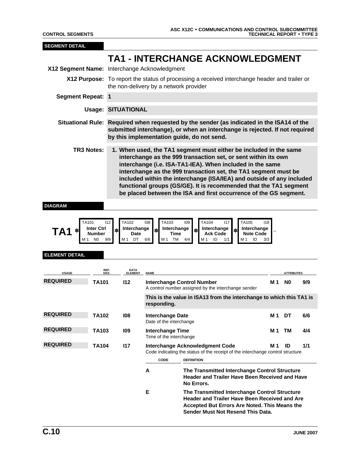| <b>SEGMENT DETAIL</b>                        |                                           |                                  |                                                    |                                                                                                                                                                                                                                                                                                                                                                                                                                                                                        |     |                                               |     |
|----------------------------------------------|-------------------------------------------|----------------------------------|----------------------------------------------------|----------------------------------------------------------------------------------------------------------------------------------------------------------------------------------------------------------------------------------------------------------------------------------------------------------------------------------------------------------------------------------------------------------------------------------------------------------------------------------------|-----|-----------------------------------------------|-----|
|                                              |                                           |                                  |                                                    | <b>TA1 - INTERCHANGE ACKNOWLEDGMENT</b>                                                                                                                                                                                                                                                                                                                                                                                                                                                |     |                                               |     |
| X12 Segment Name: Interchange Acknowledgment |                                           |                                  |                                                    |                                                                                                                                                                                                                                                                                                                                                                                                                                                                                        |     |                                               |     |
|                                              |                                           |                                  | the non-delivery by a network provider             | X12 Purpose: To report the status of processing a received interchange header and trailer or                                                                                                                                                                                                                                                                                                                                                                                           |     |                                               |     |
| <b>Segment Repeat: 1</b>                     |                                           |                                  |                                                    |                                                                                                                                                                                                                                                                                                                                                                                                                                                                                        |     |                                               |     |
|                                              |                                           | <b>Usage: SITUATIONAL</b>        |                                                    |                                                                                                                                                                                                                                                                                                                                                                                                                                                                                        |     |                                               |     |
|                                              |                                           |                                  |                                                    | Situational Rule: Required when requested by the sender (as indicated in the ISA14 of the<br>submitted interchange), or when an interchange is rejected. If not required<br>by this implementation guide, do not send.                                                                                                                                                                                                                                                                 |     |                                               |     |
| <b>TR3 Notes:</b>                            |                                           |                                  |                                                    | 1. When used, the TA1 segment must either be included in the same<br>interchange as the 999 transaction set, or sent within its own<br>interchange (i.e. ISA-TA1-IEA). When included in the same<br>interchange as the 999 transaction set, the TA1 segment must be<br>included within the interchange (ISA/IEA) and outside of any included<br>functional groups (GS/GE). It is recommended that the TA1 segment<br>be placed between the ISA and first occurrence of the GS segment. |     |                                               |     |
| TA1<br><b>ELEMENT DETAIL</b>                 | <b>Inter Ctrl</b><br><b>Number</b><br>9/9 | Interchange<br>Date<br>DT<br>M 1 | Interchange<br>∗<br>Time<br>6/6<br>TM<br>M 1       | Interchange<br>Interchange<br><b>Ack Code</b><br><b>Note Code</b><br>ID<br>ID<br>4/4<br>M 1<br>M 1<br>1/1                                                                                                                                                                                                                                                                                                                                                                              | 3/3 |                                               |     |
| <b>USAGE</b>                                 | REF.<br><b>DES</b>                        | <b>DATA</b><br><b>ELEMENT</b>    | <b>NAME</b>                                        |                                                                                                                                                                                                                                                                                                                                                                                                                                                                                        |     | <b>ATTRIBUTES</b>                             |     |
| <b>REQUIRED</b>                              | <b>TA101</b>                              | 112                              |                                                    | <b>Interchange Control Number</b><br>A control number assigned by the interchange sender                                                                                                                                                                                                                                                                                                                                                                                               | M 1 | N <sub>0</sub>                                | 9/9 |
|                                              |                                           |                                  | responding.                                        | This is the value in ISA13 from the interchange to which this TA1 is                                                                                                                                                                                                                                                                                                                                                                                                                   |     |                                               |     |
| <b>REQUIRED</b>                              | <b>TA102</b>                              | 108                              | <b>Interchange Date</b><br>Date of the interchange |                                                                                                                                                                                                                                                                                                                                                                                                                                                                                        |     | M <sub>1</sub> DT                             | 6/6 |
| <b>REQUIRED</b>                              | TA103                                     | 109                              | <b>Interchange Time</b><br>Time of the interchange |                                                                                                                                                                                                                                                                                                                                                                                                                                                                                        | M 1 | TM                                            | 4/4 |
| <b>REQUIRED</b>                              | TA104                                     | 117                              |                                                    | Interchange Acknowledgment Code<br>Code indicating the status of the receipt of the interchange control structure                                                                                                                                                                                                                                                                                                                                                                      | M 1 | ID                                            | 1/1 |
|                                              |                                           |                                  | CODE                                               | <b>DEFINITION</b>                                                                                                                                                                                                                                                                                                                                                                                                                                                                      |     |                                               |     |
|                                              |                                           |                                  | A                                                  | The Transmitted Interchange Control Structure<br><b>Header and Trailer Have Been Received and Have</b><br>No Errors.                                                                                                                                                                                                                                                                                                                                                                   |     |                                               |     |
|                                              |                                           |                                  | E                                                  | The Transmitted Interchange Control Structure<br><b>Header and Trailer Have Been Received and Are</b>                                                                                                                                                                                                                                                                                                                                                                                  |     | Accepted But Errors Are Noted. This Means the |     |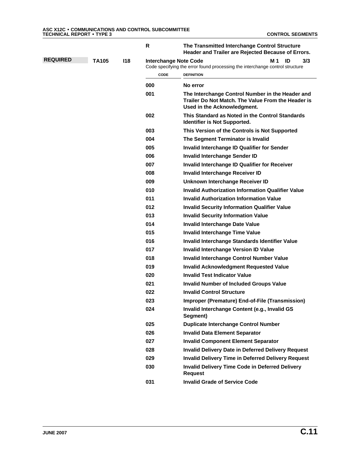|                 |              |     | R                            | The Transmitted Interchange Control Structure<br>Header and Trailer are Rejected Because of Errors.                                   |
|-----------------|--------------|-----|------------------------------|---------------------------------------------------------------------------------------------------------------------------------------|
| <b>REQUIRED</b> | <b>TA105</b> | 118 | <b>Interchange Note Code</b> | M 1<br>ID<br>3/3<br>Code specifying the error found processing the interchange control structure                                      |
|                 |              |     | <b>CODE</b>                  | <b>DEFINITION</b>                                                                                                                     |
|                 |              |     | 000                          | No error                                                                                                                              |
|                 |              |     | 001                          | The Interchange Control Number in the Header and<br>Trailer Do Not Match. The Value From the Header is<br>Used in the Acknowledgment. |
|                 |              |     | 002                          | This Standard as Noted in the Control Standards<br>Identifier is Not Supported.                                                       |
|                 |              |     | 003                          | This Version of the Controls is Not Supported                                                                                         |
|                 |              |     | 004                          | The Segment Terminator is Invalid                                                                                                     |
|                 |              |     | 005                          | Invalid Interchange ID Qualifier for Sender                                                                                           |
|                 |              |     | 006                          | <b>Invalid Interchange Sender ID</b>                                                                                                  |
|                 |              |     | 007                          | Invalid Interchange ID Qualifier for Receiver                                                                                         |
|                 |              |     | 008                          | Invalid Interchange Receiver ID                                                                                                       |
|                 |              |     | 009                          | Unknown Interchange Receiver ID                                                                                                       |
|                 |              |     | 010                          | <b>Invalid Authorization Information Qualifier Value</b>                                                                              |
|                 |              |     | 011                          | <b>Invalid Authorization Information Value</b>                                                                                        |
|                 |              |     | 012                          | <b>Invalid Security Information Qualifier Value</b>                                                                                   |
|                 |              |     | 013                          | <b>Invalid Security Information Value</b>                                                                                             |
|                 |              |     | 014                          | <b>Invalid Interchange Date Value</b>                                                                                                 |
|                 |              |     | 015                          | <b>Invalid Interchange Time Value</b>                                                                                                 |
|                 |              |     | 016                          | Invalid Interchange Standards Identifier Value                                                                                        |
|                 |              |     | 017                          | Invalid Interchange Version ID Value                                                                                                  |
|                 |              |     | 018                          | Invalid Interchange Control Number Value                                                                                              |
|                 |              |     | 019                          | <b>Invalid Acknowledgment Requested Value</b>                                                                                         |
|                 |              |     | 020                          | <b>Invalid Test Indicator Value</b>                                                                                                   |
|                 |              |     | 021                          | <b>Invalid Number of Included Groups Value</b>                                                                                        |
|                 |              |     | 022                          | <b>Invalid Control Structure</b>                                                                                                      |
|                 |              |     | 023                          | Improper (Premature) End-of-File (Transmission)                                                                                       |
|                 |              |     | 024                          | Invalid Interchange Content (e.g., Invalid GS<br>Segment)                                                                             |
|                 |              |     | 025                          | <b>Duplicate Interchange Control Number</b>                                                                                           |
|                 |              |     | 026                          | <b>Invalid Data Element Separator</b>                                                                                                 |
|                 |              |     | 027                          | <b>Invalid Component Element Separator</b>                                                                                            |
|                 |              |     | 028                          | <b>Invalid Delivery Date in Deferred Delivery Request</b>                                                                             |
|                 |              |     | 029                          | <b>Invalid Delivery Time in Deferred Delivery Request</b>                                                                             |
|                 |              |     | 030                          | <b>Invalid Delivery Time Code in Deferred Delivery</b><br><b>Request</b>                                                              |
|                 |              |     | 031                          | <b>Invalid Grade of Service Code</b>                                                                                                  |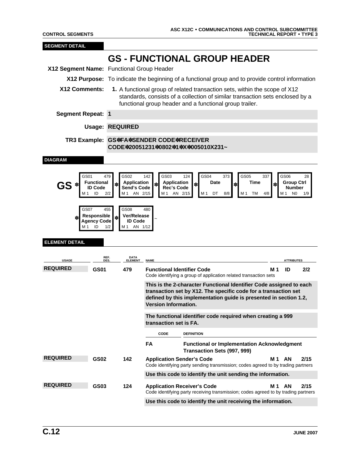٠

| <b>SEGMENT DETAIL</b>                     |                                                                                                     |                                                                                                      |                                                                                                                                                                                                                                                             |           |
|-------------------------------------------|-----------------------------------------------------------------------------------------------------|------------------------------------------------------------------------------------------------------|-------------------------------------------------------------------------------------------------------------------------------------------------------------------------------------------------------------------------------------------------------------|-----------|
|                                           |                                                                                                     |                                                                                                      | <b>GS - FUNCTIONAL GROUP HEADER</b>                                                                                                                                                                                                                         |           |
| X12 Segment Name: Functional Group Header |                                                                                                     |                                                                                                      |                                                                                                                                                                                                                                                             |           |
|                                           |                                                                                                     |                                                                                                      | X12 Purpose: To indicate the beginning of a functional group and to provide control information                                                                                                                                                             |           |
| X12 Comments:                             |                                                                                                     |                                                                                                      | 1. A functional group of related transaction sets, within the scope of X12<br>standards, consists of a collection of similar transaction sets enclosed by a<br>functional group header and a functional group trailer.                                      |           |
| <b>Segment Repeat: 1</b>                  |                                                                                                     |                                                                                                      |                                                                                                                                                                                                                                                             |           |
|                                           | <b>Usage: REQUIRED</b>                                                                              |                                                                                                      |                                                                                                                                                                                                                                                             |           |
|                                           |                                                                                                     |                                                                                                      | TR3 Example: GS*FA*SENDER CODE*RECEIVER<br>CODE*20051231*0802*1*X*005010X231~                                                                                                                                                                               |           |
| <b>DIAGRAM</b>                            |                                                                                                     |                                                                                                      |                                                                                                                                                                                                                                                             |           |
| GS01<br>GS.<br>GS07<br>∗                  | 479<br><b>Functional</b><br><b>ID Code</b><br>ID<br>2/2<br>455<br>Responsible<br><b>Agency Code</b> | GS02<br>Application<br>Send's Code<br>AN 2/15<br>M 1<br>GS08<br><b>Ver/Release</b><br><b>ID Code</b> | GS03<br>GS04<br>GS05<br>142<br>124<br>373<br>337<br>GS06<br><b>Application</b><br>Time<br><b>Group Ctrl</b><br>Date<br>$\ast$<br>∗<br><b>Number</b><br>Rec's Code<br>AN 2/15<br>M 1<br>DT<br>8/8<br>M 1<br>TM<br>4/8<br>N <sub>0</sub><br>M 1<br>M 1<br>480 | 28<br>1/9 |
| M 1<br><b>ELEMENT DETAIL</b>              | ID<br>1/2<br>REF.<br>DES.                                                                           | AN 1/12<br>M 1<br>DATA<br>ELEMENT                                                                    |                                                                                                                                                                                                                                                             |           |
| <b>USAGE</b><br><b>REQUIRED</b>           | <b>GS01</b>                                                                                         | 479                                                                                                  | <b>NAME</b><br><b>ATTRIBUTES</b><br><b>Functional Identifier Code</b><br>M 1<br>ID<br>Code identifying a group of application related transaction sets                                                                                                      | 2/2       |
|                                           |                                                                                                     |                                                                                                      | This is the 2-character Functional Identifier Code assigned to each<br>transaction set by X12. The specific code for a transaction set<br>defined by this implementation guide is presented in section 1.2,                                                 |           |
|                                           |                                                                                                     |                                                                                                      | Version Information.                                                                                                                                                                                                                                        |           |
|                                           |                                                                                                     |                                                                                                      | The functional identifier code required when creating a 999<br>transaction set is FA.                                                                                                                                                                       |           |
|                                           |                                                                                                     |                                                                                                      | CODE<br><b>DEFINITION</b>                                                                                                                                                                                                                                   |           |
|                                           |                                                                                                     |                                                                                                      | FA<br><b>Functional or Implementation Acknowledgment</b><br>Transaction Sets (997, 999)                                                                                                                                                                     |           |
| <b>REQUIRED</b>                           | <b>GS02</b>                                                                                         | 142                                                                                                  | <b>Application Sender's Code</b><br>M1 AN<br>Code identifying party sending transmission; codes agreed to by trading partners                                                                                                                               | 2/15      |
|                                           |                                                                                                     |                                                                                                      | Use this code to identify the unit sending the information.                                                                                                                                                                                                 |           |
| <b>REQUIRED</b>                           | GS03                                                                                                | 124                                                                                                  | AN<br><b>Application Receiver's Code</b><br>M 1<br>Code identifying party receiving transmission; codes agreed to by trading partners                                                                                                                       | 2/15      |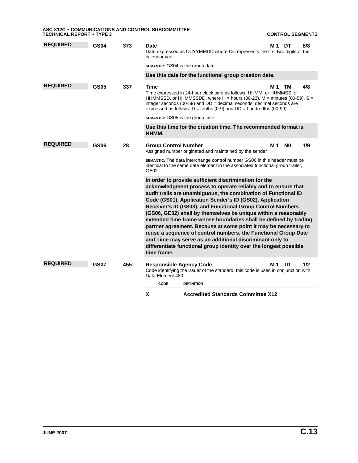**ASC X12C** • **COMMUNICATIONS AND CONTROL SUBCOMMITTEE TECHNICAL REPORT** • **TYPE 3 CONTROL SEGMENTS**

| <b>REQUIRED</b> | GS04        | 373 | Date<br>Date expressed as CCYYMMDD where CC represents the first two digits of the<br>calendar year                                                                                                                                                                                                                                                                                                                                                                                                                                                                                                                                                                                                                                           | M 1 | DT             | 8/8 |  |  |
|-----------------|-------------|-----|-----------------------------------------------------------------------------------------------------------------------------------------------------------------------------------------------------------------------------------------------------------------------------------------------------------------------------------------------------------------------------------------------------------------------------------------------------------------------------------------------------------------------------------------------------------------------------------------------------------------------------------------------------------------------------------------------------------------------------------------------|-----|----------------|-----|--|--|
|                 |             |     | <b>SEMANTIC:</b> GS04 is the group date.                                                                                                                                                                                                                                                                                                                                                                                                                                                                                                                                                                                                                                                                                                      |     |                |     |  |  |
|                 |             |     | Use this date for the functional group creation date.                                                                                                                                                                                                                                                                                                                                                                                                                                                                                                                                                                                                                                                                                         |     |                |     |  |  |
| <b>REQUIRED</b> | <b>GS05</b> | 337 | <b>Time</b><br>Time expressed in 24-hour clock time as follows: HHMM, or HHMMSS, or<br>HHMMSSD, or HHMMSSDD, where $H =$ hours (00-23), M = minutes (00-59), S =<br>integer seconds (00-59) and $DD =$ decimal seconds; decimal seconds are<br>expressed as follows: $D =$ tenths (0-9) and $DD =$ hundredths (00-99)<br><b>SEMANTIC:</b> GS05 is the group time.                                                                                                                                                                                                                                                                                                                                                                             | M 1 | тм             | 4/8 |  |  |
|                 |             |     | Use this time for the creation time. The recommended format is<br>HHMM.                                                                                                                                                                                                                                                                                                                                                                                                                                                                                                                                                                                                                                                                       |     |                |     |  |  |
| <b>REQUIRED</b> | <b>GS06</b> | 28  | <b>Group Control Number</b><br>Assigned number originated and maintained by the sender                                                                                                                                                                                                                                                                                                                                                                                                                                                                                                                                                                                                                                                        | M 1 | N <sub>0</sub> | 1/9 |  |  |
|                 |             |     | <b>SEMANTIC:</b> The data interchange control number GS06 in this header must be<br>identical to the same data element in the associated functional group trailer,<br>GE02.                                                                                                                                                                                                                                                                                                                                                                                                                                                                                                                                                                   |     |                |     |  |  |
|                 |             |     | In order to provide sufficient discrimination for the<br>acknowledgment process to operate reliably and to ensure that<br>audit trails are unambiguous, the combination of Functional ID<br>Code (GS01), Application Sender's ID (GS02), Application<br>Receiver's ID (GS03), and Functional Group Control Numbers<br>(GS06, GE02) shall by themselves be unique within a reasonably<br>extended time frame whose boundaries shall be defined by trading<br>partner agreement. Because at some point it may be necessary to<br>reuse a sequence of control numbers, the Functional Group Date<br>and Time may serve as an additional discriminant only to<br>differentiate functional group identity over the longest possible<br>time frame. |     |                |     |  |  |
| <b>REQUIRED</b> | <b>GS07</b> | 455 | <b>Responsible Agency Code</b>                                                                                                                                                                                                                                                                                                                                                                                                                                                                                                                                                                                                                                                                                                                | M 1 | ID             | 1/2 |  |  |
|                 |             |     | Code identifying the issuer of the standard; this code is used in conjunction with<br>Data Element 480                                                                                                                                                                                                                                                                                                                                                                                                                                                                                                                                                                                                                                        |     |                |     |  |  |
|                 |             |     | CODE<br><b>DEFINITION</b>                                                                                                                                                                                                                                                                                                                                                                                                                                                                                                                                                                                                                                                                                                                     |     |                |     |  |  |
|                 |             |     | <b>Accredited Standards Committee X12</b><br>X                                                                                                                                                                                                                                                                                                                                                                                                                                                                                                                                                                                                                                                                                                |     |                |     |  |  |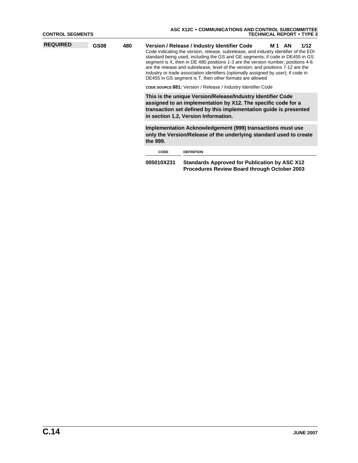| <b>CONTROL SEGMENTS</b> |             |     | ASC X12C . COMMUNICATIONS AND CONTROL SUBCOMMITTEE<br><b>TECHNICAL REPORT • TYPE 3</b>                                                                                                                                                                                                                                                                                                                                                                                                                                                                                        |                                                                                                      |  |  |  |  |  |  |
|-------------------------|-------------|-----|-------------------------------------------------------------------------------------------------------------------------------------------------------------------------------------------------------------------------------------------------------------------------------------------------------------------------------------------------------------------------------------------------------------------------------------------------------------------------------------------------------------------------------------------------------------------------------|------------------------------------------------------------------------------------------------------|--|--|--|--|--|--|
| <b>REQUIRED</b>         | <b>GS08</b> | 480 | Version / Release / Industry Identifier Code<br>1/12<br>M <sub>1</sub> AN<br>Code indicating the version, release, subrelease, and industry identifier of the EDI<br>standard being used, including the GS and GE segments; if code in DE455 in GS<br>segment is X, then in DE 480 positions 1-3 are the version number; positions 4-6<br>are the release and subrelease, level of the version; and positions 7-12 are the<br>industry or trade association identifiers (optionally assigned by user); if code in<br>DE455 in GS segment is T, then other formats are allowed |                                                                                                      |  |  |  |  |  |  |
|                         |             |     |                                                                                                                                                                                                                                                                                                                                                                                                                                                                                                                                                                               | <b>CODE SOURCE 881:</b> Version / Release / Industry Identifier Code                                 |  |  |  |  |  |  |
|                         |             |     | This is the unique Version/Release/Industry Identifier Code<br>assigned to an implementation by X12. The specific code for a<br>transaction set defined by this implementation guide is presented<br>in section 1.2, Version Information.                                                                                                                                                                                                                                                                                                                                     |                                                                                                      |  |  |  |  |  |  |
|                         |             |     | Implementation Acknowledgement (999) transactions must use<br>only the Version/Release of the underlying standard used to create<br>the 999.                                                                                                                                                                                                                                                                                                                                                                                                                                  |                                                                                                      |  |  |  |  |  |  |
|                         |             |     | <b>CODE</b>                                                                                                                                                                                                                                                                                                                                                                                                                                                                                                                                                                   | <b>DEFINITION</b>                                                                                    |  |  |  |  |  |  |
|                         |             |     | 005010X231                                                                                                                                                                                                                                                                                                                                                                                                                                                                                                                                                                    | <b>Standards Approved for Publication by ASC X12</b><br>Procedures Review Board through October 2003 |  |  |  |  |  |  |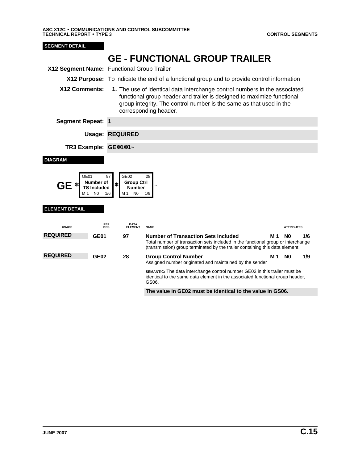٠

GEFUNCTIONAL GROUP TRAILER 005010X231 FUNCTIONAL GROUP TRAILER • 002 • GE

| <b>SEGMENT DETAIL</b>                       |                                                               |                                                                                                                                                                                                                                                      |                                                                                                                                                                                                               |     |                   |     |  |  |  |
|---------------------------------------------|---------------------------------------------------------------|------------------------------------------------------------------------------------------------------------------------------------------------------------------------------------------------------------------------------------------------------|---------------------------------------------------------------------------------------------------------------------------------------------------------------------------------------------------------------|-----|-------------------|-----|--|--|--|
|                                             |                                                               |                                                                                                                                                                                                                                                      | <b>GE - FUNCTIONAL GROUP TRAILER</b>                                                                                                                                                                          |     |                   |     |  |  |  |
| X12 Segment Name: Functional Group Trailer  |                                                               |                                                                                                                                                                                                                                                      |                                                                                                                                                                                                               |     |                   |     |  |  |  |
|                                             |                                                               | X12 Purpose: To indicate the end of a functional group and to provide control information                                                                                                                                                            |                                                                                                                                                                                                               |     |                   |     |  |  |  |
| X12 Comments:                               |                                                               | 1. The use of identical data interchange control numbers in the associated<br>functional group header and trailer is designed to maximize functional<br>group integrity. The control number is the same as that used in the<br>corresponding header. |                                                                                                                                                                                                               |     |                   |     |  |  |  |
| <b>Segment Repeat: 1</b>                    |                                                               |                                                                                                                                                                                                                                                      |                                                                                                                                                                                                               |     |                   |     |  |  |  |
|                                             | <b>Usage: REQUIRED</b>                                        |                                                                                                                                                                                                                                                      |                                                                                                                                                                                                               |     |                   |     |  |  |  |
|                                             | TR3 Example: GE*1*1~                                          |                                                                                                                                                                                                                                                      |                                                                                                                                                                                                               |     |                   |     |  |  |  |
| <b>DIAGRAM</b>                              |                                                               |                                                                                                                                                                                                                                                      |                                                                                                                                                                                                               |     |                   |     |  |  |  |
| <b>GE *</b><br>M 1<br><b>ELEMENT DETAIL</b> | Number of<br>∗<br><b>TS Included</b><br>N <sub>0</sub><br>1/6 | <b>Group Ctrl</b><br><b>Number</b><br>M 1<br>N <sub>0</sub>                                                                                                                                                                                          | 1/9                                                                                                                                                                                                           |     |                   |     |  |  |  |
|                                             |                                                               |                                                                                                                                                                                                                                                      |                                                                                                                                                                                                               |     |                   |     |  |  |  |
| <b>USAGE</b>                                | REF.<br>DES.                                                  | <b>DATA</b><br><b>ELEMENT</b>                                                                                                                                                                                                                        | <b>NAME</b>                                                                                                                                                                                                   |     | <b>ATTRIBUTES</b> |     |  |  |  |
| <b>REQUIRED</b>                             | <b>GE01</b>                                                   | 97                                                                                                                                                                                                                                                   | <b>Number of Transaction Sets Included</b><br>Total number of transaction sets included in the functional group or interchange<br>(transmission) group terminated by the trailer containing this data element | M 1 | N <sub>0</sub>    | 1/6 |  |  |  |
| <b>REQUIRED</b>                             | GE02                                                          | 28                                                                                                                                                                                                                                                   | <b>Group Control Number</b><br>Assigned number originated and maintained by the sender                                                                                                                        | M 1 | N <sub>0</sub>    | 1/9 |  |  |  |
|                                             |                                                               |                                                                                                                                                                                                                                                      | SEMANTIC: The data interchange control number GE02 in this trailer must be<br>identical to the same data element in the associated functional group header,<br>GS06.                                          |     |                   |     |  |  |  |
|                                             |                                                               |                                                                                                                                                                                                                                                      | The value in GE02 must be identical to the value in GS06.                                                                                                                                                     |     |                   |     |  |  |  |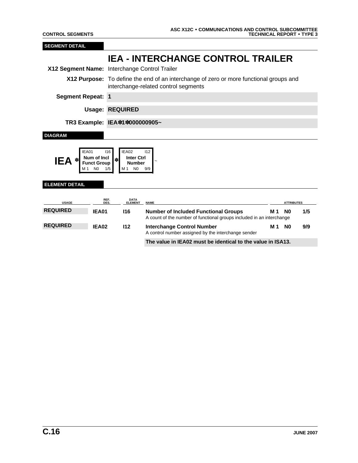IEA INTERCHANGE CONTROL TRAILER 005010X231 INTERCHANGE CONTROL TRAILER • 002 • IEA

| <b>SEGMENT DETAIL</b>         |                                                                      |                                                                                                                                |                                                                                                                      |     |                   |     |  |  |  |
|-------------------------------|----------------------------------------------------------------------|--------------------------------------------------------------------------------------------------------------------------------|----------------------------------------------------------------------------------------------------------------------|-----|-------------------|-----|--|--|--|
|                               |                                                                      |                                                                                                                                | <b>IEA - INTERCHANGE CONTROL TRAILER</b>                                                                             |     |                   |     |  |  |  |
|                               |                                                                      | X12 Segment Name: Interchange Control Trailer                                                                                  |                                                                                                                      |     |                   |     |  |  |  |
|                               |                                                                      | X12 Purpose: To define the end of an interchange of zero or more functional groups and<br>interchange-related control segments |                                                                                                                      |     |                   |     |  |  |  |
| <b>Segment Repeat: 1</b>      |                                                                      |                                                                                                                                |                                                                                                                      |     |                   |     |  |  |  |
|                               |                                                                      | <b>Usage: REQUIRED</b>                                                                                                         |                                                                                                                      |     |                   |     |  |  |  |
| TR3 Example: IEA*1*000000905~ |                                                                      |                                                                                                                                |                                                                                                                      |     |                   |     |  |  |  |
| <b>DIAGRAM</b>                |                                                                      |                                                                                                                                |                                                                                                                      |     |                   |     |  |  |  |
| IEA01<br><b>IEA</b>           | 116<br>Num of Incl<br>$\ast$<br><b>Funct Group</b><br>N <sub>0</sub> | IEA02<br><b>Inter Ctrl</b><br><b>Number</b><br>N0<br>M 1                                                                       | 112<br>9/9                                                                                                           |     |                   |     |  |  |  |
| <b>ELEMENT DETAIL</b>         |                                                                      |                                                                                                                                |                                                                                                                      |     |                   |     |  |  |  |
| <b>USAGE</b>                  | REF.<br>DES.                                                         | DATA<br>ELEMENT                                                                                                                | <b>NAME</b>                                                                                                          |     | <b>ATTRIBUTES</b> |     |  |  |  |
| <b>REQUIRED</b>               | <b>IEA01</b>                                                         | <b>I16</b>                                                                                                                     | <b>Number of Included Functional Groups</b><br>A count of the number of functional groups included in an interchange | M 1 | N <sub>0</sub>    | 1/5 |  |  |  |
| <b>REQUIRED</b>               | IEA02                                                                | 112                                                                                                                            | <b>Interchange Control Number</b><br>A control number assigned by the interchange sender                             | M 1 | N <sub>0</sub>    | 9/9 |  |  |  |
|                               |                                                                      |                                                                                                                                | The value in IEA02 must be identical to the value in ISA13.                                                          |     |                   |     |  |  |  |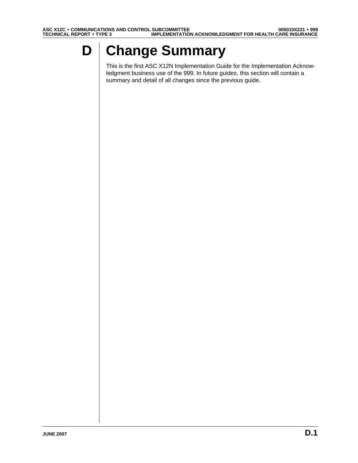# **D Change Summary**

This is the first ASC X12N Implementation Guide for the Implementation Acknowledgment business use of the 999. In future guides, this section will contain a summary and detail of all changes since the previous guide.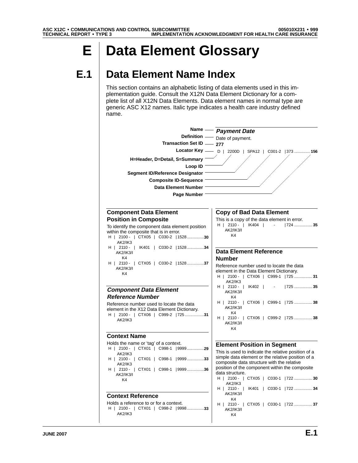# **E Data Element Glossary**

## **E.1 Data Element Name Index**

This section contains an alphabetic listing of data elements used in this implementation guide. Consult the X12N Data Element Dictionary for a complete list of all X12N Data Elements. Data element names in normal type are generic ASC X12 names. Italic type indicates a health care industry defined name.

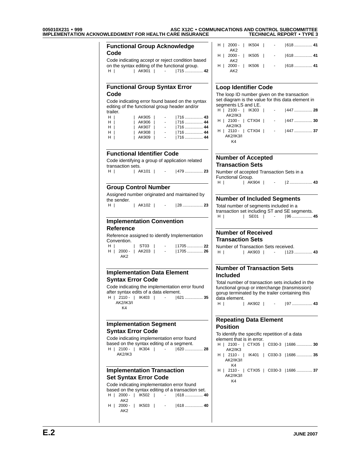## **005010X231** • **999 ASC X12C** • **COMMUNICATIONS AND CONTROL SUBCOMMITTEE IMPLEMENTATION ACKNOWLEDGMENT FOR HEALTH CARE INSURANCE TECHNICAL REPORT** • **TYPE 3**

|                                                                                                         | <b>Functional Group Acknowledge</b>                                                     |                      | H   2000 -   IK504   -                                                                             | $1618$ 41 |  |  |
|---------------------------------------------------------------------------------------------------------|-----------------------------------------------------------------------------------------|----------------------|----------------------------------------------------------------------------------------------------|-----------|--|--|
| Code                                                                                                    |                                                                                         |                      | AK <sub>2</sub><br>H   2000 -   IK505  <br>$\sim$                                                  |           |  |  |
|                                                                                                         | Code indicating accept or reject condition based                                        |                      | AK <sub>2</sub>                                                                                    |           |  |  |
|                                                                                                         | on the syntax editing of the functional group.                                          |                      | H   2000 -   IK506   -                                                                             | 618  41   |  |  |
| H                                                                                                       | AK901   -   715  42                                                                     |                      | AK <sub>2</sub>                                                                                    |           |  |  |
|                                                                                                         | <b>Functional Group Syntax Error</b>                                                    |                      | <b>Loop Identifier Code</b>                                                                        |           |  |  |
| Code                                                                                                    |                                                                                         |                      | The loop ID number given on the transaction                                                        |           |  |  |
|                                                                                                         | Code indicating error found based on the syntax                                         |                      | set diagram is the value for this data element in                                                  |           |  |  |
| trailer.                                                                                                | editing of the functional group header and/or                                           |                      | segments LS and LE.<br>H   2100 -   IK303   -   447  28                                            |           |  |  |
| $H$                                                                                                     | $\mid$ AK905 $\mid$<br>$\sim$                                                           |                      | <b>AK2/IK3</b>                                                                                     |           |  |  |
| H I                                                                                                     | AK906                                                                                   | 716  44              | H   2100 -   CTX04   -   447  30                                                                   |           |  |  |
| H I                                                                                                     | AK907                                                                                   | <u> 716  44</u>      | AK2/IK3<br>H   2110 -   CTX04   -   447  37                                                        |           |  |  |
| H<br>H                                                                                                  | AK908  <br>$\sim 100$<br>  AK909  <br>$\sim 10$                                         | 716  44<br>$ 716$ 44 | <b>AK2/IK3/I</b><br>K4                                                                             |           |  |  |
|                                                                                                         | <b>Functional Identifier Code</b>                                                       |                      |                                                                                                    |           |  |  |
|                                                                                                         | Code identifying a group of application related                                         |                      | <b>Number of Accepted</b>                                                                          |           |  |  |
| transaction sets.                                                                                       |                                                                                         |                      | <b>Transaction Sets</b>                                                                            |           |  |  |
| H                                                                                                       | AK101   -   479  23                                                                     |                      | Number of accepted Transaction Sets in a<br>Functional Group.                                      |           |  |  |
|                                                                                                         |                                                                                         |                      | $H$                                                                                                |           |  |  |
| <b>Group Control Number</b>                                                                             |                                                                                         |                      |                                                                                                    |           |  |  |
|                                                                                                         | Assigned number originated and maintained by                                            |                      |                                                                                                    |           |  |  |
| the sender.                                                                                             |                                                                                         |                      | <b>Number of Included Segments</b>                                                                 |           |  |  |
| $H \parallel$                                                                                           |                                                                                         |                      | Total number of segments included in a                                                             |           |  |  |
|                                                                                                         |                                                                                         |                      | transaction set including ST and SE segments.                                                      |           |  |  |
|                                                                                                         | <b>Implementation Convention</b>                                                        |                      | H                                                                                                  |           |  |  |
|                                                                                                         |                                                                                         |                      |                                                                                                    |           |  |  |
| <b>Reference</b>                                                                                        |                                                                                         |                      | <b>Number of Received</b>                                                                          |           |  |  |
|                                                                                                         | Reference assigned to identify Implementation                                           |                      | <b>Transaction Sets</b>                                                                            |           |  |  |
| Convention.                                                                                             |                                                                                         |                      |                                                                                                    |           |  |  |
|                                                                                                         |                                                                                         |                      |                                                                                                    |           |  |  |
| $H$   $\qquad$<br>AK <sub>2</sub>                                                                       | $ $ ST03 $ $<br>$\sim 100$<br>H   2000 -   AK203   -   1705 26                          | 1705  22             | Number of Transaction Sets received.<br>H     AK903   -   123 43                                   |           |  |  |
|                                                                                                         |                                                                                         |                      | <b>Number of Transaction Sets</b>                                                                  |           |  |  |
|                                                                                                         | <b>Implementation Data Element</b>                                                      |                      | <b>Included</b>                                                                                    |           |  |  |
|                                                                                                         | Code indicating the implementation error found<br>after syntax edits of a data element. |                      | Total number of transaction sets included in the<br>functional group or interchange (transmission) |           |  |  |
|                                                                                                         | H   2110 -   IK403   -   621  35                                                        |                      | gorup terminated by the trailer containing this                                                    |           |  |  |
| <b>AK2/IK3/I</b><br>K4                                                                                  |                                                                                         |                      | data element.                                                                                      |           |  |  |
|                                                                                                         |                                                                                         |                      | <b>Repeating Data Element</b>                                                                      |           |  |  |
|                                                                                                         | <b>Implementation Segment</b>                                                           |                      | <b>Position</b>                                                                                    |           |  |  |
|                                                                                                         |                                                                                         |                      | To identify the specific repetition of a data                                                      |           |  |  |
|                                                                                                         | Code indicating implementation error found                                              |                      | element that is in error.                                                                          |           |  |  |
|                                                                                                         | based on the syntax editing of a segment.                                               |                      | H   2100 -   CTX05   C030-3   1686  30                                                             |           |  |  |
| H   2100 -   IK304  <br><b>AK2/IK3</b>                                                                  | <b>Contractor</b>                                                                       | 1620  28             | AK2/IK3<br>H   2110 -   IK401   C030-3   1686  35                                                  |           |  |  |
|                                                                                                         |                                                                                         |                      | <b>AK2/IK3/I</b><br>K4                                                                             |           |  |  |
|                                                                                                         | <b>Implementation Transaction</b>                                                       |                      | H   2110 -   CTX05   C030-3   1686  37                                                             |           |  |  |
|                                                                                                         |                                                                                         |                      | <b>AK2/IK3/I</b><br>K4                                                                             |           |  |  |
|                                                                                                         | Code indicating implementation error found                                              |                      |                                                                                                    |           |  |  |
|                                                                                                         | based on the syntax editing of a transaction set.                                       |                      |                                                                                                    |           |  |  |
| H   2000 -   IK502   -                                                                                  |                                                                                         | 618  40              |                                                                                                    |           |  |  |
| AK <sub>2</sub>                                                                                         |                                                                                         |                      |                                                                                                    |           |  |  |
| <b>Syntax Error Code</b><br><b>Syntax Error Code</b><br><b>Set Syntax Error Code</b><br>AK <sub>2</sub> | H   2000 -   IK503   -   618  40                                                        |                      |                                                                                                    |           |  |  |